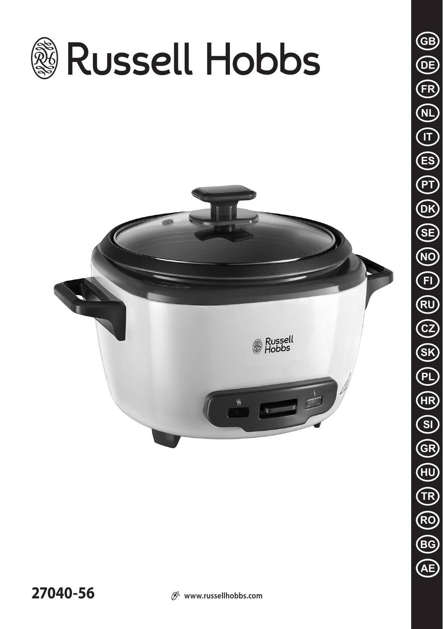

**27040-56**  $\mathcal{D}$  www.russellhobbs.com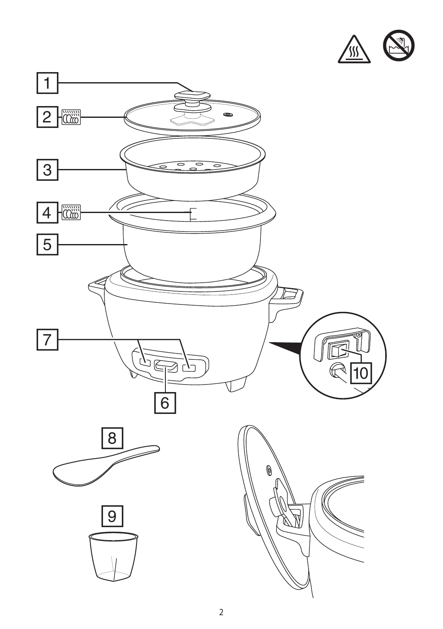

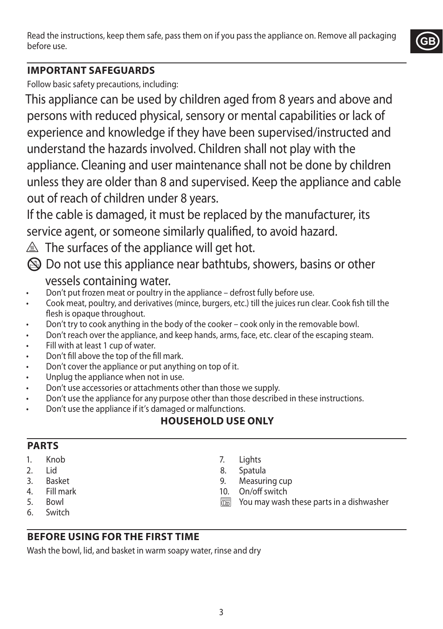Read the instructions, keep them safe, pass them on if you pass the appliance on. Remove all packaging before use.



## **IMPORTANT SAFEGUARDS**

Follow basic safety precautions, including:

This appliance can be used by children aged from 8 years and above and persons with reduced physical, sensory or mental capabilities or lack of experience and knowledge if they have been supervised/instructed and understand the hazards involved. Children shall not play with the appliance. Cleaning and user maintenance shall not be done by children unless they are older than 8 and supervised. Keep the appliance and cable out of reach of children under 8 years.

If the cable is damaged, it must be replaced by the manufacturer, its service agent, or someone similarly qualified, to avoid hazard.

 $\triangle$  The surfaces of the appliance will get hot.

 $\circledR$  Do not use this appliance near bathtubs, showers, basins or other vessels containing water.

- Don't put frozen meat or poultry in the appliance defrost fully before use.
- Cook meat, poultry, and derivatives (mince, burgers, etc.) till the juices run clear. Cook fish till the flesh is opaque throughout.
- Don't try to cook anything in the body of the cooker cook only in the removable bowl.
- Don't reach over the appliance, and keep hands, arms, face, etc. clear of the escaping steam.
- Fill with at least 1 cup of water.
- Don't fill above the top of the fill mark.
- Don't cover the appliance or put anything on top of it.
- Unplug the appliance when not in use.
- Don't use accessories or attachments other than those we supply.
- Don't use the appliance for any purpose other than those described in these instructions.
- Don't use the appliance if it's damaged or malfunctions.

# **HOUSEHOLD USE ONLY**

### **PARTS**

- 1. Knob
- 2. Lid
- 3. Basket
- 4. Fill mark
- 5. Bowl
- 6. Switch
- 7. Lights
- 8. Spatula
- 9. Measuring cup
- 10. On/off switch
- **THE YOU MAY WASH these parts in a dishwasher**
- **BEFORE USING FOR THE FIRST TIME**

Wash the bowl, lid, and basket in warm soapy water, rinse and dry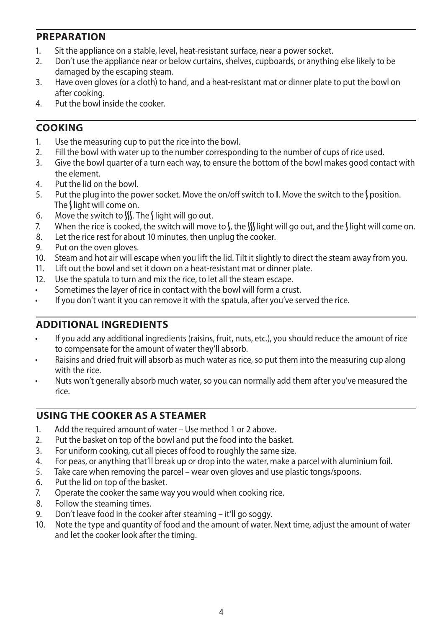### **PREPARATION**

- 1. Sit the appliance on a stable, level, heat-resistant surface, near a power socket.<br>2. Don't use the appliance near or below curtains, shelves, cupboards, or apything
- 2. Don't use the appliance near or below curtains, shelves, cupboards, or anything else likely to be damaged by the escaping steam.
- 3. Have oven gloves (or a cloth) to hand, and a heat-resistant mat or dinner plate to put the bowl on after cooking.
- 4. Put the bowl inside the cooker.

## **COOKING**

- 1. Use the measuring cup to put the rice into the bowl.
- 2. Fill the bowl with water up to the number corresponding to the number of cups of rice used.
- 3. Give the bowl quarter of a turn each way, to ensure the bottom of the bowl makes good contact with the element.
- 4. Put the lid on the bowl.
- 5. Put the plug into the power socket. Move the on/off switch to **I**. Move the switch to the Sposition. The  $\int$  light will come on.
- 6. Move the switch to  $\frac{1}{2}$ . The  $\frac{1}{2}$  light will go out.
- 7. When the rice is cooked, the switch will move to  $\int_{\mathbb{R}}$  tight will go out, and the  $\int$  light will come on.
- 8. Let the rice rest for about 10 minutes, then unplug the cooker.
- 9. Put on the oven gloves.
- 10. Steam and hot air will escape when you lift the lid. Tilt it slightly to direct the steam away from you.
- 11. Lift out the bowl and set it down on a heat-resistant mat or dinner plate.
- 12. Use the spatula to turn and mix the rice, to let all the steam escape.
- Sometimes the layer of rice in contact with the bowl will form a crust.
- If you don't want it you can remove it with the spatula, after you've served the rice.

### **ADDITIONAL INGREDIENTS**

- If you add any additional ingredients (raisins, fruit, nuts, etc.), you should reduce the amount of rice to compensate for the amount of water they'll absorb.
- Raisins and dried fruit will absorb as much water as rice, so put them into the measuring cup along with the rice.
- Nuts won't generally absorb much water, so you can normally add them after you've measured the rice.

## **USING THE COOKER AS A STEAMER**

- 1. Add the required amount of water Use method 1 or 2 above.
- 2. Put the basket on top of the bowl and put the food into the basket.
- 3. For uniform cooking, cut all pieces of food to roughly the same size.
- 4. For peas, or anything that'll break up or drop into the water, make a parcel with aluminium foil.
- 5. Take care when removing the parcel wear oven gloves and use plastic tongs/spoons.
- 6. Put the lid on top of the basket.
- 7. Operate the cooker the same way you would when cooking rice.
- 8. Follow the steaming times.
- 9. Don't leave food in the cooker after steaming it'll go soggy.
- 10. Note the type and quantity of food and the amount of water. Next time, adjust the amount of water and let the cooker look after the timing.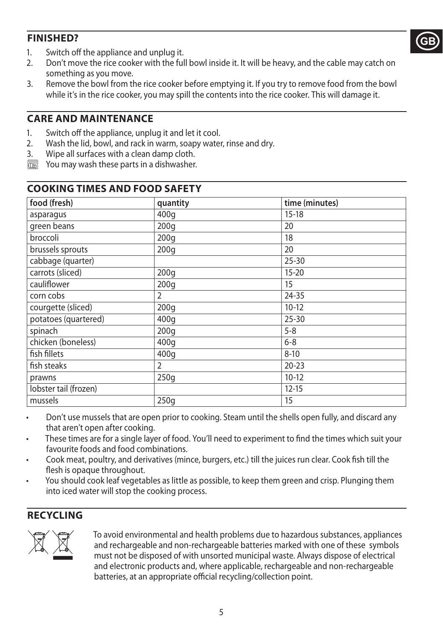## **FINISHED?**



- 1. Switch off the appliance and unplug it.<br>2. Don't move the rice cooker with the ful
- 2. Don't move the rice cooker with the full bowl inside it. It will be heavy, and the cable may catch on something as you move.
- 3. Remove the bowl from the rice cooker before emptying it. If you try to remove food from the bowl while it's in the rice cooker, you may spill the contents into the rice cooker. This will damage it.

### **CARE AND MAINTENANCE**

- 1. Switch off the appliance, unplug it and let it cool.
- 2. Wash the lid, bowl, and rack in warm, soapy water, rinse and dry.
- 3. Wipe all surfaces with a clean damp cloth.
- **WHE YOU MAY WASH these parts in a dishwasher. COOKING TIMES AND FOOD SAFETY**

| food (fresh)          | quantity       | time (minutes) |
|-----------------------|----------------|----------------|
| asparagus             | 400g           | $15-18$        |
| green beans           | 200q           | 20             |
| broccoli              | 200q           | 18             |
| brussels sprouts      | 200q           | 20             |
| cabbage (quarter)     |                | $25 - 30$      |
| carrots (sliced)      | 200q           | $15 - 20$      |
| cauliflower           | 200q           | 15             |
| corn cobs             | $\overline{2}$ | $24 - 35$      |
| courgette (sliced)    | 200q           | $10-12$        |
| potatoes (quartered)  | 400q           | $25 - 30$      |
| spinach               | 200q           | $5 - 8$        |
| chicken (boneless)    | 400q           | $6 - 8$        |
| fish fillets          | 400q           | $8 - 10$       |
| fish steaks           | $\overline{2}$ | $20 - 23$      |
| prawns                | 250g           | $10-12$        |
| lobster tail (frozen) |                | $12 - 15$      |
| mussels               | 250q           | 15             |

- Don't use mussels that are open prior to cooking. Steam until the shells open fully, and discard any that aren't open after cooking.
- These times are for a single layer of food. You'll need to experiment to find the times which suit your favourite foods and food combinations.
- Cook meat, poultry, and derivatives (mince, burgers, etc.) till the juices run clear. Cook fish till the flesh is opaque throughout.
- You should cook leaf vegetables as little as possible, to keep them green and crisp. Plunging them into iced water will stop the cooking process.

### **RECYCLING**



To avoid environmental and health problems due to hazardous substances, appliances<br>and rechargeable and non-rechargeable batteries marked with one of these symbols<br>must not be disposed of with unsorted municipal waste. Alw and rechargeable and non-rechargeable batteries marked with one of these symbols must not be disposed of with unsorted municipal waste. Always dispose of electrical batteries, at an appropriate official recycling/collection point.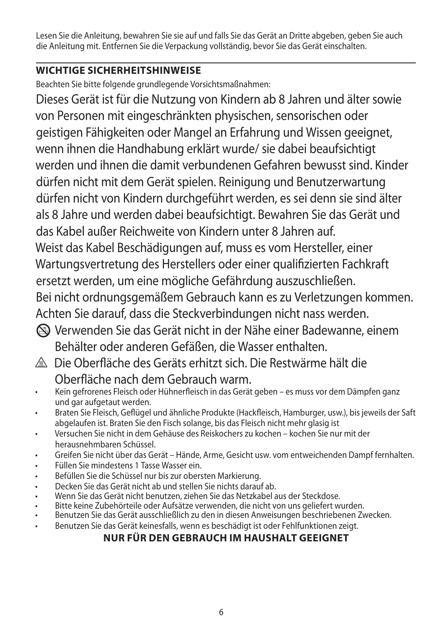Lesen Sie die Anleitung, bewahren Sie sie auf und falls Sie das Gerät an Dritte abgeben, geben Sie auch die Anleitung mit. Entfernen Sie die Verpackung vollständig, bevor Sie das Gerät einschalten.

## **WICHTIGE SICHERHEITSHINWEISE**

Beachten Sie bitte folgende grundlegende Vorsichtsmaßnahmen:

Dieses Gerät ist für die Nutzung von Kindern ab 8 Jahren und älter sowie von Personen mit eingeschränkten physischen, sensorischen oder geistigen Fähigkeiten oder Mangel an Erfahrung und Wissen geeignet, wenn ihnen die Handhabung erklärt wurde/ sie dabei beaufsichtigt werden und ihnen die damit verbundenen Gefahren bewusst sind. Kinder dürfen nicht mit dem Gerät spielen. Reinigung und Benutzerwartung dürfen nicht von Kindern durchgeführt werden, es sei denn sie sind älter als 8 Jahre und werden dabei beaufsichtigt. Bewahren Sie das Gerät und das Kabel außer Reichweite von Kindern unter 8 Jahren auf. Weist das Kabel Beschädigungen auf, muss es vom Hersteller, einer Wartungsvertretung des Herstellers oder einer qualifizierten Fachkraft ersetzt werden, um eine mögliche Gefährdung auszuschließen. Bei nicht ordnungsgemäßem Gebrauch kann es zu Verletzungen kommen. Achten Sie darauf, dass die Steckverbindungen nicht nass werden.

- L Verwenden Sie das Gerät nicht in der Nähe einer Badewanne, einem Behälter oder anderen Gefäßen, die Wasser enthalten.
- h Die Oberfläche des Geräts erhitzt sich. Die Restwärme hält die Oberfläche nach dem Gebrauch warm.
- Kein gefrorenes Fleisch oder Hühnerfleisch in das Gerät geben es muss vor dem Dämpfen ganz und gar aufgetaut werden.
- Braten Sie Fleisch, Geflügel und ähnliche Produkte (Hackfleisch, Hamburger, usw.), bis jeweils der Saft abgelaufen ist. Braten Sie den Fisch solange, bis das Fleisch nicht mehr glasig ist
- Versuchen Sie nicht in dem Gehäuse des Reiskochers zu kochen kochen Sie nur mit der herausnehmbaren Schüssel.
- Greifen Sie nicht über das Gerät Hände, Arme, Gesicht usw. vom entweichenden Dampf fernhalten.
- Füllen Sie mindestens 1 Tasse Wasser ein.
- Befüllen Sie die Schüssel nur bis zur obersten Markierung.
- Decken Sie das Gerät nicht ab und stellen Sie nichts darauf ab.
- Wenn Sie das Gerät nicht benutzen, ziehen Sie das Netzkabel aus der Steckdose.
- Bitte keine Zubehörteile oder Aufsätze verwenden, die nicht von uns geliefert wurden.
- Benutzen Sie das Gerät ausschließlich zu den in diesen Anweisungen beschriebenen Zwecken.
- Benutzen Sie das Gerät keinesfalls, wenn es beschädigt ist oder Fehlfunktionen zeigt.

## **NUR FÜR DEN GEBRAUCH IM HAUSHALT GEEIGNET**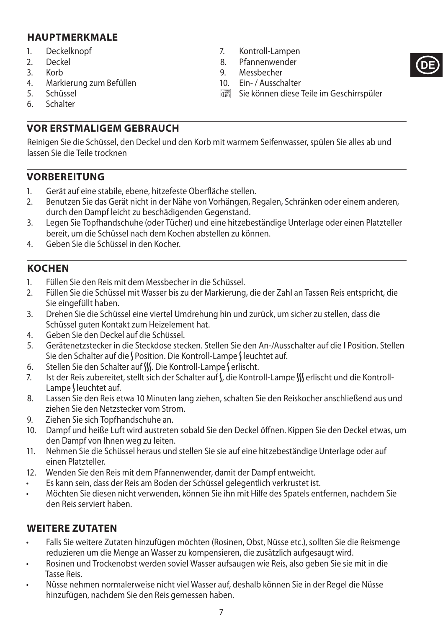### **HAUPTMERKMALE**

- 1. Deckelknopf
- 2. Deckel<br>3 Korb
- $K \cap r$
- 4. Markierung zum Befüllen
- 5. Schüssel<br>6 Schalter
- **Schalter**
- 7. Kontroll-Lampen
- 8. Pfannenwender<br>9. Messbecher
- Messbecher
- 10. Ein- / Ausschalter
- $\overline{\mathbb{C}\mathbb{C}\mathbb{C}}$  Sie können diese Teile im Geschirrspüler

**DE**

**VOR ERSTMALIGEM GEBRAUCH**

Reinigen Sie die Schüssel, den Deckel und den Korb mit warmem Seifenwasser, spülen Sie alles ab und lassen Sie die Teile trocknen

### **VORBEREITUNG**

- 1. Gerät auf eine stabile, ebene, hitzefeste Oberfläche stellen.
- 2. Benutzen Sie das Gerät nicht in der Nähe von Vorhängen, Regalen, Schränken oder einem anderen, durch den Dampf leicht zu beschädigenden Gegenstand.
- 3. Legen Sie Topfhandschuhe (oder Tücher) und eine hitzebeständige Unterlage oder einen Platzteller bereit, um die Schüssel nach dem Kochen abstellen zu können.
- 4. Geben Sie die Schüssel in den Kocher.

### **KOCHEN**

- 1. Füllen Sie den Reis mit dem Messbecher in die Schüssel.
- 2. Füllen Sie die Schüssel mit Wasser bis zu der Markierung, die der Zahl an Tassen Reis entspricht, die Sie eingefüllt haben.
- 3. Drehen Sie die Schüssel eine viertel Umdrehung hin und zurück, um sicher zu stellen, dass die Schüssel guten Kontakt zum Heizelement hat.
- 4. Geben Sie den Deckel auf die Schüssel.
- 5. Gerätenetzstecker in die Steckdose stecken. Stellen Sie den An-/Ausschalter auf die **I** Position. Stellen Sie den Schalter auf die *N* Position. Die Kontroll-Lampe Gleuchtet auf.
- 6. Stellen Sie den Schalter auf W. Die Kontroll-Lampe Lerlischt.
- 7. Ist der Reis zubereitet, stellt sich der Schalter auf S, die Kontroll-Lampe W erlischt und die Kontroll-Lampe I leuchtet auf.
- 8. Lassen Sie den Reis etwa 10 Minuten lang ziehen, schalten Sie den Reiskocher anschließend aus und ziehen Sie den Netzstecker vom Strom.
- 9. Ziehen Sie sich Topfhandschuhe an.
- 10. Dampf und heiße Luft wird austreten sobald Sie den Deckel öffnen. Kippen Sie den Deckel etwas, um den Dampf von Ihnen weg zu leiten.
- 11. Nehmen Sie die Schüssel heraus und stellen Sie sie auf eine hitzebeständige Unterlage oder auf einen Platzteller.
- 12. Wenden Sie den Reis mit dem Pfannenwender, damit der Dampf entweicht.
- Es kann sein, dass der Reis am Boden der Schüssel gelegentlich verkrustet ist.
- Möchten Sie diesen nicht verwenden, können Sie ihn mit Hilfe des Spatels entfernen, nachdem Sie den Reis serviert haben.

#### **WEITERE ZUTATEN**

- Falls Sie weitere Zutaten hinzufügen möchten (Rosinen, Obst, Nüsse etc.), sollten Sie die Reismenge reduzieren um die Menge an Wasser zu kompensieren, die zusätzlich aufgesaugt wird.
- Rosinen und Trockenobst werden soviel Wasser aufsaugen wie Reis, also geben Sie sie mit in die Tasse Reis.
- Nüsse nehmen normalerweise nicht viel Wasser auf, deshalb können Sie in der Regel die Nüsse hinzufügen, nachdem Sie den Reis gemessen haben.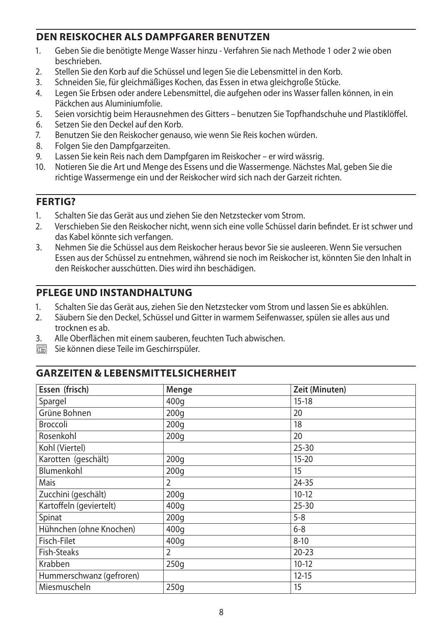### **DEN REISKOCHER ALS DAMPFGARER BENUTZEN**

- 1. Geben Sie die benötigte Menge Wasser hinzu Verfahren Sie nach Methode 1 oder 2 wie oben beschrieben.
- 2. Stellen Sie den Korb auf die Schüssel und legen Sie die Lebensmittel in den Korb.
- 3. Schneiden Sie, für gleichmäßiges Kochen, das Essen in etwa gleichgroße Stücke.
- 4. Legen Sie Erbsen oder andere Lebensmittel, die aufgehen oder ins Wasser fallen können, in ein Päckchen aus Aluminiumfolie.
- 5. Seien vorsichtig beim Herausnehmen des Gitters benutzen Sie Topfhandschuhe und Plastiklöffel.<br>6. Setzen Sie den Deckel auf den Korb
- Setzen Sie den Deckel auf den Korb.
- 7. Benutzen Sie den Reiskocher genauso, wie wenn Sie Reis kochen würden.
- 8. Folgen Sie den Dampfgarzeiten.
- 9. Lassen Sie kein Reis nach dem Dampfgaren im Reiskocher er wird wässrig.
- 10. Notieren Sie die Art und Menge des Essens und die Wassermenge. Nächstes Mal, geben Sie die richtige Wassermenge ein und der Reiskocher wird sich nach der Garzeit richten.

## **FERTIG?**

- 1. Schalten Sie das Gerät aus und ziehen Sie den Netzstecker vom Strom.
- 2. Verschieben Sie den Reiskocher nicht, wenn sich eine volle Schüssel darin befindet. Er ist schwer und das Kabel könnte sich verfangen.
- 3. Nehmen Sie die Schüssel aus dem Reiskocher heraus bevor Sie sie ausleeren. Wenn Sie versuchen Essen aus der Schüssel zu entnehmen, während sie noch im Reiskocher ist, könnten Sie den Inhalt in den Reiskocher ausschütten. Dies wird ihn beschädigen.

## **PFLEGE UND INSTANDHALTUNG**

- 1. Schalten Sie das Gerät aus, ziehen Sie den Netzstecker vom Strom und lassen Sie es abkühlen.
- 2. Säubern Sie den Deckel, Schüssel und Gitter in warmem Seifenwasser, spülen sie alles aus und trocknen es ab.
- 3. Alle Oberflächen mit einem sauberen, feuchten Tuch abwischen.
- $\overline{\mathbb{R}}$  Sie können diese Teile im Geschirrspüler.

### **GARZEITEN & LEBENSMITTELSICHERHEIT**

| Essen (frisch)           | Menge            | Zeit (Minuten) |
|--------------------------|------------------|----------------|
| Spargel                  | 400q             | $15 - 18$      |
| Grüne Bohnen             | 200 <sub>g</sub> | 20             |
| <b>Broccoli</b>          | 200 <sub>g</sub> | 18             |
| Rosenkohl                | 200q             | 20             |
| Kohl (Viertel)           |                  | $25 - 30$      |
| Karotten (geschält)      | 200 <sub>g</sub> | $15 - 20$      |
| Blumenkohl               | 200q             | 15             |
| Mais                     | 2                | 24-35          |
| Zucchini (geschält)      | 200q             | $10-12$        |
| Kartoffeln (geviertelt)  | 400q             | $25 - 30$      |
| Spinat                   | 200q             | $5 - 8$        |
| Hühnchen (ohne Knochen)  | 400q             | $6 - 8$        |
| Fisch-Filet              | 400g             | $8 - 10$       |
| <b>Fish-Steaks</b>       | 2                | $20 - 23$      |
| Krabben                  | 250g             | $10-12$        |
| Hummerschwanz (gefroren) |                  | $12 - 15$      |
| Miesmuscheln             | 250q             | 15             |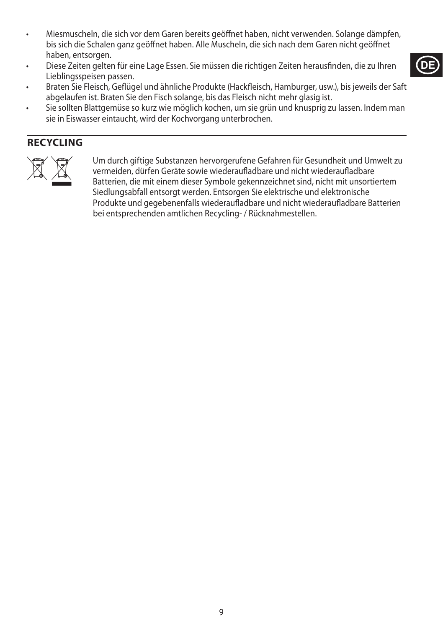- Miesmuscheln, die sich vor dem Garen bereits geöffnet haben, nicht verwenden. Solange dämpfen, bis sich die Schalen ganz geöffnet haben. Alle Muscheln, die sich nach dem Garen nicht geöffnet haben, entsorgen.
- Diese Zeiten gelten für eine Lage Essen. Sie müssen die richtigen Zeiten herausfinden, die zu Ihren Lieblingsspeisen passen.
- Braten Sie Fleisch, Geflügel und ähnliche Produkte (Hackfleisch, Hamburger, usw.), bis jeweils der Saft abgelaufen ist. Braten Sie den Fisch solange, bis das Fleisch nicht mehr glasig ist.
- Sie sollten Blattgemüse so kurz wie möglich kochen, um sie grün und knusprig zu lassen. Indem man sie in Eiswasser eintaucht, wird der Kochvorgang unterbrochen.

## **RECYCLING**



Um durch giftige Substanzen hervorgerufene Gefahren für Gesundheit und Umwelt zu<br>vermeiden, dürfen Geräte sowie wiederaufladbare und nicht wiederaufladbare<br>Batterien, die mit einem dieser Symbole gekennzeichnet sind, nicht vermeiden, dürfen Geräte sowie wiederaufladbare und nicht wiederaufladbare Batterien, die mit einem dieser Symbole gekennzeichnet sind, nicht mit unsortiertem Siedlungsabfall entsorgt werden. Entsorgen Sie elektrische und elektronische Produkte und gegebenenfalls wiederaufladbare und nicht wiederaufladbare Batterien bei entsprechenden amtlichen Recycling- / Rücknahmestellen.

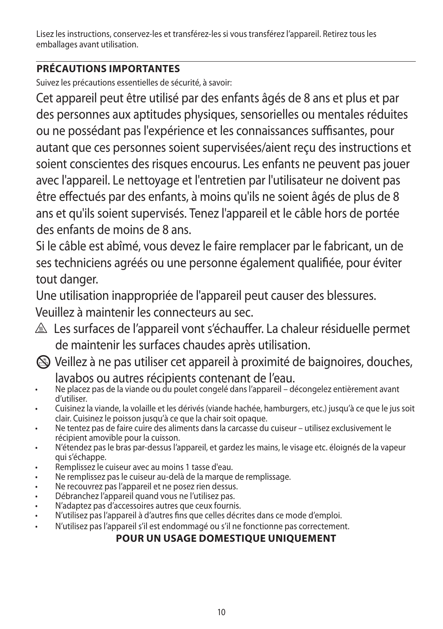Lisez les instructions, conservez-les et transférez-les si vous transférez l'appareil. Retirez tous les emballages avant utilisation.

# **PRÉCAUTIONS IMPORTANTES**

Suivez les précautions essentielles de sécurité, à savoir:

Cet appareil peut être utilisé par des enfants âgés de 8 ans et plus et par des personnes aux aptitudes physiques, sensorielles ou mentales réduites ou ne possédant pas l'expérience et les connaissances suffisantes, pour autant que ces personnes soient supervisées/aient reçu des instructions et soient conscientes des risques encourus. Les enfants ne peuvent pas jouer avec l'appareil. Le nettoyage et l'entretien par l'utilisateur ne doivent pas être effectués par des enfants, à moins qu'ils ne soient âgés de plus de 8 ans et qu'ils soient supervisés. Tenez l'appareil et le câble hors de portée des enfants de moins de 8 ans.

Si le câble est abîmé, vous devez le faire remplacer par le fabricant, un de ses techniciens agréés ou une personne également qualifiée, pour éviter tout danger.

Une utilisation inappropriée de l'appareil peut causer des blessures. Veuillez à maintenir les connecteurs au sec.

- $\triangle$  Les surfaces de l'appareil vont s'échauffer. La chaleur résiduelle permet de maintenir les surfaces chaudes après utilisation.
- L Veillez à ne pas utiliser cet appareil à proximité de baignoires, douches, lavabos ou autres récipients contenant de l'eau.
- Ne placez pas de la viande ou du poulet congelé dans l'appareil décongelez entièrement avant d'utiliser.
- Cuisinez la viande, la volaille et les dérivés (viande hachée, hamburgers, etc.) jusqu'à ce que le jus soit clair. Cuisinez le poisson jusqu'à ce que la chair soit opaque.
- Ne tentez pas de faire cuire des aliments dans la carcasse du cuiseur utilisez exclusivement le récipient amovible pour la cuisson.
- N'étendez pas le bras par-dessus l'appareil, et gardez les mains, le visage etc. éloignés de la vapeur qui s'échappe.
- Remplissez le cuiseur avec au moins 1 tasse d'eau.
- Ne remplissez pas le cuiseur au-delà de la marque de remplissage.
- Ne recouvrez pas l'appareil et ne posez rien dessus.
- Débranchez l'appareil quand vous ne l'utilisez pas.
- N'adaptez pas d'accessoires autres que ceux fournis.
- N'utilisez pas l'appareil à d'autres fins que celles décrites dans ce mode d'emploi.
- N'utilisez pas l'appareil s'il est endommagé ou s'il ne fonctionne pas correctement.

# **POUR UN USAGE DOMESTIQUE UNIQUEMENT**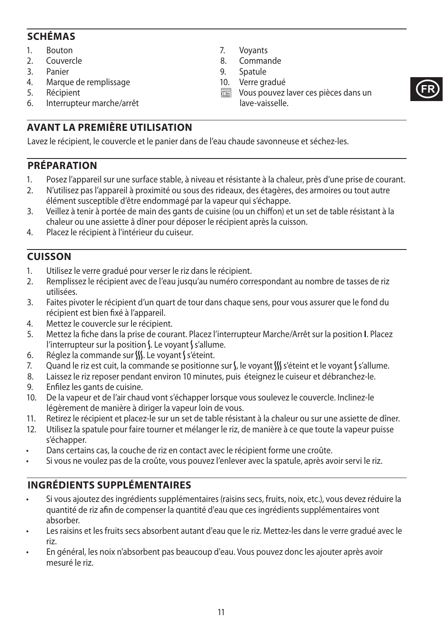## **SCHÉMAS**

- 1. Bouton
- 
- 2. Couvercle<br>3 Panier **Panier**
- 4. Marque de remplissage
- 5. Récipient
- 6. Interrupteur marche/arrêt
- 7. Voyants
- 8. Commande<br>9. Spatule
- 9. Spatule
- 10. Verre gradué
- $\overline{\mathbb{R}}$  Vous pouvez laver ces pièces dans un lave-vaisselle.



# **AVANT LA PREMIÈRE UTILISATION**

Lavez le récipient, le couvercle et le panier dans de l'eau chaude savonneuse et séchez-les.

## **PRÉPARATION**

- 1. Posez l'appareil sur une surface stable, à niveau et résistante à la chaleur, près d'une prise de courant.
- 2. N'utilisez pas l'appareil à proximité ou sous des rideaux, des étagères, des armoires ou tout autre élément susceptible d'être endommagé par la vapeur qui s'échappe.
- 3. Veillez à tenir à portée de main des gants de cuisine (ou un chiffon) et un set de table résistant à la chaleur ou une assiette â dîner pour déposer le récipient après la cuisson.
- 4. Placez le récipient à l'intérieur du cuiseur.

## **CUISSON**

- 1. Utilisez le verre gradué pour verser le riz dans le récipient.
- 2. Remplissez le récipient avec de l'eau jusqu'au numéro correspondant au nombre de tasses de riz utilisées.
- 3. Faites pivoter le récipient d'un quart de tour dans chaque sens, pour vous assurer que le fond du récipient est bien fixé à l'appareil.
- 4. Mettez le couvercle sur le récipient.
- 5. Mettez la fiche dans la prise de courant. Placez l'interrupteur Marche/Arrêt sur la position **I**. Placez l'interrupteur sur la position  $\Lambda$ . Le voyant  $\Lambda$  s'allume.
- 6. Réglez la commande sur S. Le voyant S'éteint.
- 7. Quand le riz est cuit, la commande se positionne sur  $\int$ , le voyant  $\iint s$  'éteint et le voyant  $\int s'$ allume.
- 8. Laissez le riz reposer pendant environ 10 minutes, puis éteignez le cuiseur et débranchez-le.
- 9. Enfilez les gants de cuisine.
- 10. De la vapeur et de l'air chaud vont s'échapper lorsque vous soulevez le couvercle. Inclinez-le légèrement de manière à diriger la vapeur loin de vous.
- 11. Retirez le récipient et placez-le sur un set de table résistant à la chaleur ou sur une assiette de dîner.
- 12. Utilisez la spatule pour faire tourner et mélanger le riz, de manière à ce que toute la vapeur puisse s'échapper.
- Dans certains cas, la couche de riz en contact avec le récipient forme une croûte.
- Si vous ne voulez pas de la croûte, vous pouvez l'enlever avec la spatule, après avoir servi le riz.

# **INGRÉDIENTS SUPPLÉMENTAIRES**

- Si vous ajoutez des ingrédients supplémentaires (raisins secs, fruits, noix, etc.), vous devez réduire la quantité de riz afin de compenser la quantité d'eau que ces ingrédients supplémentaires vont absorber.
- Les raisins et les fruits secs absorbent autant d'eau que le riz. Mettez-les dans le verre gradué avec le riz.
- En général, les noix n'absorbent pas beaucoup d'eau. Vous pouvez donc les ajouter après avoir mesuré le riz.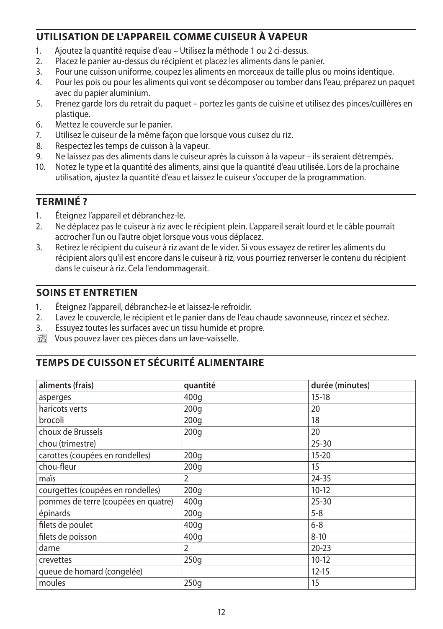## **UTILISATION DE L'APPAREIL COMME CUISEUR À VAPEUR**

- 1. Ajoutez la quantité requise d'eau Utilisez la méthode 1 ou 2 ci-dessus.
- 2. Placez le panier au-dessus du récipient et placez les aliments dans le panier.
- 3. Pour une cuisson uniforme, coupez les aliments en morceaux de taille plus ou moins identique.
- 4. Pour les pois ou pour les aliments qui vont se décomposer ou tomber dans l'eau, préparez un paquet avec du papier aluminium.
- 5. Prenez garde lors du retrait du paquet portez les gants de cuisine et utilisez des pinces/cuillères en plastique.
- 6. Mettez le couvercle sur le panier.
- 7. Utilisez le cuiseur de la même façon que lorsque vous cuisez du riz.
- 8. Respectez les temps de cuisson à la vapeur.
- 9. Ne laissez pas des aliments dans le cuiseur après la cuisson à la vapeur ils seraient détrempés.
- 10. Notez le type et la quantité des aliments, ainsi que la quantité d'eau utilisée. Lors de la prochaine utilisation, ajustez la quantité d'eau et laissez le cuiseur s'occuper de la programmation.

## **TERMINÉ ?**

- 1. Éteignez l'appareil et débranchez-le.
- 2. Ne déplacez pas le cuiseur à riz avec le récipient plein. L'appareil serait lourd et le câble pourrait accrocher l'un ou l'autre objet lorsque vous vous déplacez.
- 3. Retirez le récipient du cuiseur à riz avant de le vider. Si vous essayez de retirer les aliments du récipient alors qu'il est encore dans le cuiseur à riz, vous pourriez renverser le contenu du récipient dans le cuiseur à riz. Cela l'endommagerait.

## **SOINS ET ENTRETIEN**

- 1. Éteignez l'appareil, débranchez-le et laissez-le refroidir.
- 2. Lavez le couvercle, le récipient et le panier dans de l'eau chaude savonneuse, rincez et séchez.
- 3. Essuyez toutes les surfaces avec un tissu humide et propre.
- $\overline{\mathbb{R}}$  Vous pouvez laver ces pièces dans un lave-vaisselle.

## **TEMPS DE CUISSON ET SÉCURITÉ ALIMENTAIRE**

| aliments (frais)                    | quantité         | durée (minutes) |
|-------------------------------------|------------------|-----------------|
| asperges                            | 400q             | $15 - 18$       |
| haricots verts                      | 200q             | 20              |
| brocoli                             | 200q             | 18              |
| choux de Brussels                   | 200 <sub>g</sub> | 20              |
| chou (trimestre)                    |                  | $25 - 30$       |
| carottes (coupées en rondelles)     | 200 <sub>g</sub> | $15 - 20$       |
| chou-fleur                          | 200q             | 15              |
| maïs                                | 2                | 24-35           |
| courgettes (coupées en rondelles)   | 200q             | $10-12$         |
| pommes de terre (coupées en quatre) | 400q             | $25 - 30$       |
| épinards                            | 200q             | $5 - 8$         |
| filets de poulet                    | 400q             | $6 - 8$         |
| filets de poisson                   | 400g             | $8 - 10$        |
| darne                               | $\overline{2}$   | $20 - 23$       |
| crevettes                           | 250g             | $10-12$         |
| queue de homard (congelée)          |                  | $12 - 15$       |
| moules                              | 250q             | 15              |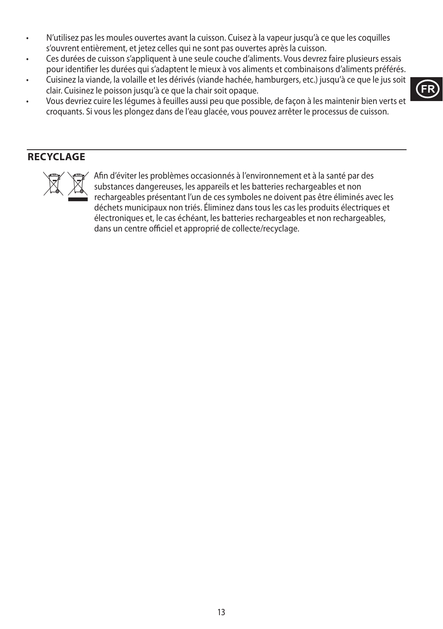- N'utilisez pas les moules ouvertes avant la cuisson. Cuisez à la vapeur jusqu'à ce que les coquilles s'ouvrent entièrement, et jetez celles qui ne sont pas ouvertes après la cuisson.
- Ces durées de cuisson s'appliquent à une seule couche d'aliments. Vous devrez faire plusieurs essais pour identifier les durées qui s'adaptent le mieux à vos aliments et combinaisons d'aliments préférés.
- Cuisinez la viande, la volaille et les dérivés (viande hachée, hamburgers, etc.) jusqu'à ce que le jus soit clair. Cuisinez le poisson jusqu'à ce que la chair soit opaque.
- Vous devriez cuire les légumes à feuilles aussi peu que possible, de façon à les maintenir bien verts et croquants. Si vous les plongez dans de l'eau glacée, vous pouvez arrêter le processus de cuisson.

## **RECYCLAGE**



MAFIN Afin d'éviter les problèmes occasionnés à l'environnement et à la santé par des<br>substances dangereuses, les appareils et les batteries rechargeables et non<br>rechargeables présentant l'un de ces symboles ne doivent pas substances dangereuses, les appareils et les batteries rechargeables et non rechargeables présentant l'un de ces symboles ne doivent pas être éliminés avec les déchets municipaux non triés. Éliminez dans tous les cas les produits électriques et électroniques et, le cas échéant, les batteries rechargeables et non rechargeables, dans un centre officiel et approprié de collecte/recyclage.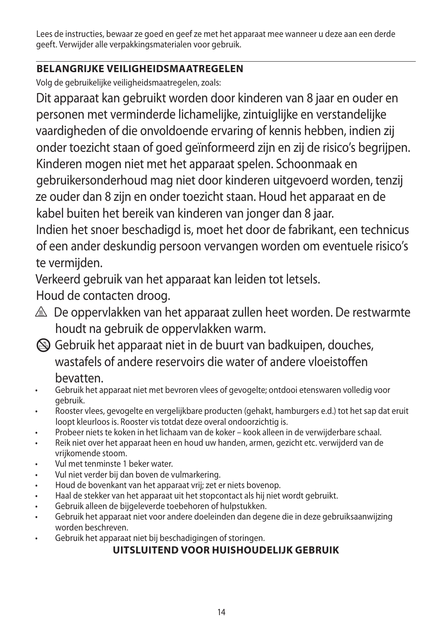Lees de instructies, bewaar ze goed en geef ze met het apparaat mee wanneer u deze aan een derde geeft. Verwijder alle verpakkingsmaterialen voor gebruik.

# **BELANGRIJKE VEILIGHEIDSMAATREGELEN**

Volg de gebruikelijke veiligheidsmaatregelen, zoals:

Dit apparaat kan gebruikt worden door kinderen van 8 jaar en ouder en personen met verminderde lichamelijke, zintuiglijke en verstandelijke vaardigheden of die onvoldoende ervaring of kennis hebben, indien zij onder toezicht staan of goed geïnformeerd zijn en zij de risico's begrijpen. Kinderen mogen niet met het apparaat spelen. Schoonmaak en gebruikersonderhoud mag niet door kinderen uitgevoerd worden, tenzij ze ouder dan 8 zijn en onder toezicht staan. Houd het apparaat en de kabel buiten het bereik van kinderen van jonger dan 8 jaar. Indien het snoer beschadigd is, moet het door de fabrikant, een technicus of een ander deskundig persoon vervangen worden om eventuele risico's te vermijden.

Verkeerd gebruik van het apparaat kan leiden tot letsels.

Houd de contacten droog.

- $\triangle$  De oppervlakken van het apparaat zullen heet worden. De restwarmte houdt na gebruik de oppervlakken warm.
- L Gebruik het apparaat niet in de buurt van badkuipen, douches, wastafels of andere reservoirs die water of andere vloeistoffen

# bevatten.

- Gebruik het apparaat niet met bevroren vlees of gevogelte; ontdooi etenswaren volledig voor gebruik.
- Rooster vlees, gevogelte en vergelijkbare producten (gehakt, hamburgers e.d.) tot het sap dat eruit loopt kleurloos is. Rooster vis totdat deze overal ondoorzichtig is.
- Probeer niets te koken in het lichaam van de koker kook alleen in de verwijderbare schaal.
- Reik niet over het apparaat heen en houd uw handen, armen, gezicht etc. verwijderd van de vrijkomende stoom.
- Vul met tenminste 1 beker water.
- Vul niet verder bij dan boven de vulmarkering.
- Houd de bovenkant van het apparaat vrij; zet er niets bovenop.
- Haal de stekker van het apparaat uit het stopcontact als hij niet wordt gebruikt.
- Gebruik alleen de bijgeleverde toebehoren of hulpstukken.
- Gebruik het apparaat niet voor andere doeleinden dan degene die in deze gebruiksaanwijzing worden beschreven.
- Gebruik het apparaat niet bij beschadigingen of storingen.

# **UITSLUITEND VOOR HUISHOUDELIJK GEBRUIK**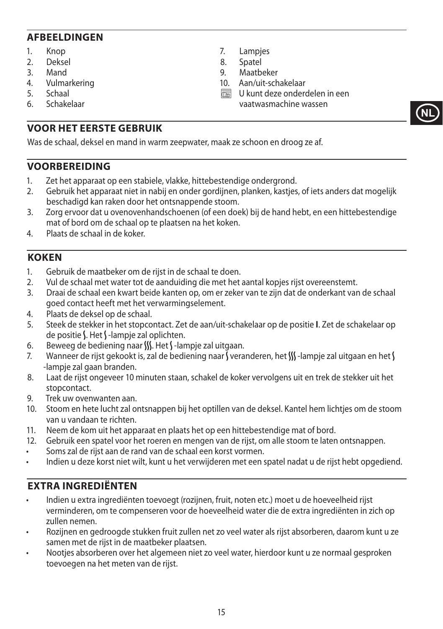#### **AFBEELDINGEN**

- 1. Knop
- 2. Deksel<br>3 Mand
- M<sub>and</sub>
- 4. Vulmarkering
- 5. Schaal<br>6 Schake
- 6. Schakelaar
- 7. Lampjes
- 8. Spatel
- **Maatheker**
- 10. Aan/uit-schakelaar
- $\overline{\mathbb{R}}$  U kunt deze onderdelen in een vaatwasmachine wassen

**NL**

## **VOOR HET EERSTE GEBRUIK**

Was de schaal, deksel en mand in warm zeepwater, maak ze schoon en droog ze af.

#### **VOORBEREIDING**

- 1. Zet het apparaat op een stabiele, vlakke, hittebestendige ondergrond.
- 2. Gebruik het apparaat niet in nabij en onder gordijnen, planken, kastjes, of iets anders dat mogelijk beschadigd kan raken door het ontsnappende stoom.
- 3. Zorg ervoor dat u ovenovenhandschoenen (of een doek) bij de hand hebt, en een hittebestendige mat of bord om de schaal op te plaatsen na het koken.
- 4. Plaats de schaal in de koker.

#### **KOKEN**

- 1. Gebruik de maatbeker om de rijst in de schaal te doen.
- 2. Vul de schaal met water tot de aanduiding die met het aantal kopjes rijst overeenstemt.
- 3. Draai de schaal een kwart beide kanten op, om er zeker van te zijn dat de onderkant van de schaal goed contact heeft met het verwarmingselement.
- 4. Plaats de deksel op de schaal.
- 5. Steek de stekker in het stopcontact. Zet de aan/uit-schakelaar op de positie **I**. Zet de schakelaar op de positie  $\Lambda$ . Het  $\Lambda$ -lampje zal oplichten.
- 6. Beweeg de bediening naar  $\frac{M}{M}$ . Het  $\frac{M}{M}$  -lampje zal uitgaan.
- 7. Wanneer de rijst gekookt is, zal de bediening naar Sveranderen, het  $\frac{M}{N}$ -lampje zal uitgaan en het S -lampje zal gaan branden.
- 8. Laat de rijst ongeveer 10 minuten staan, schakel de koker vervolgens uit en trek de stekker uit het stopcontact.
- 9. Trek uw ovenwanten aan.
- 10. Stoom en hete lucht zal ontsnappen bij het optillen van de deksel. Kantel hem lichtjes om de stoom van u vandaan te richten.
- 11. Neem de kom uit het apparaat en plaats het op een hittebestendige mat of bord.
- 12. Gebruik een spatel voor het roeren en mengen van de rijst, om alle stoom te laten ontsnappen.
- Soms zal de rijst aan de rand van de schaal een korst vormen.
- Indien u deze korst niet wilt, kunt u het verwijderen met een spatel nadat u de rijst hebt opgediend.

## **EXTRA INGREDIËNTEN**

- Indien u extra ingrediënten toevoegt (rozijnen, fruit, noten etc.) moet u de hoeveelheid rijst verminderen, om te compenseren voor de hoeveelheid water die de extra ingrediënten in zich op zullen nemen.
- Rozijnen en gedroogde stukken fruit zullen net zo veel water als rijst absorberen, daarom kunt u ze samen met de rijst in de maatbeker plaatsen.
- Nootjes absorberen over het algemeen niet zo veel water, hierdoor kunt u ze normaal gesproken toevoegen na het meten van de rijst.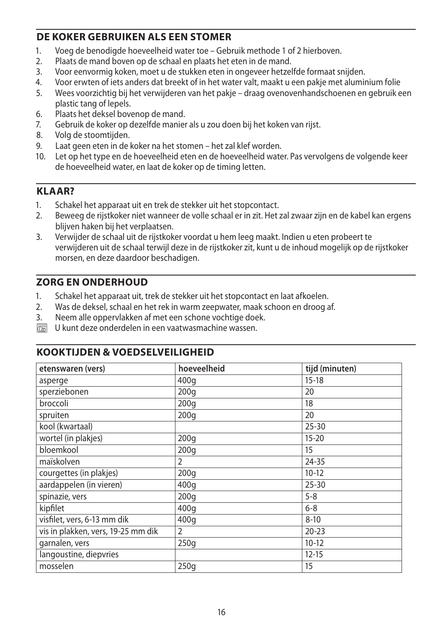## **DE KOKER GEBRUIKEN ALS EEN STOMER**

- 1. Voeg de benodigde hoeveelheid water toe Gebruik methode 1 of 2 hierboven.<br>2. Plaats de mand boven on de schaal en plaats het eten in de mand
- 2. Plaats de mand boven op de schaal en plaats het eten in de mand.
- 3. Voor eenvormig koken, moet u de stukken eten in ongeveer hetzelfde formaat snijden.
- 4. Voor erwten of iets anders dat breekt of in het water valt, maakt u een pakje met aluminium folie
- 5. Wees voorzichtig bij het verwijderen van het pakje draag ovenovenhandschoenen en gebruik een plastic tang of lepels.
- 6. Plaats het deksel bovenop de mand.<br>7. Gebruik de koker op dezelfde manier
- 7. Gebruik de koker op dezelfde manier als u zou doen bij het koken van rijst.
- 8. Volg de stoomtijden.
- 9. Laat geen eten in de koker na het stomen het zal klef worden.
- 10. Let op het type en de hoeveelheid eten en de hoeveelheid water. Pas vervolgens de volgende keer de hoeveelheid water, en laat de koker op de timing letten.

## **KLAAR?**

- 1. Schakel het apparaat uit en trek de stekker uit het stopcontact.
- 2. Beweeg de rijstkoker niet wanneer de volle schaal er in zit. Het zal zwaar zijn en de kabel kan ergens blijven haken bij het verplaatsen.
- 3. Verwijder de schaal uit de rijstkoker voordat u hem leeg maakt. Indien u eten probeert te verwijderen uit de schaal terwijl deze in de rijstkoker zit, kunt u de inhoud mogelijk op de rijstkoker morsen, en deze daardoor beschadigen.

## **ZORG EN ONDERHOUD**

- 1. Schakel het apparaat uit, trek de stekker uit het stopcontact en laat afkoelen.<br>2. Was de deksel, schaal en het rek in warm zeepwater, maak schoon en droog a
- 2. Was de deksel, schaal en het rek in warm zeepwater, maak schoon en droog af.
- 3. Neem alle oppervlakken af met een schone vochtige doek.
- $\overline{\mathbb{R}}$  U kunt deze onderdelen in een vaatwasmachine wassen.

## **KOOKTIJDEN & VOEDSELVEILIGHEID**

| etenswaren (vers)                  | hoeveelheid      | tijd (minuten) |
|------------------------------------|------------------|----------------|
| asperge                            | 400g             | $15 - 18$      |
| sperziebonen                       | 200q             | 20             |
| broccoli                           | 200q             | 18             |
| spruiten                           | 200q             | 20             |
| kool (kwartaal)                    |                  | $25 - 30$      |
| wortel (in plakjes)                | 200q             | $15 - 20$      |
| bloemkool                          | 200q             | 15             |
| maïskolven                         | 2                | 24-35          |
| courgettes (in plakjes)            | 200 <sub>g</sub> | $10-12$        |
| aardappelen (in vieren)            | 400q             | $25 - 30$      |
| spinazie, vers                     | 200q             | $5 - 8$        |
| kipfilet                           | 400q             | $6 - 8$        |
| visfilet, vers, 6-13 mm dik        | 400q             | $8 - 10$       |
| vis in plakken, vers, 19-25 mm dik | $\overline{2}$   | $20 - 23$      |
| garnalen, vers                     | 250q             | $10-12$        |
| langoustine, diepvries             |                  | $12 - 15$      |
| mosselen                           | 250q             | 15             |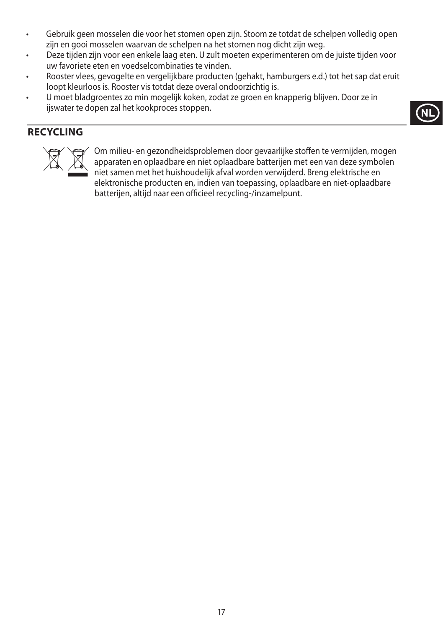- Gebruik geen mosselen die voor het stomen open zijn. Stoom ze totdat de schelpen volledig open zijn en gooi mosselen waarvan de schelpen na het stomen nog dicht zijn weg.
- Deze tijden zijn voor een enkele laag eten. U zult moeten experimenteren om de juiste tijden voor uw favoriete eten en voedselcombinaties te vinden.
- Rooster vlees, gevogelte en vergelijkbare producten (gehakt, hamburgers e.d.) tot het sap dat eruit loopt kleurloos is. Rooster vis totdat deze overal ondoorzichtig is.
- U moet bladgroentes zo min mogelijk koken, zodat ze groen en knapperig blijven. Door ze in ijswater te dopen zal het kookproces stoppen.

## **RECYCLING**



Om milieu- en gezondheidsproblemen door gevaarlijke stoffen te vermijden, mogen<br>apparaten en oplaadbare en niet oplaadbare batterijen met een van deze symbolen<br>niet samen met het huishoudelijk afval worden verwijderd. Bren apparaten en oplaadbare en niet oplaadbare batterijen met een van deze symbolen niet samen met het huishoudelijk afval worden verwijderd. Breng elektrische en elektronische producten en, indien van toepassing, oplaadbare en niet-oplaadbare batterijen, altijd naar een officieel recycling-/inzamelpunt.

**NL**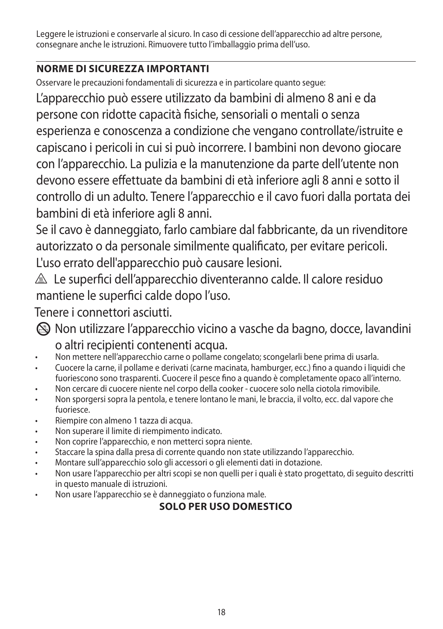Leggere le istruzioni e conservarle al sicuro. In caso di cessione dell'apparecchio ad altre persone, consegnare anche le istruzioni. Rimuovere tutto l'imballaggio prima dell'uso.

# **NORME DI SICUREZZA IMPORTANTI**

Osservare le precauzioni fondamentali di sicurezza e in particolare quanto segue:

L'apparecchio può essere utilizzato da bambini di almeno 8 ani e da persone con ridotte capacità fisiche, sensoriali o mentali o senza esperienza e conoscenza a condizione che vengano controllate/istruite e capiscano i pericoli in cui si può incorrere. I bambini non devono giocare con l'apparecchio. La pulizia e la manutenzione da parte dell'utente non devono essere effettuate da bambini di età inferiore agli 8 anni e sotto il controllo di un adulto. Tenere l'apparecchio e il cavo fuori dalla portata dei bambini di età inferiore agli 8 anni.

Se il cavo è danneggiato, farlo cambiare dal fabbricante, da un rivenditore autorizzato o da personale similmente qualificato, per evitare pericoli. L'uso errato dell'apparecchio può causare lesioni.

 $\triangle$  Le superfici dell'apparecchio diventeranno calde. Il calore residuo mantiene le superfici calde dopo l'uso.

Tenere i connettori asciutti.

L Non utilizzare l'apparecchio vicino a vasche da bagno, docce, lavandini o altri recipienti contenenti acqua.

- Non mettere nell'apparecchio carne o pollame congelato; scongelarli bene prima di usarla.
- Cuocere la carne, il pollame e derivati (carne macinata, hamburger, ecc.) fino a quando i liquidi che fuoriescono sono trasparenti. Cuocere il pesce fino a quando è completamente opaco all'interno.
- Non cercare di cuocere niente nel corpo della cooker cuocere solo nella ciotola rimovibile.
- Non sporgersi sopra la pentola, e tenere lontano le mani, le braccia, il volto, ecc. dal vapore che fuoriesce.
- Riempire con almeno 1 tazza di acqua.
- Non superare il limite di riempimento indicato.
- Non coprire l'apparecchio, e non metterci sopra niente.
- Staccare la spina dalla presa di corrente quando non state utilizzando l'apparecchio.
- Montare sull'apparecchio solo gli accessori o gli elementi dati in dotazione.
- Non usare l'apparecchio per altri scopi se non quelli per i quali è stato progettato, di seguito descritti in questo manuale di istruzioni.
- Non usare l'apparecchio se è danneggiato o funziona male.

# **SOLO PER USO DOMESTICO**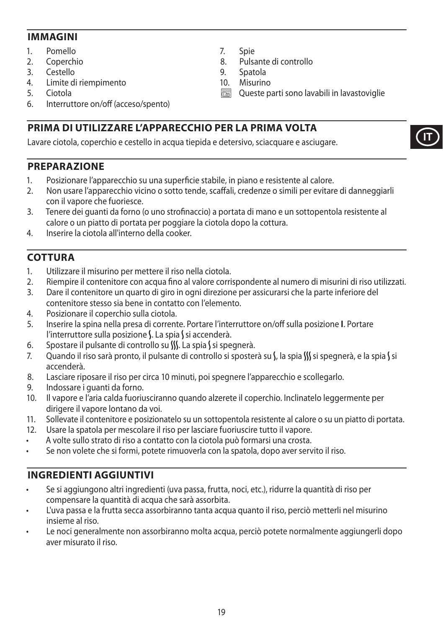#### **IMMAGINI**

- 1. Pomello
- 2. Coperchio
- 
- 3. Cestello<br>4 limite d 4. Limite di riempimento
- 5. Ciotola
- 6. Interruttore on/off (acceso/spento)

## **PRIMA DI UTILIZZARE L'APPARECCHIO PER LA PRIMA VOLTA**

Lavare ciotola, coperchio e cestello in acqua tiepida e detersivo, sciacquare e asciugare.

### **PREPARAZIONE**

- 1. Posizionare l'apparecchio su una superficie stabile, in piano e resistente al calore.
- 2. Non usare l'apparecchio vicino o sotto tende, scaffali, credenze o simili per evitare di danneggiarli con il vapore che fuoriesce.
- 3. Tenere dei guanti da forno (o uno strofinaccio) a portata di mano e un sottopentola resistente al calore o un piatto di portata per poggiare la ciotola dopo la cottura.
- 4. Inserire la ciotola all'interno della cooker.

### **COTTURA**

- 1. Utilizzare il misurino per mettere il riso nella ciotola.
- 2. Riempire il contenitore con acqua fino al valore corrispondente al numero di misurini di riso utilizzati.
- 3. Dare il contenitore un quarto di giro in ogni direzione per assicurarsi che la parte inferiore del contenitore stesso sia bene in contatto con l'elemento.
- 4. Posizionare il coperchio sulla ciotola.
- 5. Inserire la spina nella presa di corrente. Portare l'interruttore on/off sulla posizione **I**. Portare l'interruttore sulla posizione S. La spia S si accenderà.
- 6. Spostare il pulsante di controllo su  $\int \int$ . La spia  $\int$  si spegnerà.<br>7. Quando il riso sarà pronto, il pulsante di controllo si sposter
- Quando il riso sarà pronto, il pulsante di controllo si sposterà su S, la spia W si spegnerà, e la spia S si accenderà.
- 8. Lasciare riposare il riso per circa 10 minuti, poi spegnere l'apparecchio e scollegarlo.
- 9. Indossare i guanti da forno.
- 10. Il vapore e l'aria calda fuoriusciranno quando alzerete il coperchio. Inclinatelo leggermente per dirigere il vapore lontano da voi.
- 11. Sollevate il contenitore e posizionatelo su un sottopentola resistente al calore o su un piatto di portata.
- 12. Usare la spatola per mescolare il riso per lasciare fuoriuscire tutto il vapore.
- A volte sullo strato di riso a contatto con la ciotola può formarsi una crosta.
- Se non volete che si formi, potete rimuoverla con la spatola, dopo aver servito il riso.

### **INGREDIENTI AGGIUNTIVI**

- Se si aggiungono altri ingredienti (uva passa, frutta, noci, etc.), ridurre la quantità di riso per compensare la quantità di acqua che sarà assorbita.
- L'uva passa e la frutta secca assorbiranno tanta acqua quanto il riso, perciò metterli nel misurino insieme al riso.
- Le noci generalmente non assorbiranno molta acqua, perciò potete normalmente aggiungerli dopo aver misurato il riso.

**IT**

- 7. Spie
- 8. Pulsante di controllo
- 9. Spatola<br>10 Misurine
- Misurino
- $\overline{\mathbb{C}\mathbb{C}\mathbb{C}}$  Queste parti sono lavabili in lavastoviglie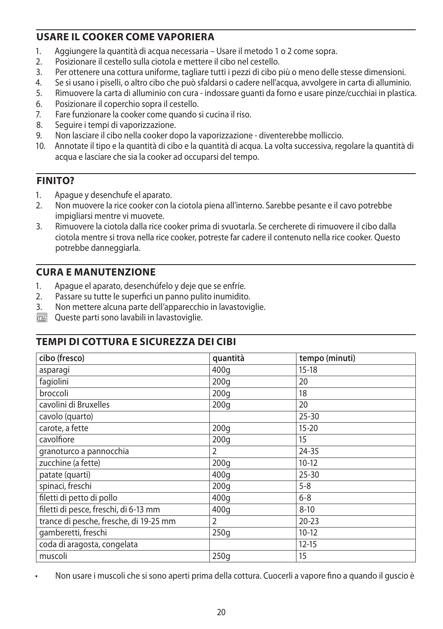## **USARE IL COOKER COME VAPORIERA**

- 1. Aggiungere la quantità di acqua necessaria Usare il metodo 1 o 2 come sopra.
- 2. Posizionare il cestello sulla ciotola e mettere il cibo nel cestello.
- 3. Per ottenere una cottura uniforme, tagliare tutti i pezzi di cibo più o meno delle stesse dimensioni.
- 4. Se si usano i piselli, o altro cibo che può sfaldarsi o cadere nell'acqua, avvolgere in carta di alluminio.
- 5. Rimuovere la carta di alluminio con cura indossare guanti da forno e usare pinze/cucchiai in plastica.
- 6. Posizionare il coperchio sopra il cestello.
- 7. Fare funzionare la cooker come quando si cucina il riso.
- 8. Seguire i tempi di vaporizzazione.
- 9. Non lasciare il cibo nella cooker dopo la vaporizzazione diventerebbe molliccio.
- 10. Annotate il tipo e la quantità di cibo e la quantità di acqua. La volta successiva, regolare la quantità di acqua e lasciare che sia la cooker ad occuparsi del tempo.

## **FINITO?**

- 1. Apague y desenchufe el aparato.
- 2. Non muovere la rice cooker con la ciotola piena all'interno. Sarebbe pesante e il cavo potrebbe impigliarsi mentre vi muovete.
- 3. Rimuovere la ciotola dalla rice cooker prima di svuotarla. Se cercherete di rimuovere il cibo dalla ciotola mentre si trova nella rice cooker, potreste far cadere il contenuto nella rice cooker. Questo potrebbe danneggiarla.

## **CURA E MANUTENZIONE**

- 1. Apague el aparato, desenchúfelo y deje que se enfríe.
- 2. Passare su tutte le superfici un panno pulito inumidito.
- 3. Non mettere alcuna parte dell'apparecchio in lavastoviglie.
- $\overline{\mathbb{R}}$  Queste parti sono lavabili in lavastoviglie.

### **TEMPI DI COTTURA E SICUREZZA DEI CIBI**

| cibo (fresco)                          | quantità | tempo (minuti) |
|----------------------------------------|----------|----------------|
| asparagi                               | 400q     | $15-18$        |
| fagiolini                              | 200q     | 20             |
| broccoli                               | 200q     | 18             |
| cavolini di Bruxelles                  | 200q     | 20             |
| cavolo (quarto)                        |          | $25 - 30$      |
| carote, a fette                        | 200q     | $15 - 20$      |
| cavolfiore                             | 200q     | 15             |
| granoturco a pannocchia                | 2        | 24-35          |
| zucchine (a fette)                     | 200q     | $10-12$        |
| patate (quarti)                        | 400q     | $25 - 30$      |
| spinaci, freschi                       | 200q     | $5 - 8$        |
| filetti di petto di pollo              | 400q     | $6 - 8$        |
| filetti di pesce, freschi, di 6-13 mm  | 400q     | $8 - 10$       |
| trance di pesche, fresche, di 19-25 mm | 2        | $20 - 23$      |
| gamberetti, freschi                    | 250q     | $10-12$        |
| coda di aragosta, congelata            |          | $12 - 15$      |
| muscoli                                | 250q     | 15             |

• Non usare i muscoli che si sono aperti prima della cottura. Cuocerli a vapore fino a quando il guscio è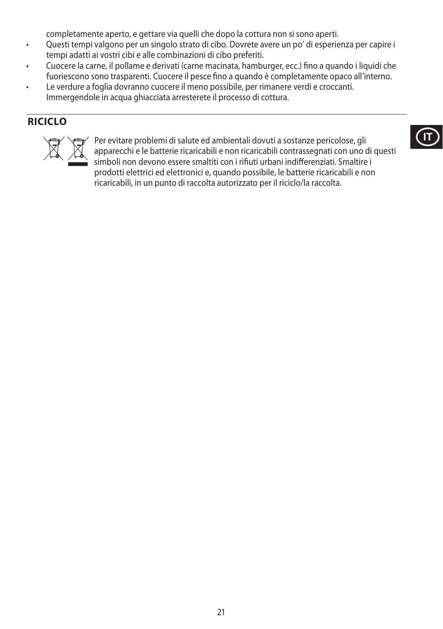completamente aperto, e gettare via quelli che dopo la cottura non si sono aperti.

- Questi tempi valgono per un singolo strato di cibo. Dovrete avere un po' di esperienza per capire i tempi adatti ai vostri cibi e alle combinazioni di cibo preferiti.
- Cuocere la carne, il pollame e derivati (carne macinata, hamburger, ecc.) fino a quando i liquidi che fuoriescono sono trasparenti. Cuocere il pesce fino a quando è completamente opaco all'interno.
- Le verdure a foglia dovranno cuocere il meno possibile, per rimanere verdi e croccanti. Immergendole in acqua ghiacciata arresterete il processo di cottura.

## **RICICLO**



Per evitare problemi di salute ed ambientali dovuti a sostanze pericolose, gli<br>apparecchi e le batterie ricaricabili e non ricaricabili contrassegnati con uno o<br>simboli non devono essere smaltiti con i rifiuti urbani indif apparecchi e le batterie ricaricabili e non ricaricabili contrassegnati con uno di questi simboli non devono essere smaltiti con i rifiuti urbani indifferenziati. Smaltire i prodotti elettrici ed elettronici e, quando possibile, le batterie ricaricabili e non ricaricabili, in un punto di raccolta autorizzato per il riciclo/la raccolta.

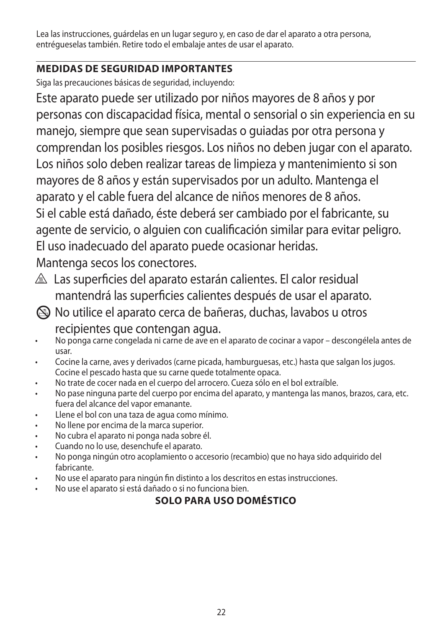Lea las instrucciones, guárdelas en un lugar seguro y, en caso de dar el aparato a otra persona, entrégueselas también. Retire todo el embalaje antes de usar el aparato.

# **MEDIDAS DE SEGURIDAD IMPORTANTES**

Siga las precauciones básicas de seguridad, incluyendo:

Este aparato puede ser utilizado por niños mayores de 8 años y por personas con discapacidad física, mental o sensorial o sin experiencia en su manejo, siempre que sean supervisadas o guiadas por otra persona y comprendan los posibles riesgos. Los niños no deben jugar con el aparato. Los niños solo deben realizar tareas de limpieza y mantenimiento si son mayores de 8 años y están supervisados por un adulto. Mantenga el aparato y el cable fuera del alcance de niños menores de 8 años. Si el cable está dañado, éste deberá ser cambiado por el fabricante, su agente de servicio, o alguien con cualificación similar para evitar peligro. El uso inadecuado del aparato puede ocasionar heridas. Mantenga secos los conectores.

- $\triangle$  Las superficies del aparato estarán calientes. El calor residual mantendrá las superficies calientes después de usar el aparato.
- L No utilice el aparato cerca de bañeras, duchas, lavabos u otros

recipientes que contengan agua.

- No ponga carne congelada ni carne de ave en el aparato de cocinar a vapor descongélela antes de usar.
- Cocine la carne, aves y derivados (carne picada, hamburguesas, etc.) hasta que salgan los jugos. Cocine el pescado hasta que su carne quede totalmente opaca.
- No trate de cocer nada en el cuerpo del arrocero. Cueza sólo en el bol extraíble.
- No pase ninguna parte del cuerpo por encima del aparato, y mantenga las manos, brazos, cara, etc. fuera del alcance del vapor emanante.
- Llene el bol con una taza de agua como mínimo.
- No llene por encima de la marca superior.
- No cubra el aparato ni ponga nada sobre él.
- Cuando no lo use, desenchufe el aparato.
- No ponga ningún otro acoplamiento o accesorio (recambio) que no haya sido adquirido del fabricante.
- No use el aparato para ningún fin distinto a los descritos en estas instrucciones.
- No use el aparato si está dañado o si no funciona bien.

# **SOLO PARA USO DOMÉSTICO**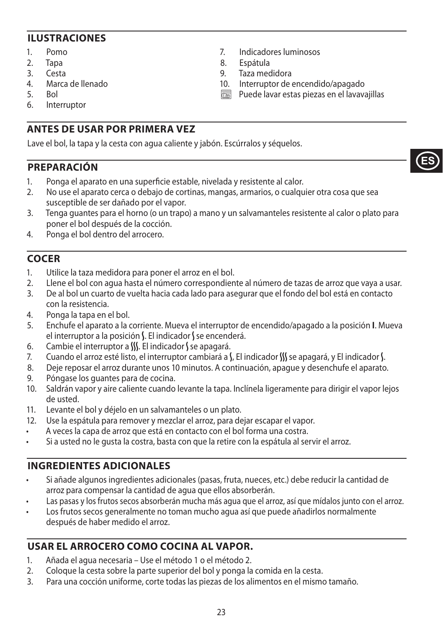### **ILUSTRACIONES**

- 1. Pomo
- 2. Tapa
- 3. Cesta
- 4. Marca de llenado
- 5. Bol
- 6. Interruptor

## **ANTES DE USAR POR PRIMERA VEZ**

Lave el bol, la tapa y la cesta con agua caliente y jabón. Escúrralos y séquelos.

### **PREPARACIÓN**

- 1. Ponga el aparato en una superficie estable, nivelada y resistente al calor.
- 2. No use el aparato cerca o debajo de cortinas, mangas, armarios, o cualquier otra cosa que sea susceptible de ser dañado por el vapor.
- 3. Tenga guantes para el horno (o un trapo) a mano y un salvamanteles resistente al calor o plato para poner el bol después de la cocción.

7. Indicadores luminosos

10. Interruptor de encendido/apagado  $\overline{\mathbb{R}}$  Puede lavar estas piezas en el lavavajillas

8. Espátula 9. Taza medidora<br>10. Interruptor de e

4. Ponga el bol dentro del arrocero.

## **COCER**

- 1. Utilice la taza medidora para poner el arroz en el bol.
- 2. Llene el bol con agua hasta el número correspondiente al número de tazas de arroz que vaya a usar.
- 3. De al bol un cuarto de vuelta hacia cada lado para asegurar que el fondo del bol está en contacto con la resistencia.
- 4. Ponga la tapa en el bol.
- 5. Enchufe el aparato a la corriente. Mueva el interruptor de encendido/apagado a la posición **I**. Mueva el interruptor a la posición S. El indicador S se encenderá.
- 6. Cambie el interruptor a  $\mathcal{W}$ . El indicador S se apagará.
- 7. Cuando el arroz esté listo, el interruptor cambiará a  $\int$ , El indicador  $\int$  se apagará, y El indicador  $\int$ .
- 8. Deje reposar el arroz durante unos 10 minutos. A continuación, apague y desenchufe el aparato.
- 9. Póngase los guantes para de cocina.
- 10. Saldrán vapor y aire caliente cuando levante la tapa. Inclínela ligeramente para dirigir el vapor lejos de usted.
- 11. Levante el bol y déjelo en un salvamanteles o un plato.
- 12. Use la espátula para remover y mezclar el arroz, para dejar escapar el vapor.
- A veces la capa de arroz que está en contacto con el bol forma una costra.
- Si a usted no le gusta la costra, basta con que la retire con la espátula al servir el arroz.

### **INGREDIENTES ADICIONALES**

- Si añade algunos ingredientes adicionales (pasas, fruta, nueces, etc.) debe reducir la cantidad de arroz para compensar la cantidad de agua que ellos absorberán.
- Las pasas y los frutos secos absorberán mucha más agua que el arroz, así que mídalos junto con el arroz.
- Los frutos secos generalmente no toman mucho agua así que puede añadirlos normalmente después de haber medido el arroz.

## **USAR EL ARROCERO COMO COCINA AL VAPOR.**

- 1. Añada el agua necesaria Use el método 1 o el método 2.
- 2. Coloque la cesta sobre la parte superior del bol y ponga la comida en la cesta.
- 3. Para una cocción uniforme, corte todas las piezas de los alimentos en el mismo tamaño.

**ES**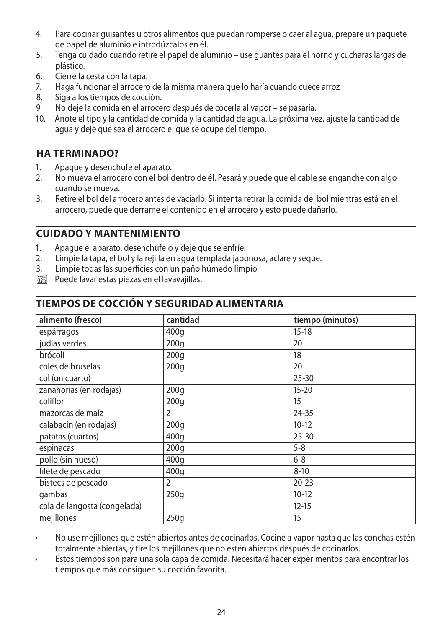- 4. Para cocinar guisantes u otros alimentos que puedan romperse o caer al agua, prepare un paquete de papel de aluminio e introdúzcalos en él.
- 5. Tenga cuidado cuando retire el papel de aluminio use guantes para el horno y cucharas largas de plástico.
- 6. Cierre la cesta con la tapa.
- 7. Haga funcionar el arrocero de la misma manera que lo haría cuando cuece arroz
- 8. Siga a los tiempos de cocción.
- 9. No deje la comida en el arrocero después de cocerla al vapor se pasaría.
- 10. Anote el tipo y la cantidad de comida y la cantidad de agua. La próxima vez, ajuste la cantidad de agua y deje que sea el arrocero el que se ocupe del tiempo.

### **HA TERMINADO?**

- 1. Apague y desenchufe el aparato.<br>2. No mueva el arrocero con el bol d
- 2. No mueva el arrocero con el bol dentro de él. Pesará y puede que el cable se enganche con algo cuando se mueva.
- 3. Retire el bol del arrocero antes de vaciarlo. Si intenta retirar la comida del bol mientras está en el arrocero, puede que derrame el contenido en el arrocero y esto puede dañarlo.

### **CUIDADO Y MANTENIMIENTO**

- 1. Apague el aparato, desenchúfelo y deje que se enfríe.
- 2. Limpie la tapa, el bol y la rejilla en agua templada jabonosa, aclare y seque.
- 3. Limpie todas las superficies con un paño húmedo limpio.
- $\overline{\mathbb{R}}$  Puede lavar estas piezas en el lavavajillas.

### **TIEMPOS DE COCCIÓN Y SEGURIDAD ALIMENTARIA**

| alimento (fresco)            | cantidad         | tiempo (minutos) |
|------------------------------|------------------|------------------|
| espárragos                   | 400q             | $15-18$          |
| judías verdes                | 200q             | 20               |
| brócoli                      | 200q             | 18               |
| coles de bruselas            | 200q             | 20               |
| col (un cuarto)              |                  | $25 - 30$        |
| zanahorias (en rodajas)      | 200q             | $15 - 20$        |
| coliflor                     | 200 <sub>g</sub> | 15               |
| mazorcas de maíz             | 2                | 24-35            |
| calabacín (en rodajas)       | 200 <sub>g</sub> | $10-12$          |
| patatas (cuartos)            | 400q             | $25 - 30$        |
| espinacas                    | 200q             | $5 - 8$          |
| pollo (sin hueso)            | 400g             | $6 - 8$          |
| filete de pescado            | 400g             | $8 - 10$         |
| bistecs de pescado           | $\overline{2}$   | $20 - 23$        |
| gambas                       | 250g             | $10-12$          |
| cola de langosta (congelada) |                  | $12 - 15$        |
| mejillones                   | 250q             | 15               |

• No use mejillones que estén abiertos antes de cocinarlos. Cocine a vapor hasta que las conchas estén totalmente abiertas, y tire los mejillones que no estén abiertos después de cocinarlos.

• Estos tiempos son para una sola capa de comida. Necesitará hacer experimentos para encontrar los tiempos que más consiguen su cocción favorita.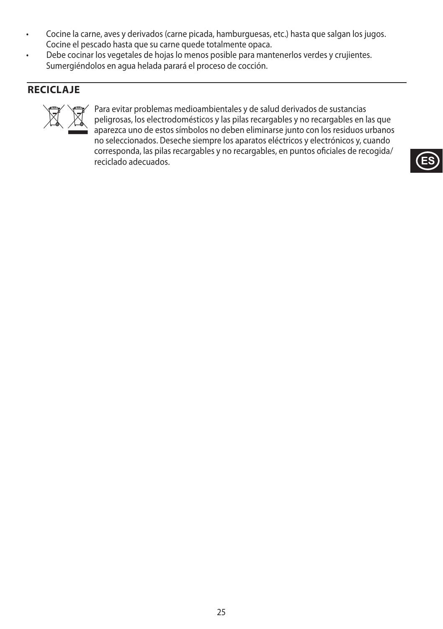- Cocine la carne, aves y derivados (carne picada, hamburguesas, etc.) hasta que salgan los jugos. Cocine el pescado hasta que su carne quede totalmente opaca.
- Debe cocinar los vegetales de hojas lo menos posible para mantenerlos verdes y crujientes. Sumergiéndolos en agua helada parará el proceso de cocción.

## **RECICLAJE**



Para evitar problemas medioambientales y de salud derivados de sustancias<br>peligrosas, los electrodomésticos y las pilas recargables y no recargables en l<br>aparezca uno de estos símbolos no deben eliminarse junto con los res peligrosas, los electrodomésticos y las pilas recargables y no recargables en las que aparezca uno de estos símbolos no deben eliminarse junto con los residuos urbanos no seleccionados. Deseche siempre los aparatos eléctricos y electrónicos y, cuando corresponda, las pilas recargables y no recargables, en puntos oficiales de recogida/ reciclado adecuados.

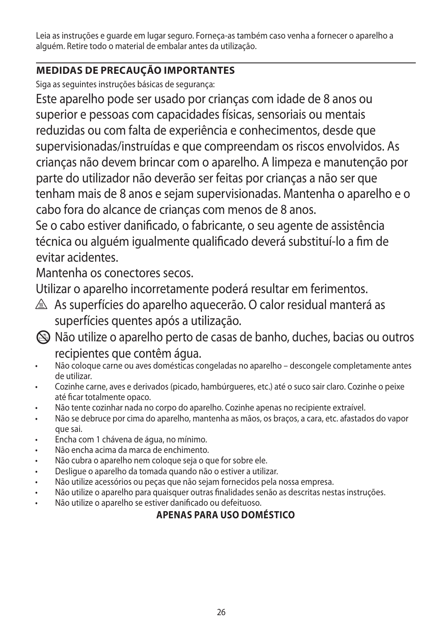Leia as instruções e guarde em lugar seguro. Forneça-as também caso venha a fornecer o aparelho a alguém. Retire todo o material de embalar antes da utilização.

# **MEDIDAS DE PRECAUÇÃO IMPORTANTES**

Siga as seguintes instruções básicas de segurança:

Este aparelho pode ser usado por crianças com idade de 8 anos ou superior e pessoas com capacidades físicas, sensoriais ou mentais reduzidas ou com falta de experiência e conhecimentos, desde que supervisionadas/instruídas e que compreendam os riscos envolvidos. As crianças não devem brincar com o aparelho. A limpeza e manutenção por parte do utilizador não deverão ser feitas por crianças a não ser que tenham mais de 8 anos e sejam supervisionadas. Mantenha o aparelho e o cabo fora do alcance de crianças com menos de 8 anos.

Se o cabo estiver danificado, o fabricante, o seu agente de assistência técnica ou alguém igualmente qualificado deverá substituí-lo a fim de evitar acidentes.

Mantenha os conectores secos.

Utilizar o aparelho incorretamente poderá resultar em ferimentos.

- $\triangle$  As superfícies do aparelho aquecerão. O calor residual manterá as superfícies quentes após a utilização.
- L Não utilize o aparelho perto de casas de banho, duches, bacias ou outros recipientes que contêm água.
- Não coloque carne ou aves domésticas congeladas no aparelho descongele completamente antes de utilizar.
- Cozinhe carne, aves e derivados (picado, hambúrgueres, etc.) até o suco sair claro. Cozinhe o peixe até ficar totalmente opaco.
- Não tente cozinhar nada no corpo do aparelho. Cozinhe apenas no recipiente extraível.
- Não se debruce por cima do aparelho, mantenha as mãos, os braços, a cara, etc. afastados do vapor que sai.
- Encha com 1 chávena de água, no mínimo.
- Não encha acima da marca de enchimento.
- Não cubra o aparelho nem coloque seja o que for sobre ele.
- Desligue o aparelho da tomada quando não o estiver a utilizar.
- Não utilize acessórios ou peças que não sejam fornecidos pela nossa empresa.
- Não utilize o aparelho para quaisquer outras finalidades senão as descritas nestas instruções.
- Não utilize o aparelho se estiver danificado ou defeituoso.

# **APENAS PARA USO DOMÉSTICO**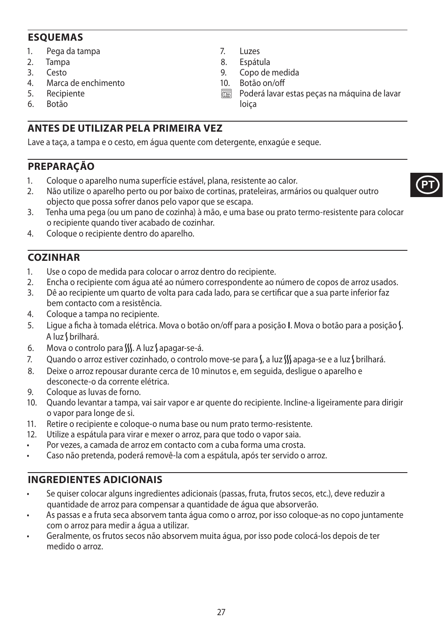## **ESQUEMAS**

- 1. Pega da tampa
- 2. Tampa
- 3. Cesto
- 4. Marca de enchimento
- 5. Recipiente<br>6 Rotão
- 6. Botão

# **ANTES DE UTILIZAR PELA PRIMEIRA VEZ**

Lave a taça, a tampa e o cesto, em água quente com detergente, enxagúe e seque.

# **PREPARAÇÃO**

- 1. Coloque o aparelho numa superfície estável, plana, resistente ao calor.
- 2. Não utilize o aparelho perto ou por baixo de cortinas, prateleiras, armários ou qualquer outro objecto que possa sofrer danos pelo vapor que se escapa.
- 3. Tenha uma pega (ou um pano de cozinha) à mão, e uma base ou prato termo-resistente para colocar o recipiente quando tiver acabado de cozinhar.

7. Luzes 8. Espátula<br>9. Copo de

loiça

Copo de medida 10. Botão on/off

 $\overline{\mathbb{C}\mathbb{C}\mathbb{C}}$  Poderá lavar estas peças na máquina de lavar

4. Coloque o recipiente dentro do aparelho.

# **COZINHAR**

- 1. Use o copo de medida para colocar o arroz dentro do recipiente.
- 2. Encha o recipiente com água até ao número correspondente ao número de copos de arroz usados.
- 3. Dê ao recipiente um quarto de volta para cada lado, para se certificar que a sua parte inferior faz bem contacto com a resistência.
- 4. Coloque a tampa no recipiente.
- 5. Ligue a ficha à tomada elétrica. Mova o botão on/off para a posição I. Mova o botão para a posição S. A luz Sbrilhará.
- 6. Mova o controlo para  $W_1$ . A luz Sapagar-se-á.
- 7. Quando o arroz estiver cozinhado, o controlo move-se para S, a luz SS apaga-se e a luz S brilhará.
- 8. Deixe o arroz repousar durante cerca de 10 minutos e, em seguida, desligue o aparelho e desconecte-o da corrente elétrica.
- 9. Coloque as luvas de forno.
- 10. Quando levantar a tampa, vai sair vapor e ar quente do recipiente. Incline-a ligeiramente para dirigir o vapor para longe de si.
- 11. Retire o recipiente e coloque-o numa base ou num prato termo-resistente.
- 12. Utilize a espátula para virar e mexer o arroz, para que todo o vapor saia.
- Por vezes, a camada de arroz em contacto com a cuba forma uma crosta.
- Caso não pretenda, poderá removê-la com a espátula, após ter servido o arroz.

# **INGREDIENTES ADICIONAIS**

- Se quiser colocar alguns ingredientes adicionais (passas, fruta, frutos secos, etc.), deve reduzir a quantidade de arroz para compensar a quantidade de água que absorverão.
- As passas e a fruta seca absorvem tanta água como o arroz, por isso coloque-as no copo juntamente com o arroz para medir a água a utilizar.
- Geralmente, os frutos secos não absorvem muita água, por isso pode colocá-los depois de ter medido o arroz.

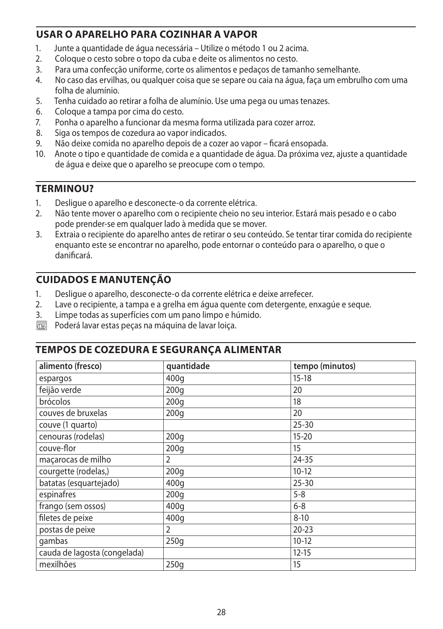## **USAR O APARELHO PARA COZINHAR A VAPOR**

- 1. Junte a quantidade de água necessária Utilize o método 1 ou 2 acima.<br>2. Cologue o cesto sobre o topo da cuba e deite os alimentos no cesto.
- 2. Coloque o cesto sobre o topo da cuba e deite os alimentos no cesto.
- 3. Para uma confecção uniforme, corte os alimentos e pedaços de tamanho semelhante.
- 4. No caso das ervilhas, ou qualquer coisa que se separe ou caia na água, faça um embrulho com uma folha de alumínio.
- 5. Tenha cuidado ao retirar a folha de alumínio. Use uma pega ou umas tenazes.
- 6. Coloque a tampa por cima do cesto.
- 7. Ponha o aparelho a funcionar da mesma forma utilizada para cozer arroz.
- 8. Siga os tempos de cozedura ao vapor indicados.
- 9. Não deixe comida no aparelho depois de a cozer ao vapor ficará ensopada.
- 10. Anote o tipo e quantidade de comida e a quantidade de água. Da próxima vez, ajuste a quantidade de água e deixe que o aparelho se preocupe com o tempo.

## **TERMINOU?**

- 1. Desligue o aparelho e desconecte-o da corrente elétrica.
- 2. Não tente mover o aparelho com o recipiente cheio no seu interior. Estará mais pesado e o cabo pode prender-se em qualquer lado à medida que se mover.
- 3. Extraia o recipiente do aparelho antes de retirar o seu conteúdo. Se tentar tirar comida do recipiente enquanto este se encontrar no aparelho, pode entornar o conteúdo para o aparelho, o que o danificará.

## **CUIDADOS E MANUTENÇÃO**

- 1. Desligue o aparelho, desconecte-o da corrente elétrica e deixe arrefecer.
- 2. Lave o recipiente, a tampa e a grelha em água quente com detergente, enxagúe e seque.
- 3. Limpe todas as superfícies com um pano limpo e húmido.
- $\overline{\mathbb{C}\mathbb{C}\mathbb{C}}$  Poderá lavar estas peças na máquina de lavar loiça.

### **TEMPOS DE COZEDURA E SEGURANÇA ALIMENTAR**

| alimento (fresco)            | quantidade | tempo (minutos) |
|------------------------------|------------|-----------------|
| espargos                     | 400q       | $15-18$         |
| feijão verde                 | 200q       | 20              |
| brócolos                     | 200q       | 18              |
| couves de bruxelas           | 200q       | 20              |
| couve (1 quarto)             |            | $25 - 30$       |
| cenouras (rodelas)           | 200q       | $15 - 20$       |
| couve-flor                   | 200q       | 15              |
| macarocas de milho           | 2          | 24-35           |
| courgette (rodelas,)         | 200q       | $10-12$         |
| batatas (esquartejado)       | 400q       | $25 - 30$       |
| espinafres                   | 200q       | $5 - 8$         |
| frango (sem ossos)           | 400g       | $6 - 8$         |
| filetes de peixe             | 400q       | $8 - 10$        |
| postas de peixe              | 2          | $20 - 23$       |
| gambas                       | 250q       | $10-12$         |
| cauda de lagosta (congelada) |            | $12 - 15$       |
| mexilhões                    | 250q       | 15              |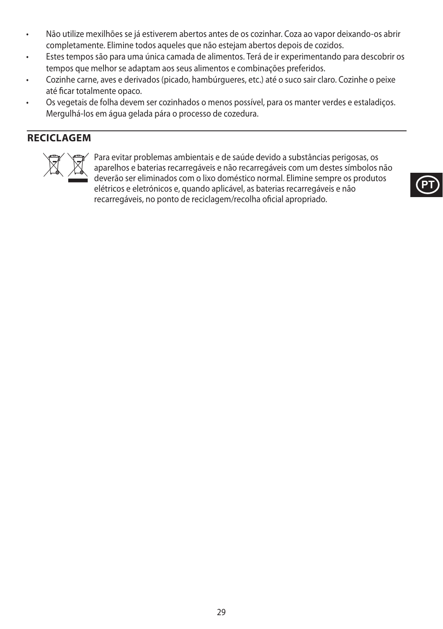- Não utilize mexilhões se já estiverem abertos antes de os cozinhar. Coza ao vapor deixando-os abrir completamente. Elimine todos aqueles que não estejam abertos depois de cozidos.
- Estes tempos são para uma única camada de alimentos. Terá de ir experimentando para descobrir os tempos que melhor se adaptam aos seus alimentos e combinações preferidos.
- Cozinhe carne, aves e derivados (picado, hambúrgueres, etc.) até o suco sair claro. Cozinhe o peixe até ficar totalmente opaco.
- Os vegetais de folha devem ser cozinhados o menos possível, para os manter verdes e estaladiços. Mergulhá-los em água gelada pára o processo de cozedura.

# **RECICLAGEM**



Para evitar problemas ambientais e de saúde devido a substâncias perigosas, os<br>aparelhos e baterias recarregáveis e não recarregáveis com um destes símbolos i<br>deverão ser eliminados com o lixo doméstico normal. Elimine sem aparelhos e baterias recarregáveis e não recarregáveis com um destes símbolos não deverão ser eliminados com o lixo doméstico normal. Elimine sempre os produtos elétricos e eletrónicos e, quando aplicável, as baterias recarregáveis e não recarregáveis, no ponto de reciclagem/recolha oficial apropriado.

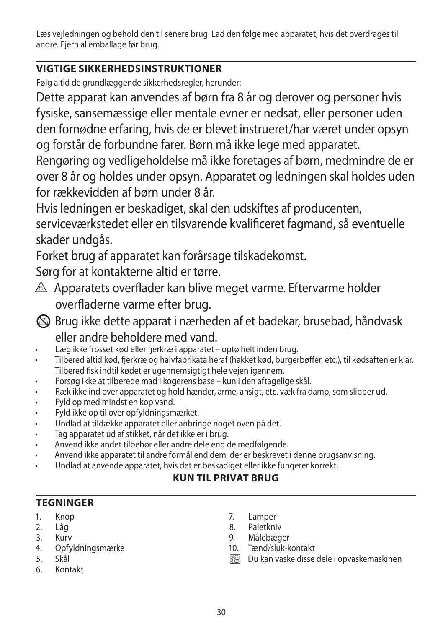Læs vejledningen og behold den til senere brug. Lad den følge med apparatet, hvis det overdrages til andre. Fjern al emballage før brug.

# **VIGTIGE SIKKERHEDSINSTRUKTIONER**

Følg altid de grundlæggende sikkerhedsregler, herunder:

Dette apparat kan anvendes af børn fra 8 år og derover og personer hvis fysiske, sansemæssige eller mentale evner er nedsat, eller personer uden den fornødne erfaring, hvis de er blevet instrueret/har været under opsyn og forstår de forbundne farer. Børn må ikke lege med apparatet.

Rengøring og vedligeholdelse må ikke foretages af børn, medmindre de er over 8 år og holdes under opsyn. Apparatet og ledningen skal holdes uden for rækkevidden af børn under 8 år.

Hvis ledningen er beskadiget, skal den udskiftes af producenten, serviceværkstedet eller en tilsvarende kvalificeret fagmand, så eventuelle skader undgås.

Forket brug af apparatet kan forårsage tilskadekomst.

Sørg for at kontakterne altid er tørre.

 $\triangle$  Apparatets overflader kan blive meget varme. Eftervarme holder overfladerne varme efter brug.

L Brug ikke dette apparat i nærheden af et badekar, brusebad, håndvask eller andre beholdere med vand.

- Læg ikke frosset kød eller fjerkræ i apparatet optø helt inden brug.
- Tilbered altid kød, fjerkræ og halvfabrikata heraf (hakket kød, burgerbøffer, etc.), til kødsaften er klar. Tilbered fisk indtil kødet er ugennemsigtigt hele vejen igennem.
- Forsøg ikke at tilberede mad i kogerens base kun i den aftagelige skål.
- Ræk ikke ind over apparatet og hold hænder, arme, ansigt, etc. væk fra damp, som slipper ud.
- Fyld op med mindst en kop vand.
- Fyld ikke op til over opfyldningsmærket.
- Undlad at tildække apparatet eller anbringe noget oven på det.
- Tag apparatet ud af stikket, når det ikke er i brug.
- Anvend ikke andet tilbehør eller andre dele end de medfølgende.
- Anvend ikke apparatet til andre formål end dem, der er beskrevet i denne brugsanvisning.
- Undlad at anvende apparatet, hvis det er beskadiget eller ikke fungerer korrekt.

## **KUN TIL PRIVAT BRUG**

# **TEGNINGER**

- 1. Knop
- 2. Låg
- 3. Kurv
- 4. Opfyldningsmærke
- 5. Skål
- 6. Kontakt
- 7. Lamper
- 8. Paletkniv
- 9. Målebæger
- 10. Tænd/sluk-kontakt
- $\overline{\mathbb{R}}$  Du kan vaske disse dele i opvaskemaskinen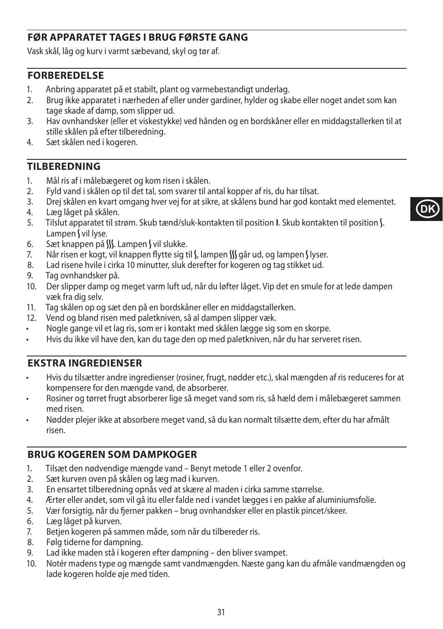# **FØR APPARATET TAGES I BRUG FØRSTE GANG**

Vask skål, låg og kurv i varmt sæbevand, skyl og tør af.

### **FORBEREDELSE**

- 1. Anbring apparatet på et stabilt, plant og varmebestandigt underlag.<br>2. Brug ikke apparatet i pærheden af eller under gardiner, bylder og ska
- 2. Brug ikke apparatet i nærheden af eller under gardiner, hylder og skabe eller noget andet som kan tage skade af damp, som slipper ud.
- 3. Hav ovnhandsker (eller et viskestykke) ved hånden og en bordskåner eller en middagstallerken til at stille skålen på efter tilberedning.
- 4. Sæt skålen ned i kogeren.

### **TILBEREDNING**

- 1. Mål ris af i målebægeret og kom risen i skålen.
- 2. Fyld vand i skålen op til det tal, som svarer til antal kopper af ris, du har tilsat.
- 3. Drej skålen en kvart omgang hver vej for at sikre, at skålens bund har god kontakt med elementet.
- 4. Læg låget på skålen.
- 5. Tilslut apparatet til strøm. Skub tænd/sluk-kontakten til position **I**. Skub kontakten til position N. Lampen  $\int$  vil lyse.
- 6. Sæt knappen på  $\frac{M}{2}$ . Lampen  $\frac{1}{2}$  vil slukke.
- 7. Når risen er kogt, vil knappen flytte sig til S, lampen SS går ud, og lampen S lyser.
- 8. Lad risene hvile i cirka 10 minutter, sluk derefter for kogeren og tag stikket ud.
- 9. Tag ovnhandsker på.
- 10. Der slipper damp og meget varm luft ud, når du løfter låget. Vip det en smule for at lede dampen væk fra dig selv.
- 11. Tag skålen op og sæt den på en bordskåner eller en middagstallerken.
- 12. Vend og bland risen med paletkniven, så al dampen slipper væk.
- Nogle gange vil et lag ris, som er i kontakt med skålen lægge sig som en skorpe.
- Hvis du ikke vil have den, kan du tage den op med paletkniven, når du har serveret risen.

### **EKSTRA INGREDIENSER**

- Hvis du tilsætter andre ingredienser (rosiner, frugt, nødder etc.), skal mængden af ris reduceres for at kompensere for den mængde vand, de absorberer.
- Rosiner og tørret frugt absorberer lige så meget vand som ris, så hæld dem i målebægeret sammen med risen.
- Nødder plejer ikke at absorbere meget vand, så du kan normalt tilsætte dem, efter du har afmålt risen.

#### **BRUG KOGEREN SOM DAMPKOGER**

- 1. Tilsæt den nødvendige mængde vand Benyt metode 1 eller 2 ovenfor.
- 2. Sæt kurven oven på skålen og læg mad i kurven.
- 3. En ensartet tilberedning opnås ved at skære al maden i cirka samme størrelse.
- 4. Ærter eller andet, som vil gå itu eller falde ned i vandet lægges i en pakke af aluminiumsfolie.
- 5. Vær forsigtig, når du fjerner pakken brug ovnhandsker eller en plastik pincet/skeer.
- 6. Læg låget på kurven.
- 7. Betjen kogeren på sammen måde, som når du tilbereder ris.
- 8. Følg tiderne for dampning.
- 9. Lad ikke maden stå i kogeren efter dampning den bliver svampet.
- 10. Notér madens type og mængde samt vandmængden. Næste gang kan du afmåle vandmængden og lade kogeren holde øje med tiden.

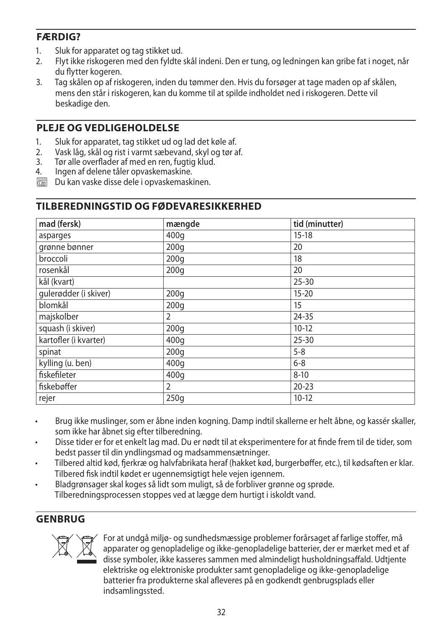## **FÆRDIG?**

- 1. Sluk for apparatet og tag stikket ud.<br>2. Elyt ikke riskogeren med den fyldte
- 2. Flyt ikke riskogeren med den fyldte skål indeni. Den er tung, og ledningen kan gribe fat i noget, når du flytter kogeren.
- 3. Tag skålen op af riskogeren, inden du tømmer den. Hvis du forsøger at tage maden op af skålen, mens den står i riskogeren, kan du komme til at spilde indholdet ned i riskogeren. Dette vil beskadige den.

## **PLEJE OG VEDLIGEHOLDELSE**

- 1. Sluk for apparatet, tag stikket ud og lad det køle af.
- 2. Vask låg, skål og rist i varmt sæbevand, skyl og tør af.
- 3. Tør alle overflader af med en ren, fugtig klud.
- 4. Ingen af delene tåler opvaskemaskine.
- $\overline{\mathbb{R}}$  Du kan vaske disse dele i opvaskemaskinen.

## **TILBEREDNINGSTID OG FØDEVARESIKKERHED**

| mad (fersk)           | mængde           | tid (minutter) |
|-----------------------|------------------|----------------|
| asparges              | 400q             | $15 - 18$      |
| grønne bønner         | 200q             | 20             |
| broccoli              | 200 <sub>g</sub> | 18             |
| rosenkål              | 200 <sub>g</sub> | 20             |
| kål (kvart)           |                  | $25 - 30$      |
| qulerødder (i skiver) | 200q             | $15 - 20$      |
| blomkål               | 200q             | 15             |
| majskolber            | 2                | 24-35          |
| squash (i skiver)     | 200 <sub>g</sub> | $10-12$        |
| kartofler (i kvarter) | 400q             | $25 - 30$      |
| spinat                | 200q             | $5 - 8$        |
| kylling (u. ben)      | 400q             | $6 - 8$        |
| fiskefileter          | 400q             | $8 - 10$       |
| fiskebøffer           | 2                | $20 - 23$      |
| rejer                 | 250q             | $10-12$        |

- Brug ikke muslinger, som er åbne inden kogning. Damp indtil skallerne er helt åbne, og kassér skaller, som ikke har åbnet sig efter tilberedning.
- Disse tider er for et enkelt lag mad. Du er nødt til at eksperimentere for at finde frem til de tider, som bedst passer til din yndlingsmad og madsammensætninger.
- Tilbered altid kød, fjerkræ og halvfabrikata heraf (hakket kød, burgerbøffer, etc.), til kødsaften er klar. Tilbered fisk indtil kødet er ugennemsigtigt hele vejen igennem.
- Bladgrønsager skal koges så lidt som muligt, så de forbliver grønne og sprøde. Tilberedningsprocessen stoppes ved at lægge dem hurtigt i iskoldt vand.

# **GENBRUG**



For at undgå miljø- og sundhedsmæssige problemer forårsaget af farlige stoffer, må<br>apparater og genopladelige og ikke-genopladelige batterier, der er mærket med et a<br>disse symboler, ikke kasseres sammen med almindeligt hus apparater og genopladelige og ikke-genopladelige batterier, der er mærket med et af disse symboler, ikke kasseres sammen med almindeligt husholdningsaffald. Udtjente elektriske og elektroniske produkter samt genopladelige og ikke-genopladelige batterier fra produkterne skal afleveres på en godkendt genbrugsplads eller indsamlingssted.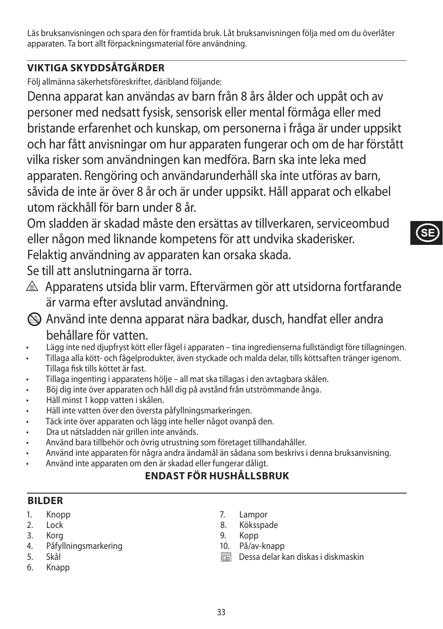Läs bruksanvisningen och spara den för framtida bruk. Låt bruksanvisningen följa med om du överlåter apparaten. Ta bort allt förpackningsmaterial före användning.

# **VIKTIGA SKYDDSÅTGÄRDER**

Följ allmänna säkerhetsföreskrifter, däribland följande:

Denna apparat kan användas av barn från 8 års ålder och uppåt och av personer med nedsatt fysisk, sensorisk eller mental förmåga eller med bristande erfarenhet och kunskap, om personerna i fråga är under uppsikt och har fått anvisningar om hur apparaten fungerar och om de har förstått vilka risker som användningen kan medföra. Barn ska inte leka med apparaten. Rengöring och användarunderhåll ska inte utföras av barn, såvida de inte är över 8 år och är under uppsikt. Håll apparat och elkabel utom räckhåll för barn under 8 år.

Om sladden är skadad måste den ersättas av tillverkaren, serviceombud eller någon med liknande kompetens för att undvika skaderisker.

Felaktig användning av apparaten kan orsaka skada.

Se till att anslutningarna är torra.

- $\triangle$  Apparatens utsida blir varm. Eftervärmen gör att utsidorna fortfarande är varma efter avslutad användning.
- L Använd inte denna apparat nära badkar, dusch, handfat eller andra behållare för vatten.
- Lägg inte ned djupfryst kött eller fågel i apparaten tina ingredienserna fullständigt före tillagningen.
- Tillaga alla kött- och fågelprodukter, även styckade och malda delar, tills köttsaften tränger igenom. Tillaga fisk tills köttet är fast.
- Tillaga ingenting i apparatens hölje all mat ska tillagas i den avtagbara skålen.
- Böj dig inte över apparaten och håll dig på avstånd från utströmmande ånga.
- Häll minst 1 kopp vatten i skålen.
- Häll inte vatten över den översta påfyllningsmarkeringen.
- Täck inte över apparaten och lägg inte heller något ovanpå den.
- Dra ut nätsladden när grillen inte används.
- Använd bara tillbehör och övrig utrustning som företaget tillhandahåller.
- Använd inte apparaten för några andra ändamål än sådana som beskrivs i denna bruksanvisning.
- Använd inte apparaten om den är skadad eller fungerar dåligt.

# **ENDAST FÖR HUSHÅLLSBRUK**

# **BILDER**

- 1. Knopp
- 2. Lock
- 3. Korg
- 4. Påfyllningsmarkering
- 5. Skål
- 6. Knapp
- 7. Lampor
- 8. Köksspade
- 9. Kopp
- 10. På/av-knapp
- $\overline{\mathbb{R}}$  Dessa delar kan diskas i diskmaskin

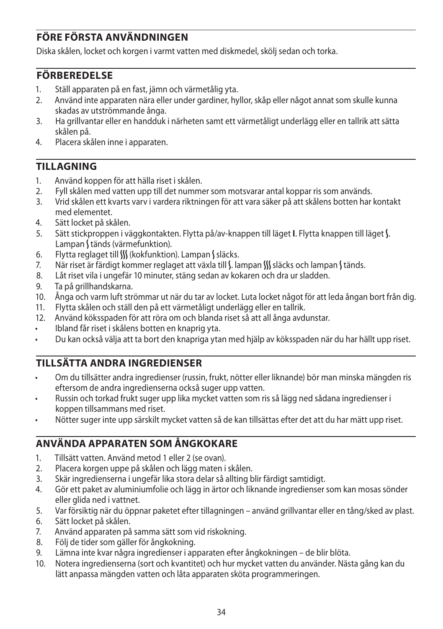# **FÖRE FÖRSTA ANVÄNDNINGEN**

Diska skålen, locket och korgen i varmt vatten med diskmedel, skölj sedan och torka.

## **FÖRBEREDELSE**

- 1. Ställ apparaten på en fast, jämn och värmetålig yta.
- 2. Använd inte apparaten nära eller under gardiner, hyllor, skåp eller något annat som skulle kunna skadas av utströmmande ånga.
- 3. Ha grillvantar eller en handduk i närheten samt ett värmetåligt underlägg eller en tallrik att sätta skålen på.
- 4. Placera skålen inne i apparaten.

## **TILLAGNING**

- 1. Använd koppen för att hälla riset i skålen.
- 2. Fyll skålen med vatten upp till det nummer som motsvarar antal koppar ris som används.
- 3. Vrid skålen ett kvarts varv i vardera riktningen för att vara säker på att skålens botten har kontakt med elementet.
- 4. Sätt locket på skålen.
- 5. Sätt stickproppen i väggkontakten. Flytta på/av-knappen till läget **I**. Flytta knappen till läget N. Lampan (tänds (värmefunktion).
- 6. Flytta reglaget till W (kokfunktion). Lampan Ssläcks.
- 7. När riset är färdigt kommer reglaget att växla till S. lampan S släcks och lampan S tänds.
- 8. Låt riset vila i ungefär 10 minuter, stäng sedan av kokaren och dra ur sladden.
- 9. Ta på grillhandskarna.
- 10. Ånga och varm luft strömmar ut när du tar av locket. Luta locket något för att leda ångan bort från dig.
- 11. Flytta skålen och ställ den på ett värmetåligt underlägg eller en tallrik.
- 12. Använd köksspaden för att röra om och blanda riset så att all ånga avdunstar.
- Ibland får riset i skålens botten en knaprig yta.
- Du kan också välja att ta bort den knapriga ytan med hjälp av köksspaden när du har hällt upp riset.

# **TILLSÄTTA ANDRA INGREDIENSER**

- Om du tillsätter andra ingredienser (russin, frukt, nötter eller liknande) bör man minska mängden ris eftersom de andra ingredienserna också suger upp vatten.
- Russin och torkad frukt suger upp lika mycket vatten som ris så lägg ned sådana ingredienser i koppen tillsammans med riset.
- Nötter suger inte upp särskilt mycket vatten så de kan tillsättas efter det att du har mätt upp riset.

## **ANVÄNDA APPARATEN SOM ÅNGKOKARE**

- 1. Tillsätt vatten. Använd metod 1 eller 2 (se ovan).
- 2. Placera korgen uppe på skålen och lägg maten i skålen.
- 3. Skär ingredienserna i ungefär lika stora delar så allting blir färdigt samtidigt.
- 4. Gör ett paket av aluminiumfolie och lägg in ärtor och liknande ingredienser som kan mosas sönder eller glida ned i vattnet.
- 5. Var försiktig när du öppnar paketet efter tillagningen använd grillvantar eller en tång/sked av plast.
- 6. Sätt locket på skålen.
- 7. Använd apparaten på samma sätt som vid riskokning.
- 8. Följ de tider som gäller för ångkokning.
- 9. Lämna inte kvar några ingredienser i apparaten efter ångkokningen de blir blöta.
- 10. Notera ingredienserna (sort och kvantitet) och hur mycket vatten du använder. Nästa gång kan du lätt anpassa mängden vatten och låta apparaten sköta programmeringen.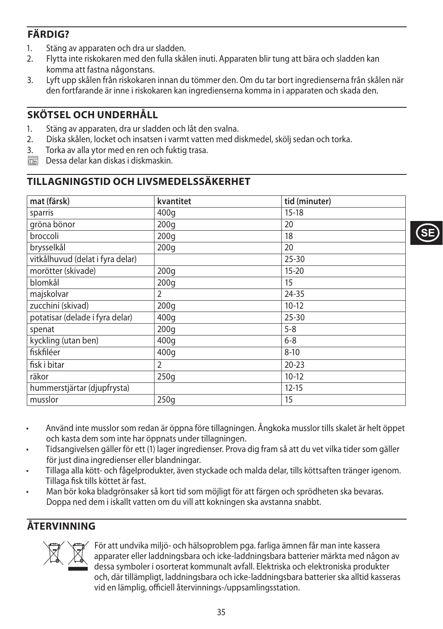# **FÄRDIG?**

- 1. Stäng av apparaten och dra ur sladden.<br>2. Elytta inte riskokaren med den fulla skå
- 2. Flytta inte riskokaren med den fulla skålen inuti. Apparaten blir tung att bära och sladden kan komma att fastna någonstans.
- 3. Lyft upp skålen från riskokaren innan du tömmer den. Om du tar bort ingredienserna från skålen när den fortfarande är inne i riskokaren kan ingredienserna komma in i apparaten och skada den.

## **SKÖTSEL OCH UNDERHÅLL**

- 1. Stäng av apparaten, dra ur sladden och låt den svalna.
- 2. Diska skålen, locket och insatsen i varmt vatten med diskmedel, skölj sedan och torka.
- 3. Torka av alla ytor med en ren och fuktig trasa.
- $\overline{\mathbb{R}}$  Dessa delar kan diskas i diskmaskin.

## **TILLAGNINGSTID OCH LIVSMEDELSSÄKERHET**

| mat (färsk)                      | kvantitet | tid (minuter) |
|----------------------------------|-----------|---------------|
| sparris                          | 400g      | $15 - 18$     |
| gröna bönor                      | 200q      | 20            |
| broccoli                         | 200q      | 18            |
| brysselkål                       | 200q      | 20            |
| vitkålhuvud (delat i fyra delar) |           | $25 - 30$     |
| morötter (skivade)               | 200q      | $15 - 20$     |
| blomkål                          | 200q      | 15            |
| majskolvar                       | 2         | 24-35         |
| zucchini (skivad)                | 200q      | $10-12$       |
| potatisar (delade i fyra delar)  | 400q      | $25 - 30$     |
| spenat                           | 200q      | $5 - 8$       |
| kyckling (utan ben)              | 400q      | $6 - 8$       |
| fiskfiléer                       | 400q      | $8 - 10$      |
| fisk i bitar                     | 2         | $20 - 23$     |
| räkor                            | 250q      | $10-12$       |
| hummerstjärtar (djupfrysta)      |           | $12 - 15$     |
| musslor                          | 250q      | 15            |

- Använd inte musslor som redan är öppna före tillagningen. Ångkoka musslor tills skalet är helt öppet och kasta dem som inte har öppnats under tillagningen.
- Tidsangivelsen gäller för ett (1) lager ingredienser. Prova dig fram så att du vet vilka tider som gäller för just dina ingredienser eller blandningar.
- Tillaga alla kött- och fågelprodukter, även styckade och malda delar, tills köttsaften tränger igenom. Tillaga fisk tills köttet är fast.
- Man bör koka bladgrönsaker så kort tid som möjligt för att färgen och sprödheten ska bevaras. Doppa ned dem i iskallt vatten om du vill att kokningen ska avstanna snabbt.

# **ÅTERVINNING**



För att undvika miljö- och hälsoproblem pga. farliga ämnen får man inte kassera<br>apparater eller laddningsbara och icke-laddningsbara batterier märkta med någe<br>dessa symboler i osorterat kommunalt avfall. Elektriska och ele apparater eller laddningsbara och icke-laddningsbara batterier märkta med någon av dessa symboler i osorterat kommunalt avfall. Elektriska och elektroniska produkter och, där tillämpligt, laddningsbara och icke-laddningsbara batterier ska alltid kasseras vid en lämplig, officiell återvinnings-/uppsamlingsstation.

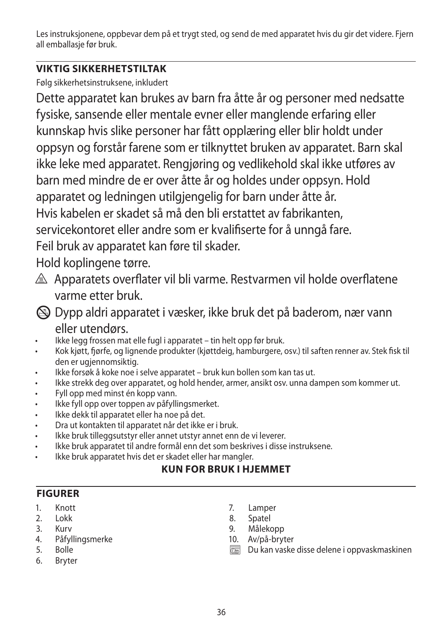Les instruksjonene, oppbevar dem på et trygt sted, og send de med apparatet hvis du gir det videre. Fjern all emballasje før bruk.

# **VIKTIG SIKKERHETSTILTAK**

Følg sikkerhetsinstruksene, inkludert

Dette apparatet kan brukes av barn fra åtte år og personer med nedsatte fysiske, sansende eller mentale evner eller manglende erfaring eller kunnskap hvis slike personer har fått opplæring eller blir holdt under oppsyn og forstår farene som er tilknyttet bruken av apparatet. Barn skal ikke leke med apparatet. Rengjøring og vedlikehold skal ikke utføres av barn med mindre de er over åtte år og holdes under oppsyn. Hold apparatet og ledningen utilgjengelig for barn under åtte år. Hvis kabelen er skadet så må den bli erstattet av fabrikanten, servicekontoret eller andre som er kvalifiserte for å unngå fare. Feil bruk av apparatet kan føre til skader.

Hold koplingene tørre.

- A Apparatets overflater vil bli varme. Restvarmen vil holde overflatene varme etter bruk.
- L Dypp aldri apparatet i væsker, ikke bruk det på baderom, nær vann eller utendørs.
- Ikke legg frossen mat elle fugl i apparatet tin helt opp før bruk.
- Kok kjøtt, fjørfe, og lignende produkter (kjøttdeig, hamburgere, osv.) til saften renner av. Stek fisk til den er ugjennomsiktig.
- Ikke forsøk å koke noe i selve apparatet bruk kun bollen som kan tas ut.
- Ikke strekk deg over apparatet, og hold hender, armer, ansikt osv. unna dampen som kommer ut.
- Fyll opp med minst én kopp vann.
- Ikke fyll opp over toppen av påfyllingsmerket.
- Ikke dekk til apparatet eller ha noe på det.
- Dra ut kontakten til apparatet når det ikke er i bruk.
- Ikke bruk tilleggsutstyr eller annet utstyr annet enn de vi leverer.
- Ikke bruk apparatet til andre formål enn det som beskrives i disse instruksene.
- Ikke bruk apparatet hvis det er skadet eller har mangler.

# **KUN FOR BRUK I HJEMMET**

# **FIGURER**

- 1. Knott
- 2. Lokk
- 3. Kurv
- 4. Påfyllingsmerke
- 5. Bolle
- 6. Bryter
- 7. Lamper
- 8. Spatel
- 9. Målekopp
- 10. Av/på-bryter
- $\overline{\mathbb{R}}$  Du kan vaske disse delene i oppvaskmaskinen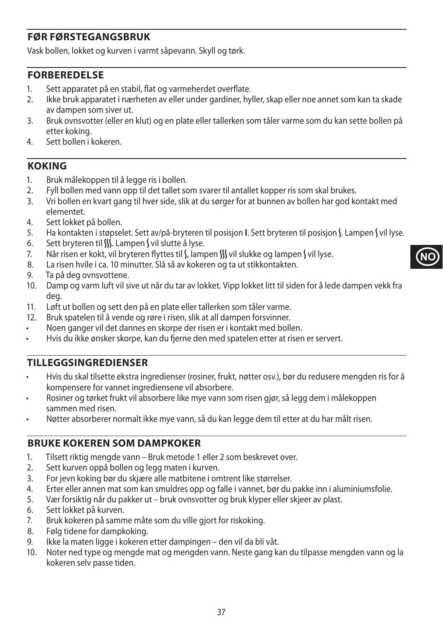### **FØR FØRSTEGANGSBRUK**

Vask bollen, lokket og kurven i varmt såpevann. Skyll og tørk.

#### **FORBEREDELSE**

- 1. Sett apparatet på en stabil, flat og varmeherdet overflate.
- 2. Ikke bruk apparatet i nærheten av eller under gardiner, hyller, skap eller noe annet som kan ta skade av dampen som siver ut.
- 3. Bruk ovnsvotter (eller en klut) og en plate eller tallerken som tåler varme som du kan sette bollen på etter koking.
- 4. Sett bollen i kokeren.

#### **KOKING**

- 1. Bruk målekoppen til å legge ris i bollen.
- 2. Fyll bollen med vann opp til det tallet som svarer til antallet kopper ris som skal brukes.
- 3. Vri bollen en kvart gang til hver side, slik at du sørger for at bunnen av bollen har god kontakt med elementet.
- 4. Sett lokket på bollen.
- 5. Ha kontakten i støpselet. Sett av/på-bryteren til posisjon **I**. Sett bryteren til posisjon S. Lampen S vil lyse.
- 6. Sett bryteren til  $III$ . Lampen S vil slutte å lyse.
- 7. Når risen er kokt, vil bryteren flyttes til  $\int$ , lampen  $\int$  vil slukke og lampen  $\int$  vil lyse.
- 8. La risen hvile i ca. 10 minutter. Slå så av kokeren og ta ut stikkontakten.
- 9. Ta på deg ovnsvottene.
- 10. Damp og varm luft vil sive ut når du tar av lokket. Vipp lokket litt til siden for å lede dampen vekk fra deg.
- 11. Løft ut bollen og sett den på en plate eller tallerken som tåler varme.
- 12. Bruk spatelen til å vende og røre i risen, slik at all dampen forsvinner.
- Noen ganger vil det dannes en skorpe der risen er i kontakt med bollen.
- Hvis du ikke ønsker skorpe, kan du fjerne den med spatelen etter at risen er servert.

### **TILLEGGSINGREDIENSER**

- Hvis du skal tilsette ekstra ingredienser (rosiner, frukt, nøtter osv.), bør du redusere mengden ris for å kompensere for vannet ingrediensene vil absorbere.
- Rosiner og tørket frukt vil absorbere like mye vann som risen gjør, så legg dem i målekoppen sammen med risen.
- Nøtter absorberer normalt ikke mye vann, så du kan legge dem til etter at du har målt risen.

#### **BRUKE KOKEREN SOM DAMPKOKER**

- 1. Tilsett riktig mengde vann Bruk metode 1 eller 2 som beskrevet over.
- 2. Sett kurven oppå bollen og legg maten i kurven.
- 3. For jevn koking bør du skjære alle matbitene i omtrent like størrelser.
- 4. Erter eller annen mat som kan smuldres opp og falle i vannet, bør du pakke inn i aluminiumsfolie.
- 5. Vær forsiktig når du pakker ut bruk ovnsvotter og bruk klyper eller skjeer av plast.
- 6. Sett lokket på kurven.
- 7. Bruk kokeren på samme måte som du ville gjort for riskoking.
- 8. Følg tidene for dampkoking.
- 9. Ikke la maten ligge i kokeren etter dampingen den vil da bli våt.
- 10. Noter ned type og mengde mat og mengden vann. Neste gang kan du tilpasse mengden vann og la kokeren selv passe tiden.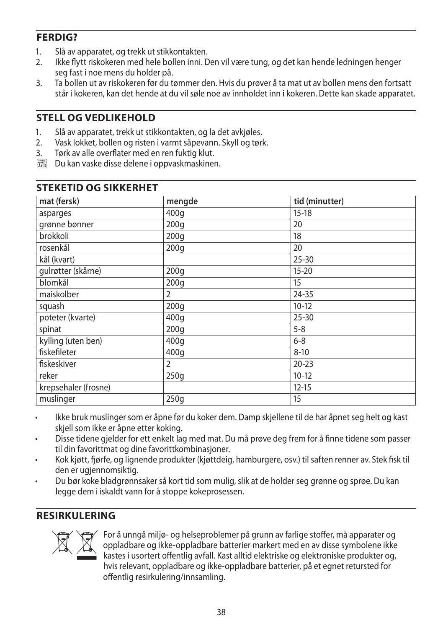### **FERDIG?**

- 1. Slå av apparatet, og trekk ut stikkontakten.<br>2. Ikke flytt riskokeren med hele bollen inni. D
- 2. Ikke flytt riskokeren med hele bollen inni. Den vil være tung, og det kan hende ledningen henger seg fast i noe mens du holder på.
- 3. Ta bollen ut av riskokeren før du tømmer den. Hvis du prøver å ta mat ut av bollen mens den fortsatt står i kokeren, kan det hende at du vil søle noe av innholdet inn i kokeren. Dette kan skade apparatet.

### **STELL OG VEDLIKEHOLD**

- 1. Slå av apparatet, trekk ut stikkontakten, og la det avkjøles.
- 2. Vask lokket, bollen og risten i varmt såpevann. Skyll og tørk.
- 3. Tørk av alle overflater med en ren fuktig klut.
- $\overline{\mathbb{R}}$  Du kan vaske disse delene i oppvaskmaskinen.

| mat (fersk)          | mengde         | tid (minutter) |
|----------------------|----------------|----------------|
| asparges             | 400q           | $15 - 18$      |
| grønne bønner        | 200q           | 20             |
| brokkoli             | 200q           | 18             |
| rosenkål             | 200q           | 20             |
| kål (kvart)          |                | $25 - 30$      |
| gulrøtter (skårne)   | 200q           | $15 - 20$      |
| blomkål              | 200q           | 15             |
| maiskolber           | $\overline{2}$ | 24-35          |
| squash               | 200q           | $10-12$        |
| poteter (kvarte)     | 400q           | $25 - 30$      |
| spinat               | 200q           | $5 - 8$        |
| kylling (uten ben)   | 400q           | $6 - 8$        |
| fiskefileter         | 400q           | $8 - 10$       |
| fiskeskiver          | $\overline{2}$ | $20 - 23$      |
| reker                | 250g           | $10-12$        |
| krepsehaler (frosne) |                | $12 - 15$      |
| muslinger            | 250g           | 15             |

## **STEKETID OG SIKKERHET**

- Ikke bruk muslinger som er åpne før du koker dem. Damp skjellene til de har åpnet seg helt og kast skjell som ikke er åpne etter koking.
- Disse tidene gjelder for ett enkelt lag med mat. Du må prøve deg frem for å finne tidene som passer til din favorittmat og dine favorittkombinasjoner.
- Kok kjøtt, fjørfe, og lignende produkter (kjøttdeig, hamburgere, osv.) til saften renner av. Stek fisk til den er ugjennomsiktig.
- Du bør koke bladgrønnsaker så kort tid som mulig, slik at de holder seg grønne og sprøe. Du kan legge dem i iskaldt vann for å stoppe kokeprosessen.

### **RESIRKULERING**



For å unngå miljø- og helseproblemer på grunn av farlige stoffer, må apparater og oppladbare og ikke-oppladbare batterier markert med en av disse symbolene ikke<br>kastes i usortert offentlig avfall. Kast alltid elektriske og oppladbare og ikke-oppladbare batterier markert med en av disse symbolene ikke kastes i usortert offentlig avfall. Kast alltid elektriske og elektroniske produkter og, hvis relevant, oppladbare og ikke-oppladbare batterier, på et egnet retursted for offentlig resirkulering/innsamling.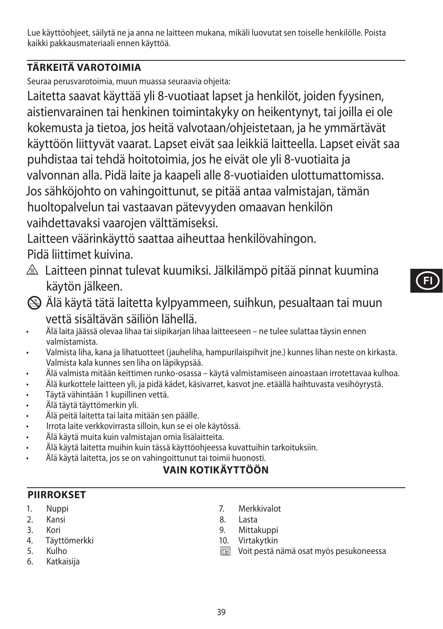Lue käyttöohjeet, säilytä ne ja anna ne laitteen mukana, mikäli luovutat sen toiselle henkilölle. Poista kaikki pakkausmateriaali ennen käyttöä.

# **TÄRKEITÄ VAROTOIMIA**

Seuraa perusvarotoimia, muun muassa seuraavia ohjeita:

Laitetta saavat käyttää yli 8-vuotiaat lapset ja henkilöt, joiden fyysinen, aistienvarainen tai henkinen toimintakyky on heikentynyt, tai joilla ei ole kokemusta ja tietoa, jos heitä valvotaan/ohjeistetaan, ja he ymmärtävät käyttöön liittyvät vaarat. Lapset eivät saa leikkiä laitteella. Lapset eivät saa puhdistaa tai tehdä hoitotoimia, jos he eivät ole yli 8-vuotiaita ja valvonnan alla. Pidä laite ja kaapeli alle 8-vuotiaiden ulottumattomissa. Jos sähköjohto on vahingoittunut, se pitää antaa valmistajan, tämän huoltopalvelun tai vastaavan pätevyyden omaavan henkilön vaihdettavaksi vaarojen välttämiseksi.

Laitteen väärinkäyttö saattaa aiheuttaa henkilövahingon. Pidä liittimet kuivina.

- $\triangle$  Laitteen pinnat tulevat kuumiksi. Jälkilämpö pitää pinnat kuumina käytön jälkeen.
- **FI**
- L Älä käytä tätä laitetta kylpyammeen, suihkun, pesualtaan tai muun vettä sisältävän säiliön lähellä.
- Älä laita jäässä olevaa lihaa tai siipikarjan lihaa laitteeseen ne tulee sulattaa täysin ennen valmistamista.
- Valmista liha, kana ja lihatuotteet (jauheliha, hampurilaispihvit jne.) kunnes lihan neste on kirkasta. Valmista kala kunnes sen liha on läpikypsää.
- Älä valmista mitään keittimen runko-osassa käytä valmistamiseen ainoastaan irrotettavaa kulhoa.
- Älä kurkottele laitteen yli, ja pidä kädet, käsivarret, kasvot jne. etäällä haihtuvasta vesihöyrystä.
- Täytä vähintään 1 kupillinen vettä.
- Älä täytä täyttömerkin yli.
- Älä peitä laitetta tai laita mitään sen päälle.
- Irrota laite verkkovirrasta silloin, kun se ei ole käytössä.
- Älä käytä muita kuin valmistajan omia lisälaitteita.
- Älä käytä laitetta muihin kuin tässä käyttöohjeessa kuvattuihin tarkoituksiin.
	- Älä käytä laitetta, jos se on vahingoittunut tai toimii huonosti.

# **VAIN KOTIKÄYTTÖÖN**

# **PIIRROKSET**

- 1. Nuppi
- 2. Kansi
- 3. Kori
- 4. Täyttömerkki
- 5. Kulho
- 6. Katkaisija
- 7. Merkkivalot
- 8. Lasta
- 9. Mittakuppi
- 10. Virtakytkin
- $\overline{\mathbb{R}}$  Voit pestä nämä osat myös pesukoneessa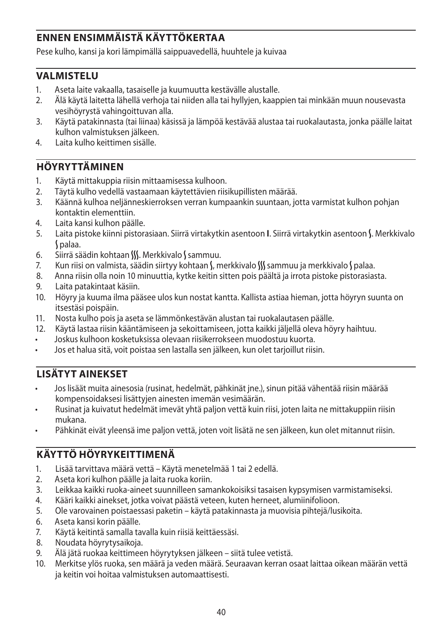## **ENNEN ENSIMMÄISTÄ KÄYTTÖKERTAA**

Pese kulho, kansi ja kori lämpimällä saippuavedellä, huuhtele ja kuivaa

### **VALMISTELU**

- 1. Aseta laite vakaalla, tasaiselle ja kuumuutta kestävälle alustalle.
- 2. Älä käytä laitetta lähellä verhoja tai niiden alla tai hyllyjen, kaappien tai minkään muun nousevasta vesihöyrystä vahingoittuvan alla.
- 3. Käytä patakinnasta (tai liinaa) käsissä ja lämpöä kestävää alustaa tai ruokalautasta, jonka päälle laitat kulhon valmistuksen jälkeen.
- 4. Laita kulho keittimen sisälle.

## **HÖYRYTTÄMINEN**

- 1. Käytä mittakuppia riisin mittaamisessa kulhoon.
- 2. Täytä kulho vedellä vastaamaan käytettävien riisikupillisten määrää.
- 3. Käännä kulhoa neljänneskierroksen verran kumpaankin suuntaan, jotta varmistat kulhon pohjan kontaktin elementtiin.
- 4. Laita kansi kulhon päälle.
- 5. Laita pistoke kiinni pistorasiaan. Siirrä virtakytkin asentoon **I**. Siirrä virtakytkin asentoon N. Merkkivalo N palaa.
- 6. Siirrä säädin kohtaan SSS. Merkkivalo Sammuu.
- 7. Kun riisi on valmista, säädin siirtyy kohtaan (, merkkivalo () sammuu ja merkkivalo ( palaa.
- 8. Anna riisin olla noin 10 minuuttia, kytke keitin sitten pois päältä ja irrota pistoke pistorasiasta.
- 9. Laita patakintaat käsiin.
- 10. Höyry ja kuuma ilma pääsee ulos kun nostat kantta. Kallista astiaa hieman, jotta höyryn suunta on itsestäsi poispäin.
- 11. Nosta kulho pois ja aseta se lämmönkestävän alustan tai ruokalautasen päälle.
- 12. Käytä lastaa riisin kääntämiseen ja sekoittamiseen, jotta kaikki jäljellä oleva höyry haihtuu.
- Joskus kulhoon kosketuksissa olevaan riisikerrokseen muodostuu kuorta.
- Jos et halua sitä, voit poistaa sen lastalla sen jälkeen, kun olet tarjoillut riisin.

## **LISÄTYT AINEKSET**

- Jos lisäät muita ainesosia (rusinat, hedelmät, pähkinät jne.), sinun pitää vähentää riisin määrää kompensoidaksesi lisättyjen ainesten imemän vesimäärän.
- Rusinat ja kuivatut hedelmät imevät yhtä paljon vettä kuin riisi, joten laita ne mittakuppiin riisin mukana.
- Pähkinät eivät yleensä ime paljon vettä, joten voit lisätä ne sen jälkeen, kun olet mitannut riisin.

## **KÄYTTÖ HÖYRYKEITTIMENÄ**

- 1. Lisää tarvittava määrä vettä Käytä menetelmää 1 tai 2 edellä.
- 2. Aseta kori kulhon päälle ja laita ruoka koriin.
- 3. Leikkaa kaikki ruoka-aineet suunnilleen samankokoisiksi tasaisen kypsymisen varmistamiseksi.
- 4. Kääri kaikki ainekset, jotka voivat päästä veteen, kuten herneet, alumiinifolioon.
- 5. Ole varovainen poistaessasi paketin käytä patakinnasta ja muovisia pihtejä/lusikoita.
- 6. Aseta kansi korin päälle.
- 7. Käytä keitintä samalla tavalla kuin riisiä keittäessäsi.
- 8. Noudata höyrytysaikoja.
- 9. Älä jätä ruokaa keittimeen höyrytyksen jälkeen siitä tulee vetistä.
- 10. Merkitse ylös ruoka, sen määrä ja veden määrä. Seuraavan kerran osaat laittaa oikean määrän vettä ja keitin voi hoitaa valmistuksen automaattisesti.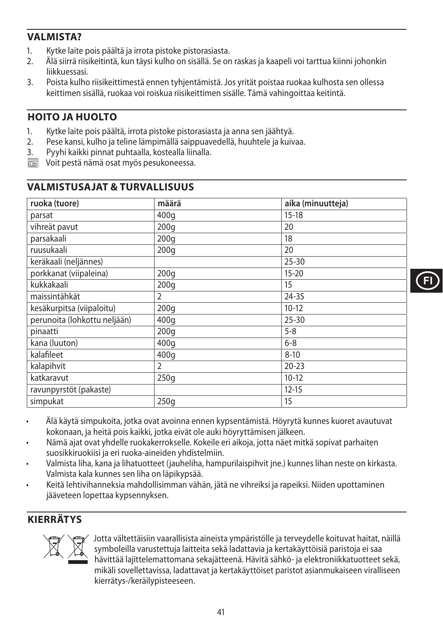### **VALMISTA?**

- 1. Kytke laite pois päältä ja irrota pistoke pistorasiasta.<br>2. Kälä siirrä riisikeitintä, kun täysi kulbo on sisällä. Se on
- 2. Älä siirrä riisikeitintä, kun täysi kulho on sisällä. Se on raskas ja kaapeli voi tarttua kiinni johonkin liikkuessasi.
- 3. Poista kulho riisikeittimestä ennen tyhjentämistä. Jos yrität poistaa ruokaa kulhosta sen ollessa keittimen sisällä, ruokaa voi roiskua riisikeittimen sisälle. Tämä vahingoittaa keitintä.

## **HOITO JA HUOLTO**

- 1. Kytke laite pois päältä, irrota pistoke pistorasiasta ja anna sen jäähtyä.
- 2. Pese kansi, kulho ja teline lämpimällä saippuavedellä, huuhtele ja kuivaa.
- 3. Pyyhi kaikki pinnat puhtaalla, kostealla liinalla.
- $\overline{\mathbb{C}\mathbb{C}\mathbb{C}}$  Voit pestä nämä osat myös pesukoneessa.

| ruoka (tuore)                | määrä | aika (minuutteja) |
|------------------------------|-------|-------------------|
| parsat                       | 400q  | $15 - 18$         |
| vihreät pavut                | 200q  | 20                |
| parsakaali                   | 200q  | 18                |
| ruusukaali                   | 200q  | 20                |
| keräkaali (neljännes)        |       | $25 - 30$         |
| porkkanat (viipaleina)       | 200q  | $15 - 20$         |
| kukkakaali                   | 200q  | 15                |
| maissintähkät                | 2     | 24-35             |
| kesäkurpitsa (viipaloitu)    | 200q  | $10-12$           |
| perunoita (lohkottu neljään) | 400g  | 25-30             |
| pinaatti                     | 200q  | $5 - 8$           |
| kana (luuton)                | 400g  | $6 - 8$           |
| kalafileet                   | 400q  | $8 - 10$          |
| kalapihvit                   | 2     | $20 - 23$         |
| katkaravut                   | 250g  | $10-12$           |
| ravunpyrstöt (pakaste)       |       | $12 - 15$         |
| simpukat                     | 250q  | 15                |

### **VALMISTUSAJAT & TURVALLISUUS**

- Älä käytä simpukoita, jotka ovat avoinna ennen kypsentämistä. Höyrytä kunnes kuoret avautuvat kokonaan, ja heitä pois kaikki, jotka eivät ole auki höyryttämisen jälkeen.
- Nämä ajat ovat yhdelle ruokakerrokselle. Kokeile eri aikoja, jotta näet mitkä sopivat parhaiten suosikkiruokiisi ja eri ruoka-aineiden yhdistelmiin.
- Valmista liha, kana ja lihatuotteet (jauheliha, hampurilaispihvit jne.) kunnes lihan neste on kirkasta. Valmista kala kunnes sen liha on läpikypsää.
- Keitä lehtivihanneksia mahdollisimman vähän, jätä ne vihreiksi ja rapeiksi. Niiden upottaminen jääveteen lopettaa kypsennyksen.

### **KIERRÄTYS**



Sotta vältettäisiin vaarallisista aineista ympäristölle ja terveydelle koituvat haitat, näillä<br>symboleilla varustettuja laitteita sekä ladattavia ja kertakäyttöisiä paristoja ei saa<br>hävittää lajittelemattomana sekajätteenä symboleilla varustettuja laitteita sekä ladattavia ja kertakäyttöisiä paristoja ei saa hävittää lajittelemattomana sekajätteenä. Hävitä sähkö- ja elektroniikkatuotteet sekä, mikäli sovellettavissa, ladattavat ja kertakäyttöiset paristot asianmukaiseen viralliseen kierrätys-/keräilypisteeseen.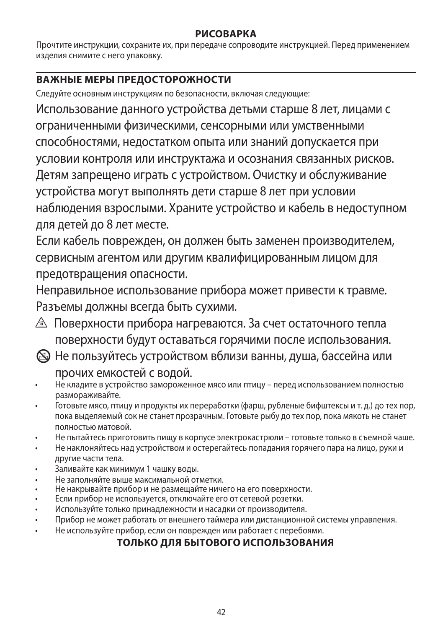#### **РИСОВАРКА**

Прочтите инструкции, сохраните их, при передаче сопроводите инструкцией. Перед применением изделия снимите с него упаковку.

## **ВАЖНЫЕ МЕРЫ ПРЕДОСТОРОЖНОСТИ**

Следуйте основным инструкциям по безопасности, включая следующие:

Использование данного устройства детьми старше 8 лет, лицами с ограниченными физическими, сенсорными или умственными способностями, недостатком опыта или знаний допускается при условии контроля или инструктажа и осознания связанных рисков. Детям запрещено играть с устройством. Очистку и обслуживание устройства могут выполнять дети старше 8 лет при условии наблюдения взрослыми. Храните устройство и кабель в недоступном для детей до 8 лет месте.

Если кабель поврежден, он должен быть заменен производителем, сервисным агентом или другим квалифицированным лицом для предотвращения опасности.

Неправильное использование прибора может привести к травме. Разъемы должны всегда быть сухими.

- $\triangle$  Поверхности прибора нагреваются. За счет остаточного тепла поверхности будут оставаться горячими после использования.
- L Не пользуйтесь устройством вблизи ванны, душа, бассейна или прочих емкостей с водой.
- Не кладите в устройство замороженное мясо или птицу перед использованием полностью размораживайте.
- Готовьте мясо, птицу и продукты их переработки (фарш, рубленые бифштексы и т. д.) до тех пор, пока выделяемый сок не станет прозрачным. Готовьте рыбу до тех пор, пока мякоть не станет полностью матовой.
- Не пытайтесь приготовить пищу в корпусе электрокастрюли готовьте только в съемной чаше.
- Не наклоняйтесь над устройством и остерегайтесь попадания горячего пара на лицо, руки и другие части тела.
- Заливайте как минимум 1 чашку воды.
- Не заполняйте выше максимальной отметки.
- Не накрывайте прибор и не размещайте ничего на его поверхности.
- Если прибор не используется, отключайте его от сетевой розетки.
- Используйте только принадлежности и насадки от производителя.
- Прибор не может работать от внешнего таймера или дистанционной системы управления.
- Не используйте прибор, если он поврежден или работает с перебоями.

## **ТОЛЬКО ДЛЯ БЫТОВОГО ИСПОЛЬЗОВАНИЯ**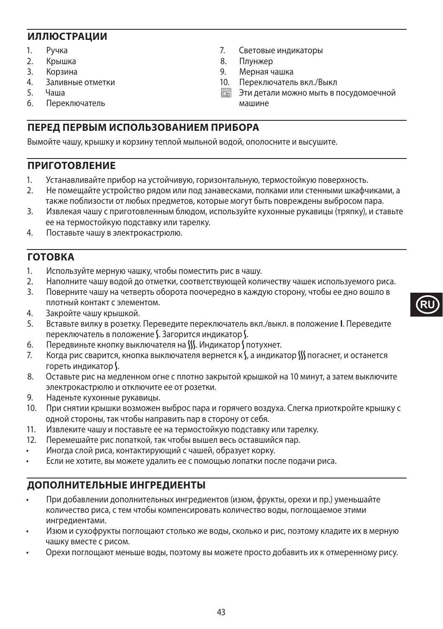#### **ИЛЛЮСТРАЦИИ**

- 1. Ручка
- 2. Крышка<br>3 Корзина
- Корзина
- 4. Заливные отметки
- 5. Чаша<br>6 Пере
- 6. Переключатель
- 7. Световые индикаторы
- 8. Плунжер<br>9 Мерная ч
- 9. Мерная чашка
- 10. Переключатель вкл./Выкл
- **MESS** Эти детали можно мыть в посудомоечной машине

### **ПЕРЕД ПЕРВЫМ ИСПОЛЬЗОВАНИЕМ ПРИБОРА**

Вымойте чашу, крышку и корзину теплой мыльной водой, ополосните и высушите.

#### **ПРИГОТОВЛЕНИЕ**

- 1. Устанавливайте прибор на устойчивую, горизонтальную, термостойкую поверхность.
- 2. Не помещайте устройство рядом или под занавесками, полками или стенными шкафчиками, а также поблизости от любых предметов, которые могут быть повреждены выбросом пара.
- 3. Извлекая чашу с приготовленным блюдом, используйте кухонные рукавицы (тряпку), и ставьте ее на термостойкую подставку или тарелку.
- 4. Поставьте чашу в электрокастрюлю.

#### **ГОТОВКА**

- 1. Используйте мерную чашку, чтобы поместить рис в чашу.
- 2. Наполните чашу водой до отметки, соответствующей количеству чашек используемого риса.
- 3. Поверните чашу на четверть оборота поочередно в каждую сторону, чтобы ее дно вошло в плотный контакт с элементом.
- 4. Закройте чашу крышкой.
- 5. Вставьте вилку в розетку. Переведите переключатель вкл./выкл. в положение **I**. Переведите переключатель в положение  $\mathsf{S}$ . Загорится индикатор  $\mathsf{S}$ .
- 6. Передвиньте кнопку выключателя на SSS. Индикатор S потухнет.
- 7. Когда рис сварится, кнопка выключателя вернется к V, а индикатор W погаснет, и останется гореть индикатор \.
- 8. Оставьте рис на медленном огне с плотно закрытой крышкой на 10 минут, а затем выключите электрокастрюлю и отключите ее от розетки.
- 9. Наденьте кухонные рукавицы.
- 10. При снятии крышки возможен выброс пара и горячего воздуха. Слегка приоткройте крышку с одной стороны, так чтобы направить пар в сторону от себя.
- 11. Извлеките чашу и поставьте ее на термостойкую подставку или тарелку.
- 12. Перемешайте рис лопаткой, так чтобы вышел весь оставшийся пар.
- Иногда слой риса, контактирующий с чашей, образует корку.
- Если не хотите, вы можете удалить ее с помощью лопатки после подачи риса.

## **ДОПОЛНИТЕЛЬНЫЕ ИНГРЕДИЕНТЫ**

- При добавлении дополнительных ингредиентов (изюм, фрукты, орехи и пр.) уменьшайте количество риса, с тем чтобы компенсировать количество воды, поглощаемое этими ингредиентами.
- Изюм и сухофрукты поглощают столько же воды, сколько и рис, поэтому кладите их в мерную чашку вместе с рисом.
- Орехи поглощают меньше воды, поэтому вы можете просто добавить их к отмеренному рису.

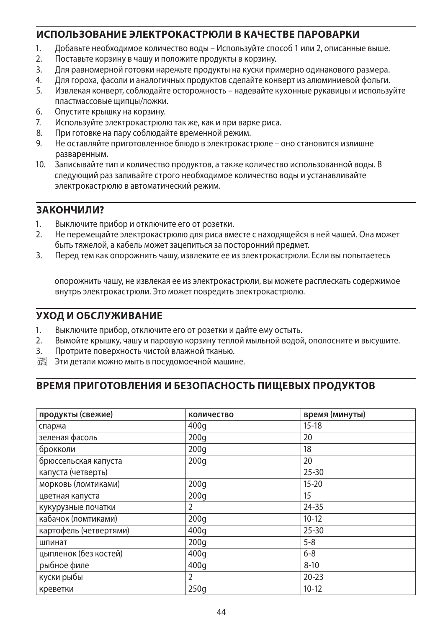#### **ИСПОЛЬЗОВАНИЕ ЭЛЕКТРОКАСТРЮЛИ В КАЧЕСТВЕ ПАРОВАРКИ**

- 1. Добавьте необходимое количество воды Используйте способ 1 или 2, описанные выше.
- 2. Поставьте корзину в чашу и положите продукты в корзину.
- 3. Для равномерной готовки нарежьте продукты на куски примерно одинакового размера.
- 4. Для гороха, фасоли и аналогичных продуктов сделайте конверт из алюминиевой фольги.
- 5. Извлекая конверт, соблюдайте осторожность надевайте кухонные рукавицы и используйте пластмассовые щипцы/ложки.
- 6. Опустите крышку на корзину.
- 7. Используйте электрокастрюлю так же, как и при варке риса.
- 8. При готовке на пару соблюдайте временной режим.
- 9. Не оставляйте приготовленное блюдо в электрокастрюле оно становится излишне разваренным.
- 10. Записывайте тип и количество продуктов, а также количество использованной воды. В следующий раз заливайте строго необходимое количество воды и устанавливайте электрокастрюлю в автоматический режим.

#### **ЗАКОНЧИЛИ?**

- 1. Выключите прибор и отключите его от розетки.
- 2. Не перемещайте электрокастрюлю для риса вместе с находящейся в ней чашей. Она может быть тяжелой, а кабель может зацепиться за посторонний предмет.
- 3. Перед тем как опорожнить чашу, извлеките ее из электрокастрюли. Если вы попытаетесь

опорожнить чашу, не извлекая ее из электрокастрюли, вы можете расплескать содержимое внутрь электрокастрюли. Это может повредить электрокастрюлю.

#### **УХОД И ОБСЛУЖИВАНИЕ**

- 1. Выключите прибор, отключите его от розетки и дайте ему остыть.<br>2. Вымойте крышку, чашу и паровую корзину теплой мыльной водой
- 2. Вымойте крышку, чашу и паровую корзину теплой мыльной водой, ополосните и высушите.
- 3. Протрите поверхность чистой влажной тканью.
- **MESS** Эти детали можно мыть в посудомоечной машине.

#### **ВРЕМЯ ПРИГОТОВЛЕНИЯ И БЕЗОПАСНОСТЬ ПИЩЕВЫХ ПРОДУКТОВ**

| продукты (свежие)      | количество | время (минуты) |
|------------------------|------------|----------------|
| спаржа                 | 400g       | $15-18$        |
| зеленая фасоль         | 200q       | 20             |
| брокколи               | 200q       | 18             |
| брюссельская капуста   | 200q       | 20             |
| капуста (четверть)     |            | $25 - 30$      |
| морковь (ломтиками)    | 200q       | $15 - 20$      |
| цветная капуста        | 200q       | 15             |
| кукурузные початки     | 2          | 24-35          |
| кабачок (ломтиками)    | 200q       | $10-12$        |
| картофель (четвертями) | 400g       | $25 - 30$      |
| шпинат                 | 200q       | $5 - 8$        |
| цыпленок (без костей)  | 400g       | $6 - 8$        |
| рыбное филе            | 400q       | $8 - 10$       |
| куски рыбы             | 2          | $20 - 23$      |
| креветки               | 250q       | $10 - 12$      |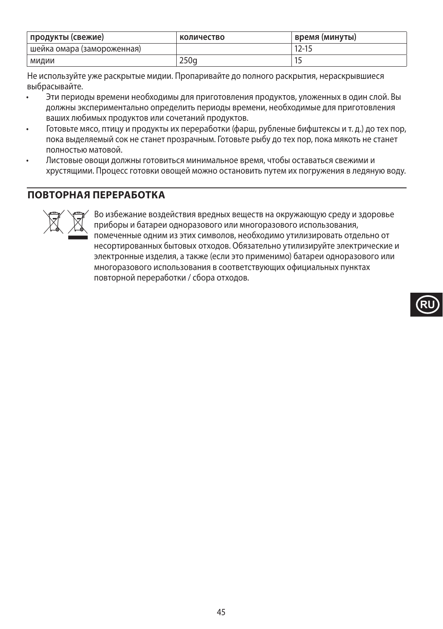| продукты (свежие)          | количество       | время (минуты) |
|----------------------------|------------------|----------------|
| шейка омара (замороженная) |                  | 12-15          |
| мидии                      | 250 <sub>a</sub> |                |

Не используйте уже раскрытые мидии. Пропаривайте до полного раскрытия, нераскрывшиеся выбрасывайте.

- Эти периоды времени необходимы для приготовления продуктов, уложенных в один слой. Вы должны экспериментально определить периоды времени, необходимые для приготовления ваших любимых продуктов или сочетаний продуктов.
- Готовьте мясо, птицу и продукты их переработки (фарш, рубленые бифштексы и т. д.) до тех пор, пока выделяемый сок не станет прозрачным. Готовьте рыбу до тех пор, пока мякоть не станет полностью матовой.
- Листовые овощи должны готовиться минимальное время, чтобы оставаться свежими и хрустящими. Процесс готовки овощей можно остановить путем их погружения в ледяную воду.

### **ПОВТОРНАЯ ПЕРЕРАБОТКА**



WBY Во избежание воздействия вредных веществ на окружающую среду и здоровье<br>приборы и батареи одноразового или многоразового использования,<br>помеченные одним из этих символов, необходимо утилизировать отдельно от<br>несортиро приборы и батареи одноразового или многоразового использования, помеченные одним из этих символов, необходимо утилизировать отдельно от несортированных бытовых отходов. Обязательно утилизируйте электрические и электронные изделия, а также (если это применимо) батареи одноразового или многоразового использования в соответствующих официальных пунктах повторной переработки / сбора отходов.

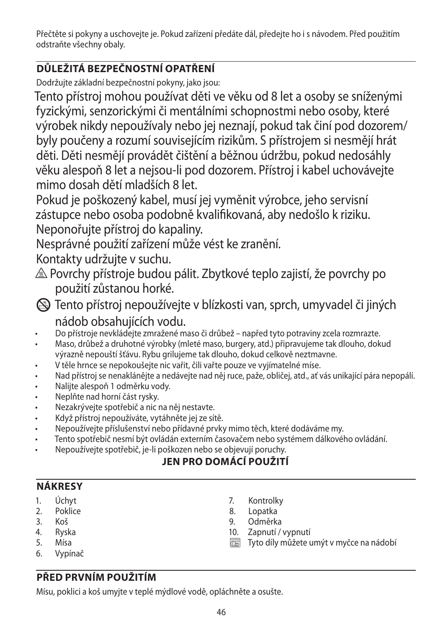Přečtěte si pokyny a uschovejte je. Pokud zařízení předáte dál, předejte ho i s návodem. Před použitím odstraňte všechny obaly.

# **DŮLEŽITÁ BEZPEČNOSTNÍ OPATŘENÍ**

Dodržujte základní bezpečnostní pokyny, jako jsou:

Tento přístroj mohou používat děti ve věku od 8 let a osoby se sníženými fyzickými, senzorickými či mentálními schopnostmi nebo osoby, které výrobek nikdy nepoužívaly nebo jej neznají, pokud tak činí pod dozorem/ byly poučeny a rozumí souvisejícím rizikům. S přístrojem si nesmějí hrát děti. Děti nesmějí provádět čištění a běžnou údržbu, pokud nedosáhly věku alespoň 8 let a nejsou-li pod dozorem. Přístroj i kabel uchovávejte mimo dosah dětí mladších 8 let.

Pokud je poškozený kabel, musí jej vyměnit výrobce, jeho servisní zástupce nebo osoba podobně kvalifikovaná, aby nedošlo k riziku. Neponořujte přístroj do kapaliny.

Nesprávné použití zařízení může vést ke zranění.

Kontakty udržujte v suchu.

- $\triangle$  Povrchy přístroje budou pálit. Zbytkové teplo zajistí, že povrchy po použití zůstanou horké.
- L Tento přístroj nepoužívejte v blízkosti van, sprch, umyvadel či jiných nádob obsahujících vodu.
- Do přístroje nevkládejte zmražené maso či drůbež napřed tyto potraviny zcela rozmrazte.
- Maso, drůbež a druhotné výrobky (mleté maso, burgery, atd.) připravujeme tak dlouho, dokud výrazně nepouští šťávu. Rybu grilujeme tak dlouho, dokud celkově neztmavne.
- V těle hrnce se nepokoušejte nic vařit, čili vařte pouze ve vyjímatelné míse.
- Nad přístroj se nenaklánějte a nedávejte nad něj ruce, paže, obličej, atd., ať vás unikající pára nepopálí.
- Nalijte alespoň 1 odměrku vody.
- Neplňte nad horní část rysky.
- Nezakrývejte spotřebič a nic na něj nestavte.
- Když přístroj nepoužíváte, vytáhněte jej ze sítě.
- Nepoužívejte příslušenství nebo přídavné prvky mimo těch, které dodáváme my.
- Tento spotřebič nesmí být ovládán externím časovačem nebo systémem dálkového ovládání.
- Nepoužívejte spotřebič, je-li poškozen nebo se objevují poruchy.

# **JEN PRO DOMÁCÍ POUŽITÍ**

### **NÁKRESY**

- 1. Úchyt
- 2. Poklice
- 3. Koš
- 4. Ryska
- 5. Mísa
- 6. Vypínač
- 7. Kontrolky<br>8. Lopatka
- Lopatka
- 9. Odměrka
- 10. Zapnutí / vypnutí
- $\overline{\mathbb{C}\mathbb{C}\mathbb{C}}$  Tyto díly můžete umýt v myčce na nádobí

# **PŘED PRVNÍM POUŽITÍM**

Mísu, poklici a koš umyjte v teplé mýdlové vodě, opláchněte a osušte.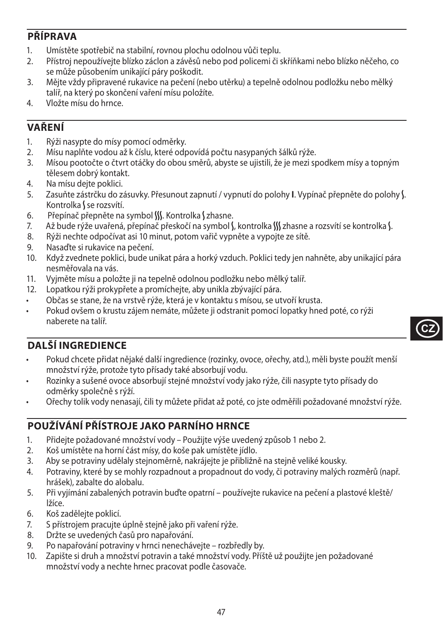### **PŘÍPRAVA**

- 1. Umístěte spotřebič na stabilní, rovnou plochu odolnou vůči teplu.
- 2. Přístroj nepoužívejte blízko záclon a závěsů nebo pod policemi či skříňkami nebo blízko něčeho, co se může působením unikající páry poškodit.
- 3. Mějte vždy připravené rukavice na pečení (nebo utěrku) a tepelně odolnou podložku nebo mělký talíř, na který po skončení vaření mísu položíte.
- 4. Vložte mísu do hrnce.

## **VAŘENÍ**

- 1. Rýži nasypte do mísy pomocí odměrky.
- 2. Mísu naplňte vodou až k číslu, které odpovídá počtu nasypaných šálků rýže.
- 3. Mísou pootočte o čtvrt otáčky do obou směrů, abyste se ujistili, že je mezi spodkem mísy a topným tělesem dobrý kontakt.
- 4. Na mísu dejte poklici.
- 5. Zasuňte zástrčku do zásuvky. Přesunout zapnutí / vypnutí do polohy **I**. Vypínač přepněte do polohy N. Kontrolka S se rozsvítí.
- 6. Přepínač přepněte na symbol SS. Kontrolka Szhasne.
- 7. Až bude rýže uvařená, přepínač přeskočí na symbol S, kontrolka W zhasne a rozsvítí se kontrolka S.
- 8. Rýži nechte odpočívat asi 10 minut, potom vařič vypněte a vypojte ze sítě.
- 9. Nasaďte si rukavice na pečení.
- 10. Když zvednete poklici, bude unikat pára a horký vzduch. Poklici tedy jen nahněte, aby unikající pára nesměřovala na vás.
- 11. Vyjměte mísu a položte ji na tepelně odolnou podložku nebo mělký talíř.
- 12. Lopatkou rýži prokypřete a promíchejte, aby unikla zbývající pára.
- Občas se stane, že na vrstvě rýže, která je v kontaktu s mísou, se utvoří krusta.
- Pokud ovšem o krustu zájem nemáte, můžete ji odstranit pomocí lopatky hned poté, co rýži naberete na talíř.



## **DALŠÍ INGREDIENCE**

- Pokud chcete přidat nějaké další ingredience (rozinky, ovoce, ořechy, atd.), měli byste použít menší množství rýže, protože tyto přísady také absorbují vodu.
- Rozinky a sušené ovoce absorbují stejné množství vody jako rýže, čili nasypte tyto přísady do odměrky společně s rýží.
- Ořechy tolik vody nenasají, čili ty můžete přidat až poté, co jste odměřili požadované množství rýže.

### **POUŽÍVÁNÍ PŘÍSTROJE JAKO PARNÍHO HRNCE**

- 1. Přidejte požadované množství vody Použijte výše uvedený způsob 1 nebo 2.
- 2. Koš umístěte na horní část mísy, do koše pak umístěte jídlo.
- 3. Aby se potraviny udělaly stejnoměrně, nakrájejte je přibližně na stejně veliké kousky.
- 4. Potraviny, které by se mohly rozpadnout a propadnout do vody, či potraviny malých rozměrů (např. hrášek), zabalte do alobalu.
- 5. Při vyjímání zabalených potravin buďte opatrní používejte rukavice na pečení a plastové kleště/ lžíce.
- 6. Koš zadělejte poklicí.
- 7. S přístrojem pracujte úplně stejně jako při vaření rýže.
- 8. Držte se uvedených časů pro napařování.
- 9. Po napařování potraviny v hrnci nenechávejte rozbředly by.
- 10. Zapište si druh a množství potravin a také množství vody. Příště už použijte jen požadované množství vody a nechte hrnec pracovat podle časovače.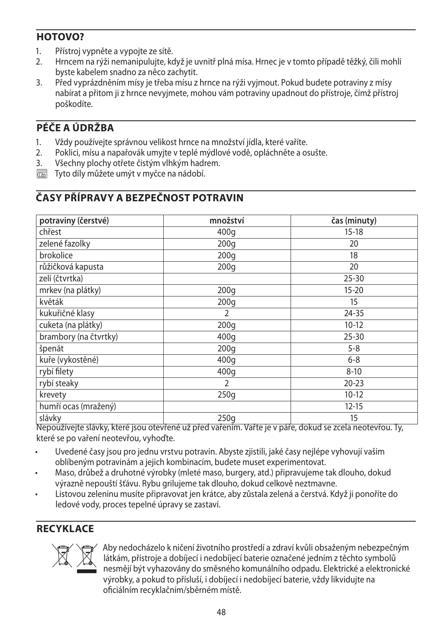### **HOTOVO?**

- 1. Přístroj vypněte a vypojte ze sítě.
- 2. Hrncem na rýži nemanipulujte, když je uvnitř plná mísa. Hrnec je v tomto případě těžký, čili mohli byste kabelem snadno za něco zachytit.
- 3. Před vyprázdněním mísy je třeba mísu z hrnce na rýži vyjmout. Pokud budete potraviny z mísy nabírat a přitom ji z hrnce nevyjmete, mohou vám potraviny upadnout do přístroje, čímž přístroj poškodíte.

## **PÉČE A ÚDRŽBA**

- 1. Vždy používejte správnou velikost hrnce na množství jídla, které vaříte.
- 2. Poklici, mísu a napařovák umyjte v teplé mýdlové vodě, opláchněte a osušte.<br>3. Všechny plochy otřete čistým vlhkým hadrem.
- Všechny plochy otřete čistým vlhkým hadrem.
- $\overline{\mathbb{R}}$  Tyto díly můžete umýt v myčce na nádobí.

# **ČASY PŘÍPRAVY A BEZPEČNOST POTRAVIN**

| potraviny (čerstvé)   | množství | čas (minuty) |
|-----------------------|----------|--------------|
| chřest                | 400g     | $15 - 18$    |
| zelené fazolky        | 200q     | 20           |
| brokolice             | 200q     | 18           |
| růžičková kapusta     | 200q     | 20           |
| zelí (čtvrtka)        |          | $25 - 30$    |
| mrkev (na plátky)     | 200q     | $15 - 20$    |
| květák                | 200q     | 15           |
| kukuřičné klasy       | 2        | 24-35        |
| cuketa (na plátky)    | 200q     | $10-12$      |
| brambory (na čtvrtky) | 400g     | $25 - 30$    |
| špenát                | 200q     | $5 - 8$      |
| kuře (vykostěné)      | 400q     | $6 - 8$      |
| rybí filety           | 400q     | $8 - 10$     |
| rybí steaky           | 2        | $20 - 23$    |
| krevety               | 250q     | $10-12$      |
| humří ocas (mražený)  |          | $12 - 15$    |
| slávky                | 250q     | 15           |

Nepoužívejte slávky, které jsou otevřené už před vařením. Vařte je v páře, dokud se zcela neotevřou. Ty, které se po vaření neotevřou, vyhoďte.

- Uvedené časy jsou pro jednu vrstvu potravin. Abyste zjistili, jaké časy nejlépe vyhovují vašim oblíbeným potravinám a jejich kombinacím, budete muset experimentovat.
- Maso, drůbež a druhotné výrobky (mleté maso, burgery, atd.) připravujeme tak dlouho, dokud výrazně nepouští šťávu. Rybu grilujeme tak dlouho, dokud celkově neztmavne.
- Listovou zeleninu musíte připravovat jen krátce, aby zůstala zelená a čerstvá. Když ji ponoříte do ledové vody, proces tepelné úpravy se zastaví.

### **RECYKLACE**



MABy nedocházelo k ničení životního prostředí a zdraví kvůli obsaženým nebezpečným<br>látkám, přístroje a dobíjecí i nedobíjecí baterie označené jedním z těchto symbolů<br>nesmějí být vyhazovány do směsného komunálního odpadu. E látkám, přístroje a dobíjecí i nedobíjecí baterie označené jedním z těchto symbolů nesmějí být vyhazovány do směsného komunálního odpadu. Elektrické a elektronické výrobky, a pokud to přísluší, i dobíjecí i nedobíjecí baterie, vždy likvidujte na oficiálním recyklačním/sběrném místě.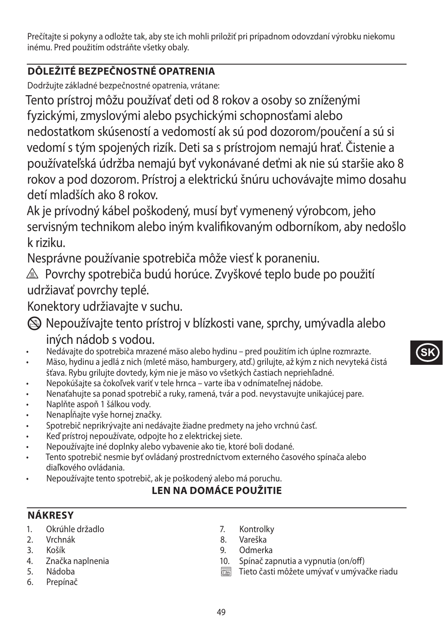Prečítajte si pokyny a odložte tak, aby ste ich mohli priložiť pri prípadnom odovzdaní výrobku niekomu inému. Pred použitím odstráňte všetky obaly.

## **DÔLEŽITÉ BEZPEČNOSTNÉ OPATRENIA**

Dodržujte základné bezpečnostné opatrenia, vrátane:

Tento prístroj môžu používať deti od 8 rokov a osoby so zníženými fyzickými, zmyslovými alebo psychickými schopnosťami alebo nedostatkom skúseností a vedomostí ak sú pod dozorom/poučení a sú si vedomí s tým spojených rizík. Deti sa s prístrojom nemajú hrať. Čistenie a používateľská údržba nemajú byť vykonávané deťmi ak nie sú staršie ako 8 rokov a pod dozorom. Prístroj a elektrickú šnúru uchovávajte mimo dosahu detí mladších ako 8 rokov.

Ak je prívodný kábel poškodený, musí byť vymenený výrobcom, jeho servisným technikom alebo iným kvalifikovaným odborníkom, aby nedošlo k riziku.

Nesprávne používanie spotrebiča môže viesť k poraneniu.

 $\triangle$  Povrchy spotrebiča budú horúce. Zvyškové teplo bude po použití udržiavať povrchy teplé.

Konektory udržiavajte v suchu.

- L Nepoužívajte tento prístroj v blízkosti vane, sprchy, umývadla alebo iných nádob s vodou.
- Nedávajte do spotrebiča mrazené mäso alebo hydinu pred použitím ich úplne rozmrazte.
- Mäso, hydinu a jedlá z nich (mleté mäso, hamburgery, atď.) grilujte, až kým z nich nevyteká čistá šťava. Rybu grilujte dovtedy, kým nie je mäso vo všetkých častiach nepriehľadné.
- Nepokúšajte sa čokoľvek variť v tele hrnca varte iba v odnímateľnej nádobe.
- Nenaťahujte sa ponad spotrebič a ruky, ramená, tvár a pod. nevystavujte unikajúcej pare.
- Naplňte aspoň 1 šálkou vody.
- Nenapĺňajte vyše hornej značky.
- Spotrebič neprikrývajte ani nedávajte žiadne predmety na jeho vrchnú časť.
- Keď prístroj nepoužívate, odpojte ho z elektrickej siete.
- Nepoužívajte iné doplnky alebo vybavenie ako tie, ktoré boli dodané.
- Tento spotrebič nesmie byť ovládaný prostredníctvom externého časového spínača alebo diaľkového ovládania.
- Nepoužívajte tento spotrebič, ak je poškodený alebo má poruchu.

### **LEN NA DOMÁCE POUŽITIE**

### **NÁKRESY**

- 1. Okrúhle držadlo
- 2. Vrchnák
- 3. Košík
- 4. Značka naplnenia
- 5. Nádoba
- 6. Prepínač
- 7. Kontrolky
- 8. Vareška
- 9. Odmerka
- 10. Spínač zapnutia a vypnutia (on/off)
- $\overline{\mathbb{R}}$  Tieto časti môžete umývať v umývačke riadu

**SK**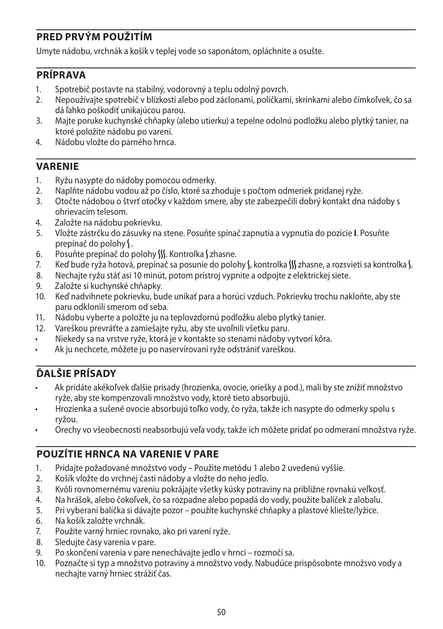### **PRED PRVÝM POUŽITÍM**

Umyte nádobu, vrchnák a košík v teplej vode so saponátom, opláchnite a osušte.

#### **PRÍPRAVA**

- 1. Spotrebič postavte na stabilný, vodorovný a teplu odolný povrch.
- 2. Nepoužívajte spotrebič v blízkosti alebo pod záclonami, poličkami, skrinkami alebo čímkoľvek, čo sa dá ľahko poškodiť unikajúcou parou.
- 3. Majte poruke kuchynské chňapky (alebo utierku) a tepelne odolnú podložku alebo plytký tanier, na ktoré položíte nádobu po varení.
- 4. Nádobu vložte do parného hrnca.

#### **VARENIE**

- 1. Ryžu nasypte do nádoby pomocou odmerky.
- 2. Naplňte nádobu vodou až po číslo, ktoré sa zhoduje s počtom odmeriek pridanej ryže.
- 3. Otočte nádobou o štvrť otočky v každom smere, aby ste zabezpečili dobrý kontakt dna nádoby s ohrievacím telesom.
- 4. Založte na nádobu pokrievku.
- 5. Vložte zástrčku do zásuvky na stene. Posuňte spínač zapnutia a vypnutia do pozície **I**. Posuňte prepínač do polohy \.
- 6. Posuňte prepínač do polohy W. Kontrolka Szhasne.
- 7. Keď bude ryža hotová, prepínač sa posunie do polohy (, kontrolka () zhasne, a rozsvieti sa kontrolka (.
- 8. Nechajte ryžu stáť asi 10 minút, potom prístroj vypnite a odpojte z elektrickej siete.
- 9. Založte si kuchynské chňapky.
- 10. Keď nadvihnete pokrievku, bude unikať para a horúci vzduch. Pokrievku trochu nakloňte, aby ste paru odklonili smerom od seba.
- 11. Nádobu vyberte a položte ju na teplovzdornú podložku alebo plytký tanier.
- 12. Vareškou prevráťte a zamiešajte ryžu, aby ste uvoľnili všetku paru.
- Niekedy sa na vrstve ryže, ktorá je v kontakte so stenami nádoby vytvorí kôra.
- Ak ju nechcete, môžete ju po naservírovaní ryže odstrániť vareškou.

### **ĎALŠIE PRÍSADY**

- Ak pridáte akékoľvek ďalšie prísady (hrozienka, ovocie, oriešky a pod.), mali by ste znížiť množstvo ryže, aby ste kompenzovali množstvo vody, ktoré tieto absorbujú.
- Hrozienka a sušené ovocie absorbujú toľko vody, čo ryža, takže ich nasypte do odmerky spolu s ryžou.
- Orechy vo všeobecnosti neabsorbujú veľa vody, takže ich môžete pridať po odmeraní množstva ryže.

### **POUZÍTIE HRNCA NA VARENIE V PARE**

- 1. Pridajte požadované množstvo vody Použite metódu 1 alebo 2 uvedenú vyššie.
- 2. Košík vložte do vrchnej časti nádoby a vložte do neho jedlo.
- 3. Kvôli rovnomernému vareniu pokrájajte všetky kúsky potraviny na približne rovnakú veľkosť.
- 4. Na hrášok, alebo čokoľvek, čo sa rozpadne alebo popadá do vody, použite balíček z alobalu.
- 5. Pri vyberaní balíčka si dávajte pozor použite kuchynské chňapky a plastové kliešte/lyžice.
- 6. Na košík založte vrchnák.
- 7. Použite varný hrniec rovnako, ako pri varení ryže.
- 8. Sledujte časy varenia v pare.
- 9. Po skončení varenia v pare nenechávajte jedlo v hrnci rozmočí sa.
- 10. Poznačte si typ a množstvo potraviny a množstvo vody. Nabudúce prispôsobnte množsvo vody a nechajte varný hrniec strážiť čas.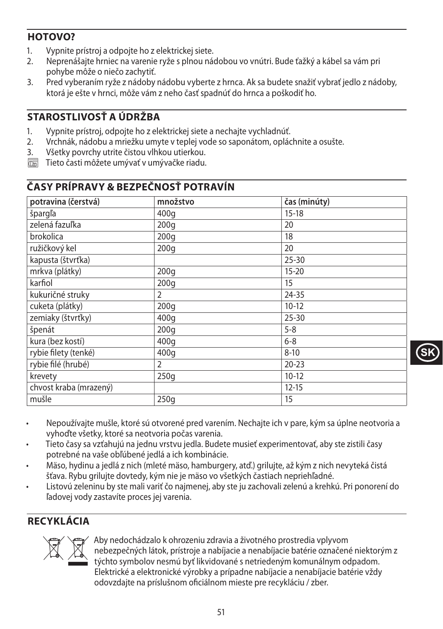### **HOTOVO?**

- 1. Vypnite prístroj a odpojte ho z elektrickej siete.<br>2. Neprenášajte hrniec na varenie ryže s plnou ná
- 2. Neprenášajte hrniec na varenie ryže s plnou nádobou vo vnútri. Bude ťažký a kábel sa vám pri pohybe môže o niečo zachytiť.
- 3. Pred vyberaním ryže z nádoby nádobu vyberte z hrnca. Ak sa budete snažiť vybrať jedlo z nádoby, ktorá je ešte v hrnci, môže vám z neho časť spadnúť do hrnca a poškodiť ho.

## STAROSTI IVOSŤ A ÚDRŽBA

- 1. Vypnite prístroj, odpojte ho z elektrickej siete a nechajte vychladnúť.
- 2. Vrchnák, nádobu a mriežku umyte v teplej vode so saponátom, opláchnite a osušte.
- 3. Všetky povrchy utrite čistou vlhkou utierkou.
- $\overline{\mathbb{C}\mathbb{C}\mathbb{C}}$  Tieto časti môžete umývať v umývačke riadu.

### **ČASY PRÍPRAVY & BEZPEČNOSŤ POTRAVÍN**

| potravina (čerstvá)    | množstvo         | čas (minúty) |
|------------------------|------------------|--------------|
| špargľa                | 400q             | $15 - 18$    |
| zelená fazuľka         | 200q             | 20           |
| brokolica              | 200q             | 18           |
| ružičkový kel          | 200q             | 20           |
| kapusta (štvrťka)      |                  | $25 - 30$    |
| mrkva (plátky)         | 200 <sub>g</sub> | $15 - 20$    |
| karfiol                | 200q             | 15           |
| kukuričné struky       | 2                | $24 - 35$    |
| cuketa (plátky)        | 200q             | $10-12$      |
| zemiaky (štvrťky)      | 400q             | $25 - 30$    |
| špenát                 | 200q             | $5 - 8$      |
| kura (bez kostí)       | 400q             | $6 - 8$      |
| rybie filety (tenké)   | 400q             | $8 - 10$     |
| rybie filé (hrubé)     | $\overline{2}$   | $20 - 23$    |
| krevety                | 250q             | $10-12$      |
| chvost kraba (mrazený) |                  | $12 - 15$    |
| mušle                  | 250q             | 15           |

- Nepoužívajte mušle, ktoré sú otvorené pred varením. Nechajte ich v pare, kým sa úplne neotvoria a vyhoďte všetky, ktoré sa neotvoria počas varenia.
- Tieto časy sa vzťahujú na jednu vrstvu jedla. Budete musieť experimentovať, aby ste zistili časy potrebné na vaše obľúbené jedlá a ich kombinácie.
- Mäso, hydinu a jedlá z nich (mleté mäso, hamburgery, atď.) grilujte, až kým z nich nevyteká čistá šťava. Rybu grilujte dovtedy, kým nie je mäso vo všetkých častiach nepriehľadné.
- Listovú zeleninu by ste mali variť čo najmenej, aby ste ju zachovali zelenú a krehkú. Pri ponorení do ľadovej vody zastavíte proces jej varenia.

## **RECYKLÁCIA**



MAby nedochádzalo k ohrozeniu zdravia a životného prostredia vplyvom<br>nebezpečných látok, prístroje a nabíjacie a nenabíjacie batérie označení<br>týchto symbolov nesmú byť likvidované s netriedeným komunálnym od<br>Elektrické a e nebezpečných látok, prístroje a nabíjacie a nenabíjacie batérie označené niektorým z týchto symbolov nesmú byť likvidované s netriedeným komunálnym odpadom. Elektrické a elektronické výrobky a prípadne nabíjacie a nenabíjacie batérie vždy odovzdajte na príslušnom oficiálnom mieste pre recykláciu / zber.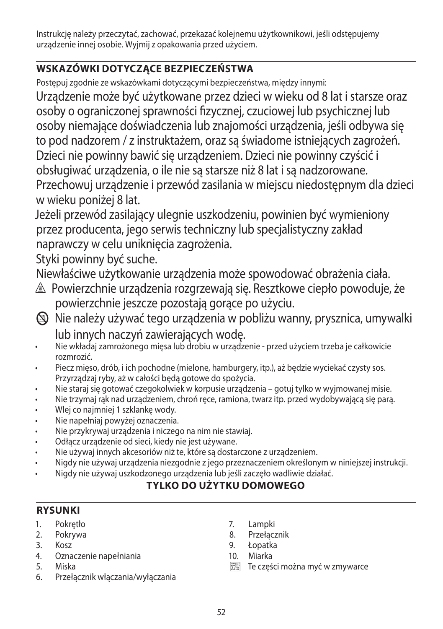Instrukcję należy przeczytać, zachować, przekazać kolejnemu użytkownikowi, jeśli odstępujemy urządzenie innej osobie. Wyjmij z opakowania przed użyciem.

## **WSKAZÓWKI DOTYCZĄCE BEZPIECZEŃSTWA**

Postępuj zgodnie ze wskazówkami dotyczącymi bezpieczeństwa, między innymi:

Urządzenie może być użytkowane przez dzieci w wieku od 8 lat i starsze oraz osoby o ograniczonej sprawności fizycznej, czuciowej lub psychicznej lub osoby niemające doświadczenia lub znajomości urządzenia, jeśli odbywa się to pod nadzorem / z instruktażem, oraz są świadome istniejących zagrożeń. Dzieci nie powinny bawić się urządzeniem. Dzieci nie powinny czyścić i obsługiwać urządzenia, o ile nie są starsze niż 8 lat i są nadzorowane.

Przechowuj urządzenie i przewód zasilania w miejscu niedostępnym dla dzieci w wieku poniżej 8 lat.

Jeżeli przewód zasilający ulegnie uszkodzeniu, powinien być wymieniony przez producenta, jego serwis techniczny lub specjalistyczny zakład naprawczy w celu uniknięcia zagrożenia.

Styki powinny być suche.

Niewłaściwe użytkowanie urządzenia może spowodować obrażenia ciała.

- </u> <u>△</u> Powierzchnie urządzenia rozgrzewają się. Resztkowe ciepło powoduje, że powierzchnie jeszcze pozostają gorące po użyciu.
- $\circledR$  Nie należy używać tego urządzenia w pobliżu wanny, prysznica, umywalki lub innych naczyń zawierających wodę.
- Nie wkładaj zamrożonego mięsa lub drobiu w urządzenie przed użyciem trzeba je całkowicie rozmrozić.
- Piecz mięso, drób, i ich pochodne (mielone, hamburgery, itp.), aż będzie wyciekać czysty sos. Przyrządzaj ryby, aż w całości będą gotowe do spożycia.
- Nie staraj się gotować czegokolwiek w korpusie urządzenia gotuj tylko w wyjmowanej misie.
- Nie trzymaj rąk nad urządzeniem, chroń ręce, ramiona, twarz itp. przed wydobywającą się parą.
- Wlej co najmniej 1 szklankę wody.
- Nie napełniaj powyżej oznaczenia.
- Nie przykrywaj urządzenia i niczego na nim nie stawiaj.
- Odłącz urządzenie od sieci, kiedy nie jest używane.
- Nie używaj innych akcesoriów niż te, które są dostarczone z urządzeniem.
- Nigdy nie używaj urządzenia niezgodnie z jego przeznaczeniem określonym w niniejszej instrukcji.
- Nigdy nie używaj uszkodzonego urządzenia lub jeśli zaczęło wadliwie działać.

# **TYLKO DO UŻYTKU DOMOWEGO**

### **RYSUNKI**

- 1. Pokrętło
- 2. Pokrywa
- 3. Kosz
- 4. Oznaczenie napełniania
- 5. Miska
- 6. Przełącznik włączania/wyłączania
- 7. Lampki
- 8. Przełącznik<br>9. Łopatka
- 9. Łopatka
- 10. Miarka
- $\overline{\mathbb{C}\mathbb{C}\mathbb{C}}$  Te części można myć w zmywarce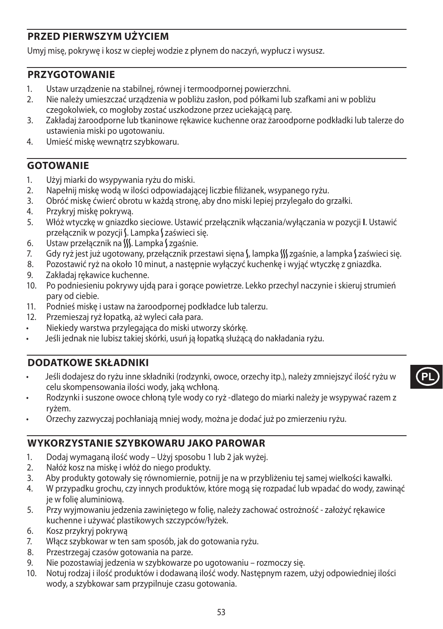### **PRZED PIERWSZYM UŻYCIEM**

Umyj misę, pokrywę i kosz w ciepłej wodzie z płynem do naczyń, wypłucz i wysusz.

#### **PRZYGOTOWANIE**

- 1. Ustaw urządzenie na stabilnej, równej i termoodpornej powierzchni.<br>2. Nie pależy umieszcząć urządzenia w pobliżu zasłon, pod półkami lub
- 2. Nie należy umieszczać urządzenia w pobliżu zasłon, pod półkami lub szafkami ani w pobliżu czegokolwiek, co mogłoby zostać uszkodzone przez uciekającą parę.
- 3. Zakładaj żaroodporne lub tkaninowe rękawice kuchenne oraz żaroodporne podkładki lub talerze do ustawienia miski po ugotowaniu.
- 4. Umieść miskę wewnątrz szybkowaru.

#### **GOTOWANIE**

- 1. Użyj miarki do wsypywania ryżu do miski.
- 2. Napełnij miskę wodą w ilości odpowiadającej liczbie filiżanek, wsypanego ryżu.
- 3. Obróć miskę ćwierć obrotu w każdą stronę, aby dno miski lepiej przylegało do grzałki.
- 4. Przykryj miskę pokrywą.
- 5. Włóż wtyczkę w gniazdko sieciowe. Ustawić przełącznik włączania/wyłączania w pozycji **I**. Ustawić przełącznik w pozycji S. Lampka Szaświeci się.
- 6. Ustaw przełącznik na W. Lampka (zgaśnie.
- 7. Gdy ryż jest już ugotowany, przełącznik przestawi sięna S, lampka S zgaśnie, a lampka S zaświeci się.
- 8. Pozostawić ryż na około 10 minut, a następnie wyłączyć kuchenkę i wyjąć wtyczkę z gniazdka.
- 9. Zakładaj rękawice kuchenne.
- 10. Po podniesieniu pokrywy ujdą para i gorące powietrze. Lekko przechyl naczynie i skieruj strumień pary od ciebie.
- 11. Podnieś miskę i ustaw na żaroodpornej podkładce lub talerzu.
- 12. Przemieszaj ryż łopatką, aż wyleci cała para.
- Niekiedy warstwa przylegająca do miski utworzy skórkę.
- Jeśli jednak nie lubisz takiej skórki, usuń ją łopatką służącą do nakładania ryżu.

### **DODATKOWE SKŁADNIKI**

• Jeśli dodajesz do ryżu inne składniki (rodzynki, owoce, orzechy itp.), należy zmniejszyć ilość ryżu w celu skompensowania ilości wody, jaką wchłoną.

**PL**

- Rodzynki i suszone owoce chłoną tyle wody co ryż -dlatego do miarki należy je wsypywać razem z ryżem.
- Orzechy zazwyczaj pochłaniają mniej wody, można je dodać już po zmierzeniu ryżu.

#### **WYKORZYSTANIE SZYBKOWARU JAKO PAROWAR**

- 1. Dodaj wymaganą ilość wody Użyj sposobu 1 lub 2 jak wyżej.
- 2. Nałóż kosz na miskę i włóż do niego produkty.
- 3. Aby produkty gotowały się równomiernie, potnij je na w przybliżeniu tej samej wielkości kawałki.
- 4. W przypadku grochu, czy innych produktów, które mogą się rozpadać lub wpadać do wody, zawinąć je w folię aluminiową.
- 5. Przy wyjmowaniu jedzenia zawiniętego w folię, należy zachować ostrożność założyć rękawice kuchenne i używać plastikowych szczypców/łyżek.
- 6. Kosz przykryj pokrywą
- 7. Włącz szybkowar w ten sam sposób, jak do gotowania ryżu.
- 8. Przestrzegaj czasów gotowania na parze.
- 9. Nie pozostawiaj jedzenia w szybkowarze po ugotowaniu rozmoczy się.
- 10. Notuj rodzaj i ilość produktów i dodawaną ilość wody. Następnym razem, użyj odpowiedniej ilości wody, a szybkowar sam przypilnuje czasu gotowania.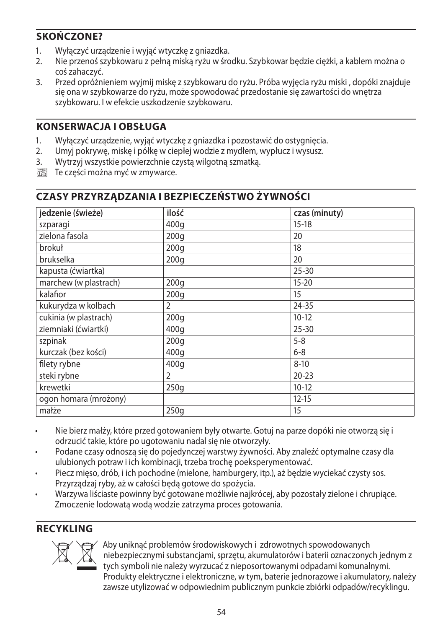### **SKOŃCZONE?**

- 1. Wyłączyć urządzenie i wyjąć wtyczkę z gniazdka.
- 2. Nie przenoś szybkowaru z pełną miską ryżu w środku. Szybkowar będzie ciężki, a kablem można o coś zahaczyć.
- 3. Przed opróżnieniem wyjmij miskę z szybkowaru do ryżu. Próba wyjęcia ryżu miski , dopóki znajduje się ona w szybkowarze do ryżu, może spowodować przedostanie się zawartości do wnętrza szybkowaru. I w efekcie uszkodzenie szybkowaru.

### **KONSERWACJA I OBSŁUGA**

- 1. Wyłączyć urządzenie, wyjąć wtyczkę z gniazdka i pozostawić do ostygnięcia.
- 2. Umyj pokrywę, miskę i półkę w ciepłej wodzie z mydłem, wypłucz i wysusz.
- 3. Wytrzyj wszystkie powierzchnie czystą wilgotną szmatką.
- $\overline{\mathbb{R}}$  Te części można myć w zmywarce.

### **CZASY PRZYRZĄDZANIA I BEZPIECZEŃSTWO ŻYWNOŚCI**

| jedzenie (świeże)     | ilość | czas (minuty) |
|-----------------------|-------|---------------|
| szparagi              | 400g  | $15 - 18$     |
| zielona fasola        | 200q  | 20            |
| brokuł                | 200q  | 18            |
| brukselka             | 200q  | 20            |
| kapusta (ćwiartka)    |       | $25 - 30$     |
| marchew (w plastrach) | 200q  | $15 - 20$     |
| kalafior              | 200q  | 15            |
| kukurydza w kolbach   | 2     | 24-35         |
| cukinia (w plastrach) | 200q  | $10-12$       |
| ziemniaki (ćwiartki)  | 400g  | $25 - 30$     |
| szpinak               | 200q  | $5 - 8$       |
| kurczak (bez kości)   | 400g  | $6 - 8$       |
| filety rybne          | 400q  | $8 - 10$      |
| steki rybne           | 2     | $20 - 23$     |
| krewetki              | 250q  | $10-12$       |
| ogon homara (mrożony) |       | $12 - 15$     |
| małże                 | 250q  | 15            |

- Nie bierz małży, które przed gotowaniem były otwarte. Gotuj na parze dopóki nie otworzą się i odrzucić takie, które po ugotowaniu nadal się nie otworzyły.
- Podane czasy odnoszą się do pojedynczej warstwy żywności. Aby znaleźć optymalne czasy dla ulubionych potraw i ich kombinacji, trzeba trochę poeksperymentować.
- Piecz mięso, drób, i ich pochodne (mielone, hamburgery, itp.), aż będzie wyciekać czysty sos. Przyrządzaj ryby, aż w całości będą gotowe do spożycia.
- Warzywa liściaste powinny być gotowane możliwie najkrócej, aby pozostały zielone i chrupiące. Zmoczenie lodowatą wodą wodzie zatrzyma proces gotowania.

### **RECYKLING**



WABy uniknąć problemów środowiskowych i zdrowotnych spowodowanych<br>niebezpiecznymi substancjami, sprzętu, akumulatorów i baterii oznaczonyc<br>tych symboli nie należy wyrzucać z nieposortowanymi odpadami komunali<br>Produkty elek niebezpiecznymi substancjami, sprzętu, akumulatorów i baterii oznaczonych jednym z tych symboli nie należy wyrzucać z nieposortowanymi odpadami komunalnymi. Produkty elektryczne i elektroniczne, w tym, baterie jednorazowe i akumulatory, należy zawsze utylizować w odpowiednim publicznym punkcie zbiórki odpadów/recyklingu.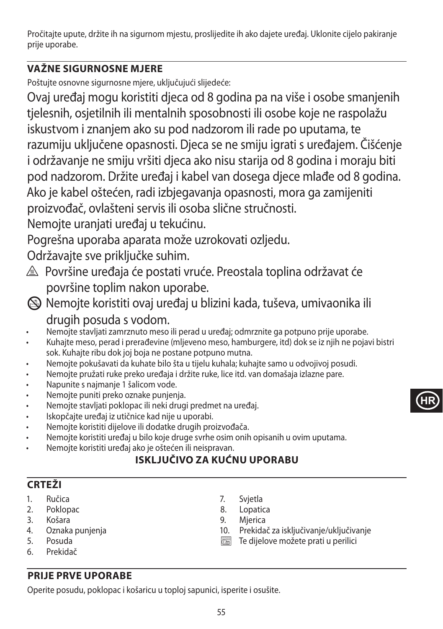Pročitajte upute, držite ih na sigurnom mjestu, proslijedite ih ako dajete uređaj. Uklonite cijelo pakiranje prije uporabe.

## **VAŽNE SIGURNOSNE MJERE**

Poštujte osnovne sigurnosne mjere, uključujući slijedeće:

Ovaj uređaj mogu koristiti djeca od 8 godina pa na više i osobe smanjenih tjelesnih, osjetilnih ili mentalnih sposobnosti ili osobe koje ne raspolažu iskustvom i znanjem ako su pod nadzorom ili rade po uputama, te razumiju uključene opasnosti. Djeca se ne smiju igrati s uređajem. Čišćenje i održavanje ne smiju vršiti djeca ako nisu starija od 8 godina i moraju biti pod nadzorom. Držite uređaj i kabel van dosega djece mlađe od 8 godina. Ako je kabel oštećen, radi izbjegavanja opasnosti, mora ga zamijeniti proizvođač, ovlašteni servis ili osoba slične stručnosti.

Nemojte uranjati uređaj u tekućinu.

Pogrešna uporaba aparata može uzrokovati ozljedu.

Održavajte sve priključke suhim.

- $\triangle$  Površine uređaja će postati vruće. Preostala toplina održavat će površine toplim nakon uporabe.
- L Nemojte koristiti ovaj uređaj u blizini kada, tuševa, umivaonika ili drugih posuda s vodom.
- Nemojte stavljati zamrznuto meso ili perad u uređaj; odmrznite ga potpuno prije uporabe.
- Kuhajte meso, perad i prerađevine (mljeveno meso, hamburgere, itd) dok se iz njih ne pojavi bistri sok. Kuhajte ribu dok joj boja ne postane potpuno mutna.
- Nemojte pokušavati da kuhate bilo šta u tijelu kuhala; kuhajte samo u odvojivoj posudi.
- Nemojte pružati ruke preko uređaja i držite ruke, lice itd. van domašaja izlazne pare.
- Napunite s najmanje 1 šalicom vode.
- Nemojte puniti preko oznake punjenja.
- Nemojte stavljati poklopac ili neki drugi predmet na uređaj.
- Iskopčajte uređaj iz utičnice kad nije u uporabi.
- Nemojte koristiti dijelove ili dodatke drugih proizvođača.
- Nemojte koristiti uređaj u bilo koje druge svrhe osim onih opisanih u ovim uputama.
- Nemojte koristiti uređaj ako je oštećen ili neispravan.

## **ISKLJUČIVO ZA KUĆNU UPORABU**

### **CRTEŽI**

- 1. Ručica
- 2. Poklopac
- 3. Košara
- 4. Oznaka punjenja
- 5. Posuda
- 6. Prekidač

## **PRIJE PRVE UPORABE**

Operite posudu, poklopac i košaricu u toploj sapunici, isperite i osušite.

- 7. Svjetla
- 8. Lopatica
- 9. Mjerica
- 10. Prekidač za isključivanje/uključivanje

**HR**

**TE dijelove možete prati u perilici**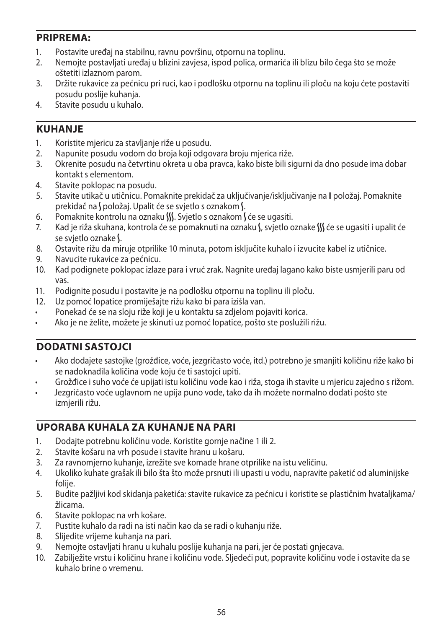#### **PRIPREMA:**

- 1. Postavite uređaj na stabilnu, ravnu površinu, otpornu na toplinu.
- 2. Nemojte postavljati uređaj u blizini zavjesa, ispod polica, ormarića ili blizu bilo čega što se može oštetiti izlaznom parom.
- 3. Držite rukavice za pećnicu pri ruci, kao i podlošku otpornu na toplinu ili ploču na koju ćete postaviti posudu poslije kuhanja.
- 4. Stavite posudu u kuhalo.

#### **KUHANJE**

- 1. Koristite mjericu za stavljanje riže u posudu.
- 2. Napunite posudu vodom do broja koji odgovara broju mjerica riže.
- 3. Okrenite posudu na četvrtinu okreta u oba pravca, kako biste bili sigurni da dno posude ima dobar kontakt s elementom.
- 4. Stavite poklopac na posudu.
- 5. Stavite utikač u utičnicu. Pomaknite prekidač za uključivanje/isključivanje na **I** položaj. Pomaknite prekidač na Spoložaj. Upalit će se svjetlo s oznakom S.
- 6. Pomaknite kontrolu na oznaku W. Svjetlo s oznakom S će se ugasiti.
- 7. Kad je riža skuhana, kontrola će se pomaknuti na oznaku S, svjetlo oznake W će se ugasiti i upalit će se svjetlo oznake §.
- 8. Ostavite rižu da miruje otprilike 10 minuta, potom isključite kuhalo i izvucite kabel iz utičnice.
- 9. Navucite rukavice za pećnicu.
- 10. Kad podignete poklopac izlaze para i vruć zrak. Nagnite uređaj lagano kako biste usmjerili paru od vas.
- 11. Podignite posudu i postavite je na podlošku otpornu na toplinu ili ploču.
- 12. Uz pomoć lopatice promiješajte rižu kako bi para izišla van.
- Ponekad će se na sloju riže koji je u kontaktu sa zdjelom pojaviti korica.
- Ako je ne želite, možete je skinuti uz pomoć lopatice, pošto ste poslužili rižu.

#### **DODATNI SASTOJCI**

- Ako dodajete sastojke (grožđice, voće, jezgričasto voće, itd.) potrebno je smanjiti količinu riže kako bi se nadoknadila količina vode koju će ti sastojci upiti.
- Grožđice i suho voće će upijati istu količinu vode kao i riža, stoga ih stavite u mjericu zajedno s rižom.
- Jezgričasto voće uglavnom ne upija puno vode, tako da ih možete normalno dodati pošto ste izmjerili rižu.

#### **UPORABA KUHALA ZA KUHANJE NA PARI**

- 1. Dodajte potrebnu količinu vode. Koristite gornje načine 1 ili 2.
- 2. Stavite košaru na vrh posude i stavite hranu u košaru.
- 3. Za ravnomjerno kuhanje, izrežite sve komade hrane otprilike na istu veličinu.
- 4. Ukoliko kuhate grašak ili bilo šta što može prsnuti ili upasti u vodu, napravite paketić od aluminijske folije.
- 5. Budite pažljivi kod skidanja paketića: stavite rukavice za pećnicu i koristite se plastičnim hvataljkama/ žlicama.
- 6. Stavite poklopac na vrh košare.
- 7. Pustite kuhalo da radi na isti način kao da se radi o kuhanju riže.
- 8. Slijedite vrijeme kuhanja na pari.
- 9. Nemojte ostavljati hranu u kuhalu poslije kuhanja na pari, jer će postati gnjecava.
- 10. Zabilježite vrstu i količinu hrane i količinu vode. Sljedeći put, popravite količinu vode i ostavite da se kuhalo brine o vremenu.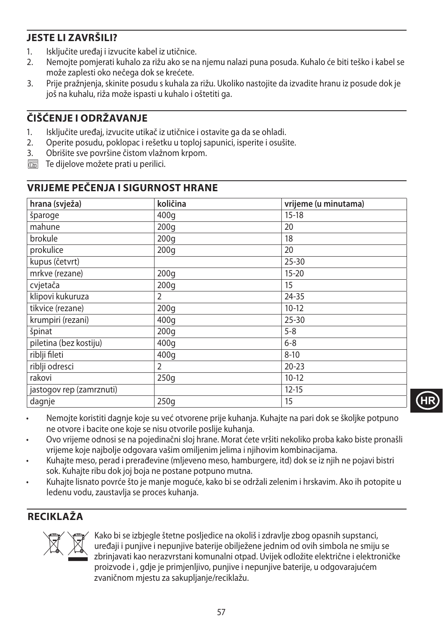## **JESTE LI ZAVRŠILI?**

- 1. Isključite uređaj i izvucite kabel iz utičnice.<br>2. Nemojte pomjerati kuhalo za rižu ako se na
- 2. Nemojte pomjerati kuhalo za rižu ako se na njemu nalazi puna posuda. Kuhalo će biti teško i kabel se može zaplesti oko nečega dok se krećete.
- 3. Prije pražnjenja, skinite posudu s kuhala za rižu. Ukoliko nastojite da izvadite hranu iz posude dok je još na kuhalu, riža može ispasti u kuhalo i oštetiti ga.

## **ČIŠĆENJE I ODRŽAVANJE**

- 1. Isključite uređaj, izvucite utikač iz utičnice i ostavite ga da se ohladi.
- 2. Operite posudu, poklopac i rešetku u toploj sapunici, isperite i osušite.<br>3. Obrišite sve površine čistom vlažnom krpom.
- 3. Obrišite sve površine čistom vlažnom krpom.
- $\overline{\mathbb{C}\mathbb{C}\mathbb{C}}$  Te dijelove možete prati u perilici.

### **VRIJEME PEČENJA I SIGURNOST HRANE**

| hrana (svježa)           | količina         | vrijeme (u minutama) |
|--------------------------|------------------|----------------------|
| šparoge                  | 400q             | $15 - 18$            |
| mahune                   | 200q             | 20                   |
| brokule                  | 200q             | 18                   |
| prokulice                | 200q             | 20                   |
| kupus (četvrt)           |                  | $25 - 30$            |
| mrkve (rezane)           | 200 <sub>g</sub> | $15 - 20$            |
| cvjetača                 | 200q             | 15                   |
| klipovi kukuruza         | $\overline{2}$   | $24 - 35$            |
| tikvice (rezane)         | 200q             | $10-12$              |
| krumpiri (rezani)        | 400q             | $25 - 30$            |
| špinat                   | 200q             | $5 - 8$              |
| piletina (bez kostiju)   | 400 <sub>g</sub> | $6 - 8$              |
| riblji fileti            | 400q             | $8 - 10$             |
| riblji odresci           | $\overline{2}$   | $20 - 23$            |
| rakovi                   | 250q             | $10-12$              |
| jastogov rep (zamrznuti) |                  | $12 - 15$            |
| dagnje                   | 250q             | 15                   |

- Nemojte koristiti dagnje koje su već otvorene prije kuhanja. Kuhajte na pari dok se školjke potpuno ne otvore i bacite one koje se nisu otvorile poslije kuhanja.
- Ovo vrijeme odnosi se na pojedinačni sloj hrane. Morat ćete vršiti nekoliko proba kako biste pronašli vrijeme koje najbolje odgovara vašim omiljenim jelima i njihovim kombinacijama.
- Kuhajte meso, perad i prerađevine (mljeveno meso, hamburgere, itd) dok se iz njih ne pojavi bistri sok. Kuhajte ribu dok joj boja ne postane potpuno mutna.
- Kuhajte lisnato povrće što je manje moguće, kako bi se održali zelenim i hrskavim. Ako ih potopite u ledenu vodu, zaustavlja se proces kuhanja.

### **RECIKLAŽA**



Kako bi se izbjegle štetne posljedice na okoliš i zdravlje zbog opasnih supstanci,<br>uređaji i punjive i nepunjive baterije obilježene jednim od ovih simbola ne smiju<br>zbrinjavati kao nerazvrstani komunalni otpad. Uvijek odlo uređaji i punjive i nepunjive baterije obilježene jednim od ovih simbola ne smiju se zbrinjavati kao nerazvrstani komunalni otpad. Uvijek odložite električne i elektroničke proizvode i , gdje je primjenljivo, punjive i nepunjive baterije, u odgovarajućem zvaničnom mjestu za sakupljanje/reciklažu.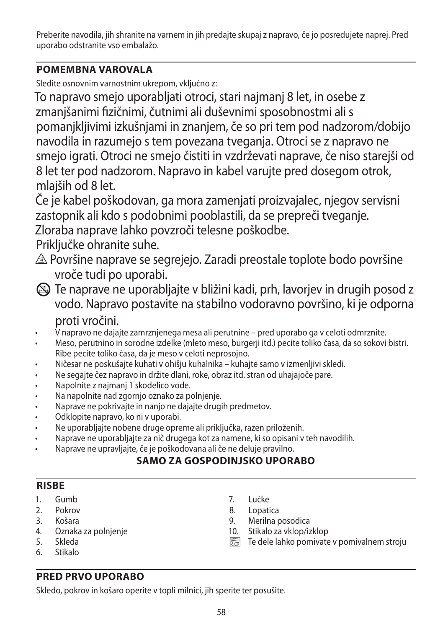Preberite navodila, jih shranite na varnem in jih predajte skupaj z napravo, če jo posredujete naprej. Pred uporabo odstranite vso embalažo.

### **POMEMBNA VAROVALA**

Sledite osnovnim varnostnim ukrepom, vključno z:

To napravo smejo uporabljati otroci, stari najmanj 8 let, in osebe z zmanjšanimi fizičnimi, čutnimi ali duševnimi sposobnostmi ali s pomanjkljivimi izkušnjami in znanjem, če so pri tem pod nadzorom/dobijo navodila in razumejo s tem povezana tveganja. Otroci se z napravo ne smejo igrati. Otroci ne smejo čistiti in vzdrževati naprave, če niso starejši od 8 let ter pod nadzorom. Napravo in kabel varujte pred dosegom otrok, mlajših od 8 let.

Če je kabel poškodovan, ga mora zamenjati proizvajalec, njegov servisni zastopnik ali kdo s podobnimi pooblastili, da se prepreči tveganje.

Zloraba naprave lahko povzroči telesne poškodbe.

Priključke ohranite suhe.

- $\triangle$  Površine naprave se segrejejo. Zaradi preostale toplote bodo površine vroče tudi po uporabi.
- L Te naprave ne uporabljajte v bližini kadi, prh, lavorjev in drugih posod z vodo. Napravo postavite na stabilno vodoravno površino, ki je odporna proti vročini.
- V napravo ne dajajte zamrznjenega mesa ali perutnine pred uporabo ga v celoti odmrznite.
- Meso, perutnino in sorodne izdelke (mleto meso, burgerji itd.) pecite toliko časa, da so sokovi bistri. Ribe pecite toliko časa, da je meso v celoti neprosojno.
- Ničesar ne poskušajte kuhati v ohišju kuhalnika kuhajte samo v izmenljivi skledi.
- Ne segajte čez napravo in držite dlani, roke, obraz itd. stran od uhajajoče pare.
- Napolnite z najmanj 1 skodelico vode.
- Na napolnite nad zgornjo oznako za polnjenje.
- Naprave ne pokrivajte in nanjo ne dajajte drugih predmetov.
- Odklopite napravo, ko ni v uporabi.
- Ne uporabljajte nobene druge opreme ali priključka, razen priloženih.
- Naprave ne uporabljajte za nič drugega kot za namene, ki so opisani v teh navodilih.
- Naprave ne upravljajte, če je poškodovana ali če ne deluje pravilno.

## **SAMO ZA GOSPODINJSKO UPORABO**

#### **RISBE**

- 1. Gumb
- 2. Pokrov
- 3. Košara
- 4. Oznaka za polnjenje
- 5. Skleda
- 6. Stikalo
- 7. Lučke
- 8. Lopatica
- 9. Merilna posodica
- 10. Stikalo za vklop/izklop
- $\sqrt{\frac{1}{100}}$  Te dele lahko pomivate v pomivalnem stroju

# **PRED PRVO UPORABO**

Skledo, pokrov in košaro operite v topli milnici, jih sperite ter posušite.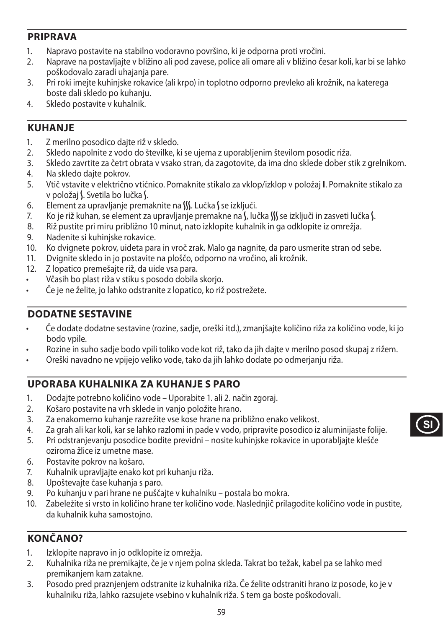#### **PRIPRAVA**

- 1. Napravo postavite na stabilno vodoravno površino, ki je odporna proti vročini.
- 2. Naprave na postavljajte v bližino ali pod zavese, police ali omare ali v bližino česar koli, kar bi se lahko poškodovalo zaradi uhajanja pare.
- 3. Pri roki imejte kuhinjske rokavice (ali krpo) in toplotno odporno prevleko ali krožnik, na katerega boste dali skledo po kuhanju.
- 4. Skledo postavite v kuhalnik.

### **KUHANJE**

- 1. Z merilno posodico dajte riž v skledo.
- 2. Skledo napolnite z vodo do številke, ki se ujema z uporabljenim številom posodic riža.
- 3. Skledo zavrtite za četrt obrata v vsako stran, da zagotovite, da ima dno sklede dober stik z grelnikom.
- 4. Na skledo dajte pokrov.
- 5. Vtič vstavite v električno vtičnico. Pomaknite stikalo za vklop/izklop v položaj **I**. Pomaknite stikalo za v položaj S. Svetila bo lučka S.
- 6. Element za upravljanje premaknite na W. Lučka S se izključi.
- 7. Ko je riž kuhan, se element za upravljanje premakne na  $\int$ , lučka  $\int$  se izključi in zasveti lučka  $\int$ .
- 8. Riž pustite pri miru približno 10 minut, nato izklopite kuhalnik in ga odklopite iz omrežja.
- 9. Nadenite si kuhinjske rokavice.<br>10. Ko dvianete pokrov, uideta par
- 10. Ko dvignete pokrov, uideta para in vroč zrak. Malo ga nagnite, da paro usmerite stran od sebe.
- 11. Dvignite skledo in jo postavite na ploščo, odporno na vročino, ali krožnik.
- 12. Z lopatico premešajte riž, da uide vsa para.
- Včasih bo plast riža v stiku s posodo dobila skorjo.
- Če je ne želite, jo lahko odstranite z lopatico, ko riž postrežete.

### **DODATNE SESTAVINE**

- Če dodate dodatne sestavine (rozine, sadje, oreški itd.), zmanjšajte količino riža za količino vode, ki jo bodo vpile.
- Rozine in suho sadje bodo vpili toliko vode kot riž, tako da jih dajte v merilno posod skupaj z rižem.
- Oreški navadno ne vpijejo veliko vode, tako da jih lahko dodate po odmerjanju riža.

### **UPORABA KUHALNIKA ZA KUHANJE S PARO**

- 1. Dodajte potrebno količino vode Uporabite 1. ali 2. način zgoraj.
- 2. Košaro postavite na vrh sklede in vanjo položite hrano.
- 3. Za enakomerno kuhanje razrežite vse kose hrane na približno enako velikost.
- 4. Za grah ali kar koli, kar se lahko razlomi in pade v vodo, pripravite posodico iz aluminijaste folije.
- 5. Pri odstranjevanju posodice bodite previdni nosite kuhinjske rokavice in uporabljajte klešče oziroma žlice iz umetne mase.
- 6. Postavite pokrov na košaro.
- 7. Kuhalnik upravljajte enako kot pri kuhanju riža.
- 8. Upoštevajte čase kuhanja s paro.
- 9. Po kuhanju v pari hrane ne puščajte v kuhalniku postala bo mokra.
- 10. Zabeležite si vrsto in količino hrane ter količino vode. Naslednjič prilagodite količino vode in pustite, da kuhalnik kuha samostojno.

## **KONČANO?**

- 1. Izklopite napravo in jo odklopite iz omrežja.
- 2. Kuhalnika riža ne premikajte, če je v njem polna skleda. Takrat bo težak, kabel pa se lahko med premikanjem kam zatakne.
- 3. Posodo pred praznjenjem odstranite iz kuhalnika riža. Če želite odstraniti hrano iz posode, ko je v kuhalniku riža, lahko razsujete vsebino v kuhalnik riža. S tem ga boste poškodovali.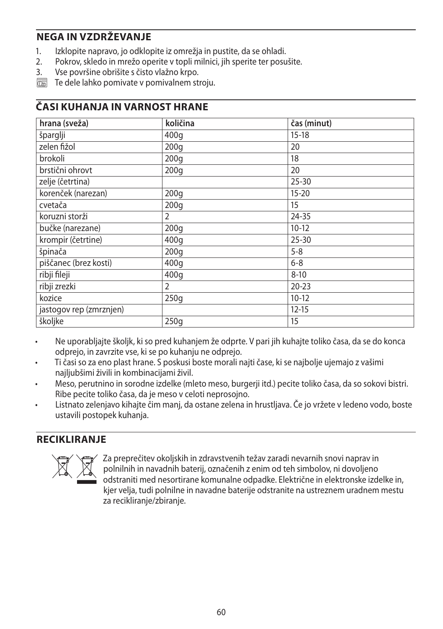### **NEGA IN VZDRŽEVANJE**

- 1. Izklopite napravo, jo odklopite iz omrežja in pustite, da se ohladi.<br>2. Pokrov, skledo in mrežo operite v topli milnici, ijh sperite ter posu
- 2. Pokrov, skledo in mrežo operite v topli milnici, jih sperite ter posušite.
- 3. Vse površine obrišite s čisto vlažno krpo.
- $\overline{\mathbb{R}}$  Te dele lahko pomivate v pomivalnem stroju.

#### **ČASI KUHANJA IN VARNOST HRANE**

| hrana (sveža)           | količina         | čas (minut) |
|-------------------------|------------------|-------------|
| šparglji                | 400g             | $15 - 18$   |
| zelen fižol             | 200q             | 20          |
| brokoli                 | 200 <sub>g</sub> | 18          |
| brstični ohrovt         | 200q             | 20          |
| zelje (četrtina)        |                  | $25 - 30$   |
| korenček (narezan)      | 200g             | $15 - 20$   |
| cvetača                 | 200 <sub>g</sub> | 15          |
| koruzni storži          | 2                | 24-35       |
| bučke (narezane)        | 200q             | $10-12$     |
| krompir (četrtine)      | 400q             | $25 - 30$   |
| špinača                 | 200q             | $5 - 8$     |
| piščanec (brez kosti)   | 400g             | $6 - 8$     |
| ribji fileji            | 400q             | $8 - 10$    |
| ribji zrezki            | $\overline{2}$   | $20 - 23$   |
| kozice                  | 250q             | $10-12$     |
| jastogov rep (zmrznjen) |                  | $12 - 15$   |
| školjke                 | 250q             | 15          |

- Ne uporabljajte školjk, ki so pred kuhanjem že odprte. V pari jih kuhajte toliko časa, da se do konca odprejo, in zavrzite vse, ki se po kuhanju ne odprejo.
- Ti časi so za eno plast hrane. S poskusi boste morali najti čase, ki se najbolje ujemajo z vašimi najljubšimi živili in kombinacijami živil.
- Meso, perutnino in sorodne izdelke (mleto meso, burgerji itd.) pecite toliko časa, da so sokovi bistri. Ribe pecite toliko časa, da je meso v celoti neprosojno.
- Listnato zelenjavo kihajte čim manj, da ostane zelena in hrustljava. Če jo vržete v ledeno vodo, boste ustavili postopek kuhanja.

### **RECIKLIRANJE**



Za preprečitev okoljskih in zdravstvenih težav zaradi nevarnih snovi naprav in<br>polnilnih in navadnih baterij, označenih z enim od teh simbolov, ni dovoljeno<br>odstraniti med nesortirane komunalne odpadke. Električne in elekt polnilnih in navadnih baterij, označenih z enim od teh simbolov, ni dovoljeno odstraniti med nesortirane komunalne odpadke. Električne in elektronske izdelke in, kjer velja, tudi polnilne in navadne baterije odstranite na ustreznem uradnem mestu za recikliranje/zbiranje.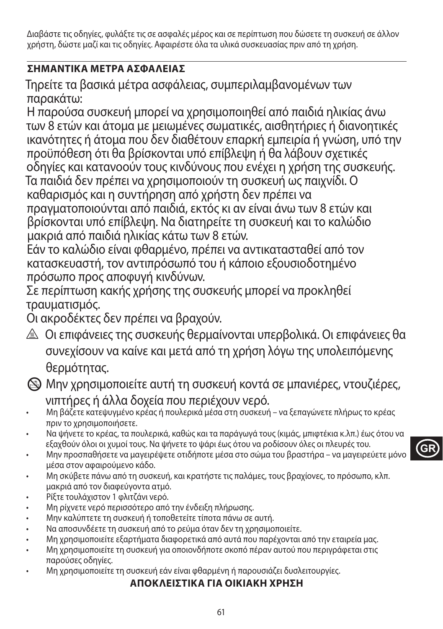Διαβάστε τις οδηγίες, φυλάξτε τις σε ασφαλές μέρος και σε περίπτωση που δώσετε τη συσκευή σε άλλον χρήστη, δώστε μαζί και τις οδηγίες. Αφαιρέστε όλα τα υλικά συσκευασίας πριν από τη χρήση.

## **ΣΗΜΑΝΤΙΚA ΜEΤΡΑ ΑΣΦAΛΕΙΑΣ**

Τηρείτε τα βασικά μέτρα ασφάλειας, συμπεριλαμβανομένων των παρακάτω:

Η παρούσα συσκευή μπορεί να χρησιμοποιηθεί από παιδιά ηλικίας άνω των 8 ετών και άτομα με μειωμένες σωματικές, αισθητήριες ή διανοητικές ικανότητες ή άτομα που δεν διαθέτουν επαρκή εμπειρία ή γνώση, υπό την προϋπόθεση ότι θα βρίσκονται υπό επίβλεψη ή θα λάβουν σχετικές οδηγίες και κατανοούν τους κινδύνους που ενέχει η χρήση της συσκευής. Τα παιδιά δεν πρέπει να χρησιμοποιούν τη συσκευή ως παιχνίδι. Ο καθαρισμός και η συντήρηση από χρήστη δεν πρέπει να πραγματοποιούνται από παιδιά, εκτός κι αν είναι άνω των 8 ετών και

βρίσκονται υπό επίβλεψη. Να διατηρείτε τη συσκευή και το καλώδιο μακριά από παιδιά ηλικίας κάτω των 8 ετών.

Εάν το καλώδιο είναι φθαρμένο, πρέπει να αντικατασταθεί από τον κατασκευαστή, τον αντιπρόσωπό του ή κάποιο εξουσιοδοτημένο πρόσωπο προς αποφυγή κινδύνων.

Σε περίπτωση κακής χρήσης της συσκευής μπορεί να προκληθεί τραυματισμός.

Οι ακροδέκτες δεν πρέπει να βραχούν.

- ¬ Οι επιφάνειες της συσκευής θερμαίνονται υπερβολικά. Οι επιφάνειες θα συνεχίσουν να καίνε και μετά από τη χρήση λόγω της υπολειπόμενης θερμότητας.
- L Μην χρησιμοποιείτε αυτή τη συσκευή κοντά σε μπανιέρες, ντουζιέρες, νιπτήρες ή άλλα δοχεία που περιέχουν νερό.
- Μη βάζετε κατεψυγμένο κρέας ή πουλερικά μέσα στη συσκευή να ξεπαγώνετε πλήρως το κρέας πριν το χρησιμοποιήσετε.
- Να ψήνετε το κρέας, τα πουλερικά, καθώς και τα παράγωγά τους (κιμάς, μπιφτέκια κ.λπ.) έως ότου να εξαχθούν όλοι οι χυμοί τους. Να ψήνετε το ψάρι έως ότου να ροδίσουν όλες οι πλευρές του.
- Μην προσπαθήσετε να μαγειρέψετε οτιδήποτε μέσα στο σώμα του βραστήρα να μαγειρεύετε μόνο μέσα στον αφαιρούμενο κάδο.
- Μη σκύβετε πάνω από τη συσκευή, και κρατήστε τις παλάμες, τους βραχίονες, το πρόσωπο, κλπ. μακριά από τον διαφεύγοντα ατμό.
- Ρίξτε τουλάχιστον 1 φλιτζάνι νερό.
- Μη ρίχνετε νερό περισσότερο από την ένδειξη πλήρωσης.
- Μην καλύπτετε τη συσκευή ή τοποθετείτε τίποτα πάνω σε αυτή.
- Να αποσυνδέετε τη συσκευή από το ρεύμα όταν δεν τη χρησιμοποιείτε.
- Μη χρησιμοποιείτε εξαρτήματα διαφορετικά από αυτά που παρέχονται από την εταιρεία μας.
- Μη χρησιμοποιείτε τη συσκευή για οποιονδήποτε σκοπό πέραν αυτού που περιγράφεται στις παρούσες οδηγίες.
- Μη χρησιμοποιείτε τη συσκευή εάν είναι φθαρμένη ή παρουσιάζει δυσλειτουργίες.

#### **ΑΠΟΚΛΕΙΣΤΙΚΑ ΓΙΑ ΟΙΚΙΑΚΗ ΧΡΗΣΗ**

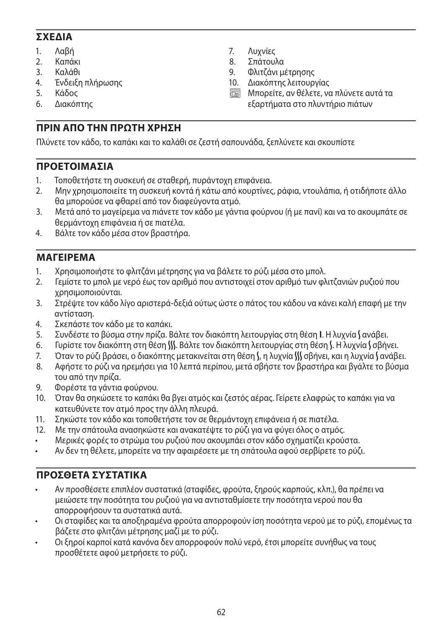### **ΣΧΕΔΙΑ**

- 
- 1. Λαβή<br>2. Καπάι 2. Καπάκι
- 
- 3. Καλάθι<br>4 Ένδειξη 4. Ένδειξη πλήρωσης
- 5. Κάδος
- 6. Διακόπτης

## 7. Λυχνίες<br>8. Σπάτουλ 8. Σπάτουλα

- 9. Φλιτζάνι μέτρησης<br>10. Διακόπτης λειτουρ 10. Διακόπτης λειτουργίας
- **<b>Ε Η Μπορείτε, αν θέλετε, να πλύνετε αυτά τα** εξαρτήματα στο πλυντήριο πιάτων

## **ΠΡΙΝ ΑΠΟ ΤΗΝ ΠΡΩΤΗ ΧΡΗΣΗ**

Πλύνετε τον κάδο, το καπάκι και το καλάθι σε ζεστή σαπουνάδα, ξεπλύνετε και σκουπίστε

### **ΠΡΟΕΤΟΙΜΑΣΙΑ**

- 1. Τοποθετήστε τη συσκευή σε σταθερή, πυράντοχη επιφάνεια.
- 2. Μην χρησιμοποιείτε τη συσκευή κοντά ή κάτω από κουρτίνες, ράφια, ντουλάπια, ή οτιδήποτε άλλο θα μπορούσε να φθαρεί από τον διαφεύγοντα ατμό.
- 3. Μετά από το μαγείρεμα να πιάνετε τον κάδο με γάντια φούρνου (ή με πανί) και να το ακουμπάτε σε θερμάντοχη επιφάνεια ή σε πιατέλα.
- 4. Βάλτε τον κάδο μέσα στον βραστήρα.

### **ΜΑΓΕΙΡΕΜΑ**

- 1. Χρησιμοποιήστε το φλιτζάνι μέτρησης για να βάλετε το ρύζι μέσα στο μπολ.
- 2. Γεμίστε το μπολ με νερό έως τον αριθμό που αντιστοιχεί στον αριθμό των φλιτζανιών ρυζιού που χρησιμοποιούνται.
- 3. Στρέψτε τον κάδο λίγο αριστερά-δεξιά ούτως ώστε ο πάτος του κάδου να κάνει καλή επαφή με την αντίσταση.
- 4. Σκεπάστε τον κάδο με το καπάκι.
- 5. Συνδέστε το βύσμα στην πρίζα. Βάλτε τον διακόπτη λειτουρνίας στη θέση **Ι**. Η λυχνία **S** ανάβει.
- 6. Γυρίστε τον διακόπτη στη θέση W. Βάλτε τον διακόπτη λειτουργίας στη θέση V. Η λυχνία V σβήνει.
- 7. Όταν το ρύζι βράσει, ο διακόπτης μετακινείται στη θέση (, η λυχνία () σβήνει, και η λυχνία ( ανάβει.
- 8. Αφήστε το ρύζι να ηρεμήσει για 10 λεπτά περίπου, μετά σβήστε τον βραστήρα και βγάλτε το βύσμα του από την πρίζα.
- 9. Φορέστε τα γάντια φούρνου.
- 10. Όταν θα σηκώσετε το καπάκι θα βγει ατμός και ζεστός αέρας. Γείρετε ελαφρώς το καπάκι για να κατευθύνετε τον ατμό προς την άλλη πλευρά.
- 11. Σηκώστε τον κάδο και τοποθετήστε τον σε θερμάντοχη επιφάνεια ή σε πιατέλα.
- 12. Με την σπάτουλα ανασηκώστε και ανακατέψτε το ρύζι για να φύγει όλος ο ατμός.
- Μερικές φορές το στρώμα του ρυζιού που ακουμπάει στον κάδο σχηματίζει κρούστα.
- Αν δεν τη θέλετε, μπορείτε να την αφαιρέσετε με τη σπάτουλα αφού σερβίρετε το ρύζι.

## **ΠΡΟΣΘΕΤΑ ΣΥΣΤΑΤΙΚΑ**

- Αν προσθέσετε επιπλέον συστατικά (σταφίδες, φρούτα, ξηρούς καρπούς, κλπ.), θα πρέπει να μειώσετε την ποσότητα του ρυζιού για να αντισταθμίσετε την ποσότητα νερού που θα απορροφήσουν τα συστατικά αυτά.
- Οι σταφίδες και τα αποξηραμένα φρούτα απορροφούν ίση ποσότητα νερού με το ρύζι, επομένως τα βάζετε στο φλιτζάνι μέτρησης μαζί με το ρύζι.
- Οι ξηροί καρποί κατά κανόνα δεν απορροφούν πολύ νερό, έτσι μπορείτε συνήθως να τους προσθέτετε αφού μετρήσετε το ρύζι.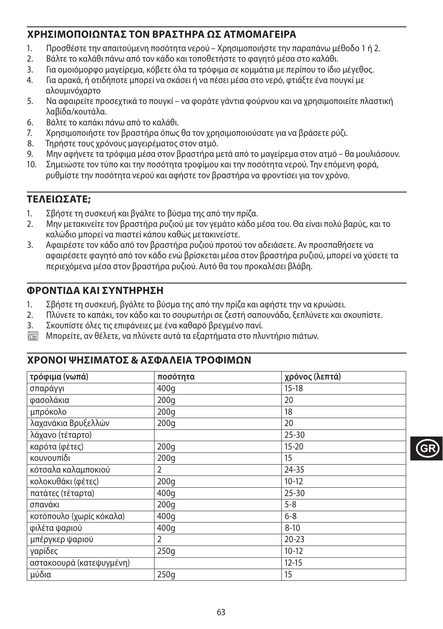### **ΧΡΗΣΙΜΟΠΟΙΩΝΤΑΣ ΤΟΝ ΒΡΑΣΤΗΡΑ ΩΣ ΑΤΜΟΜΑΓΕΙΡΑ**

- 1. Προσθέστε την απαιτούμενη ποσότητα νερού Χρησιμοποιήστε την παραπάνω μέθοδο 1 ή 2.
- 2. Βάλτε το καλάθι πάνω από τον κάδο και τοποθετήστε το φαγητό μέσα στο καλάθι.
- 3. Για ομοιόμορφο μαγείρεμα, κόβετε όλα τα τρόφιμα σε κομμάτια με περίπου το ίδιο μέγεθος.
- 4. Για αρακά, ή οτιδήποτε μπορεί να σκάσει ή να πέσει μέσα στο νερό, φτιάξτε ένα πουγκί με αλουμινόχαρτο
- 5. Να αφαιρείτε προσεχτικά το πουγκί να φοράτε γάντια φούρνου και να χρησιμοποιείτε πλαστική λαβίδα/κουτάλα.
- 6. Βάλτε το καπάκι πάνω από το καλάθι.
- 7. Χρησιμοποιήστε τον βραστήρα όπως θα τον χρησιμοποιούσατε για να βράσετε ρύζι.
- 8. Τηρήστε τους χρόνους μαγειρέματος στον ατμό.
- 9. Μην αφήνετε τα τρόφιμα μέσα στον βραστήρα μετά από το μαγείρεμα στον ατμό θα μουλιάσουν.
- 10. Σημειώστε τον τύπο και την ποσότητα τροφίμου και την ποσότητα νερού. Την επόμενη φορά, ρυθμίστε την ποσότητα νερού και αφήστε τον βραστήρα να φροντίσει για τον χρόνο.

### **ΤΕΛΕΙΩΣΑΤΕ;**

- 1. Σβήστε τη συσκευή και βγάλτε το βύσμα της από την πρίζα.
- 2. Μην μετακινείτε τον βραστήρα ρυζιού με τον γεμάτο κάδο μέσα του. Θα είναι πολύ βαρύς, και το καλώδιο μπορεί να πιαστεί κάπου καθώς μετακινείστε.
- 3. Αφαιρέστε τον κάδο από τον βραστήρα ρυζιού προτού τον αδειάσετε. Αν προσπαθήσετε να αφαιρέσετε φαγητό από τον κάδο ενώ βρίσκεται μέσα στον βραστήρα ρυζιού, μπορεί να χύσετε τα περιεχόμενα μέσα στον βραστήρα ρυζιού. Αυτό θα του προκαλέσει βλάβη.

### **ΦΡΟΝΤΙΔΑ ΚΑΙ ΣΥΝΤΗΡΗΣΗ**

- 1. Σβήστε τη συσκευή, βγάλτε το βύσμα της από την πρίζα και αφήστε την να κρυώσει.
- 2. Πλύνετε το καπάκι, τον κάδο και το σουρωτήρι σε ζεστή σαπουνάδα, ξεπλύνετε και σκουπίστε.
- 3. Σκουπίστε όλες τις επιφάνειες με ένα καθαρό βρεγμένο πανί.
- ` Μπορείτε, αν θέλετε, να πλύνετε αυτά τα εξαρτήματα στο πλυντήριο πιάτων.

#### **ΧΡΟΝΟΙ ΨΗΣΙΜΑΤΟΣ & ΑΣΦΑΛΕΙΑ ΤΡΟΦΙΜΩΝ**

| τρόφιμα (νωπά)           | ποσότητα         | χρόνος (λεπτά) |
|--------------------------|------------------|----------------|
| σπαράγγι                 | 400q             | $15-18$        |
| φασολάκια                | 200q             | 20             |
| μπρόκολο                 | 200q             | 18             |
| λαχανάκια Βρυξελλών      | 200q             | 20             |
| λάχανο (τέταρτο)         |                  | $25 - 30$      |
| καρότα (φέτες)           | 200 <sub>g</sub> | $15 - 20$      |
| κουνουπίδι               | 200q             | 15             |
| κότσαλα καλαμποκιού      | 2                | 24-35          |
| κολοκυθάκι (φέτες)       | 200q             | $10-12$        |
| πατάτες (τέταρτα)        | 400q             | $25 - 30$      |
| σπανάκι                  | 200q             | $5 - 8$        |
| κοτόπουλο (χωρίς κόκαλα) | 400q             | $6 - 8$        |
| φιλέτα ψαριού            | 400q             | $8 - 10$       |
| μπέργκερ ψαριού          | $\overline{2}$   | $20 - 23$      |
| γαρίδες                  | 250g             | $10-12$        |
| αστακοουρά (κατεψυγμένη) |                  | $12 - 15$      |
| μύδια                    | 250q             | 15             |

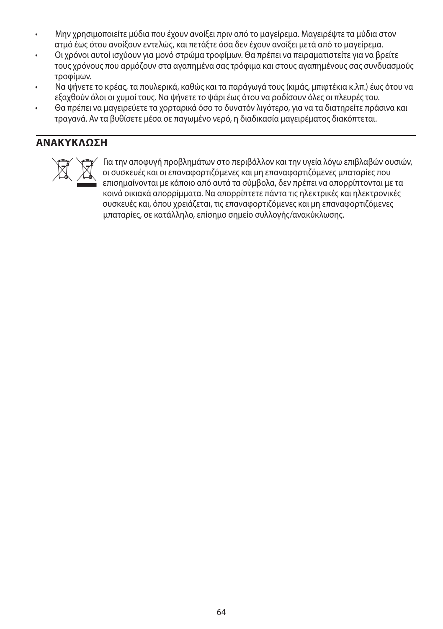- Μην χρησιμοποιείτε μύδια που έχουν ανοίξει πριν από το μαγείρεμα. Μαγειρέψτε τα μύδια στον ατμό έως ότου ανοίξουν εντελώς, και πετάξτε όσα δεν έχουν ανοίξει μετά από το μαγείρεμα.
- Οι χρόνοι αυτοί ισχύουν για μονό στρώμα τροφίμων. Θα πρέπει να πειραματιστείτε για να βρείτε τους χρόνους που αρμόζουν στα αγαπημένα σας τρόφιμα και στους αγαπημένους σας συνδυασμούς τροφίμων.
- Να ψήνετε το κρέας, τα πουλερικά, καθώς και τα παράγωγά τους (κιμάς, μπιφτέκια κ.λπ.) έως ότου να εξαχθούν όλοι οι χυμοί τους. Να ψήνετε το ψάρι έως ότου να ροδίσουν όλες οι πλευρές του.
- Θα πρέπει να μαγειρεύετε τα χορταρικά όσο το δυνατόν λιγότερο, για να τα διατηρείτε πράσινα και τραγανά. Αν τα βυθίσετε μέσα σε παγωμένο νερό, η διαδικασία μαγειρέματος διακόπτεται.

### **ΑΝΑΚΥΚΛΩΣΗ**



ΜΓ΄ Για την αποφυγή προβλημάτων στο περιβάλλον και την υγεία λόγω επιβλαβών ουσιών,<br>Οι συσκευές και οι επαναφορτιζόμενες και μη επαναφορτιζόμενες μπαταρίες που<br>επισημαίνονται με κάποιο από αυτά τα σύμβολα, δεν πρέπει να οι συσκευές και οι επαναφορτιζόμενες και μη επαναφορτιζόμενες μπαταρίες που επισημαίνονται με κάποιο από αυτά τα σύμβολα, δεν πρέπει να απορρίπτονται με τα κοινά οικιακά απορρίμματα. Να απορρίπτετε πάντα τις ηλεκτρικές και ηλεκτρονικές συσκευές και, όπου χρειάζεται, τις επαναφορτιζόμενες και μη επαναφορτιζόμενες μπαταρίες, σε κατάλληλο, επίσημο σημείο συλλογής/ανακύκλωσης.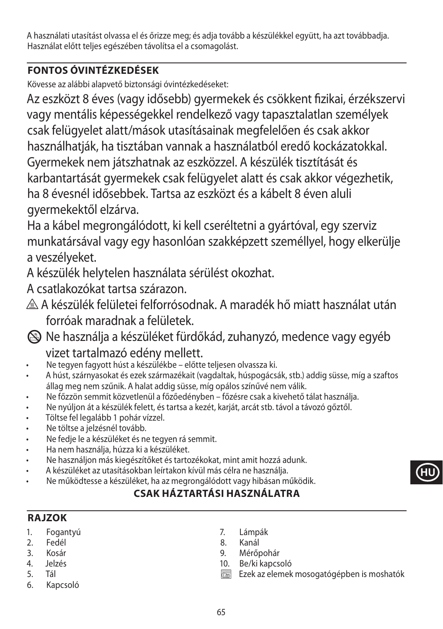A használati utasítást olvassa el és őrizze meg; és adja tovább a készülékkel együtt, ha azt továbbadja. Használat előtt teljes egészében távolítsa el a csomagolást.

## **FONTOS ÓVINTÉZKEDÉSEK**

Kövesse az alábbi alapvető biztonsági óvintézkedéseket:

Az eszközt 8 éves (vagy idősebb) gyermekek és csökkent fizikai, érzékszervi vagy mentális képességekkel rendelkező vagy tapasztalatlan személyek csak felügyelet alatt/mások utasításainak megfelelően és csak akkor használhatják, ha tisztában vannak a használatból eredő kockázatokkal. Gyermekek nem játszhatnak az eszközzel. A készülék tisztítását és karbantartását gyermekek csak felügyelet alatt és csak akkor végezhetik, ha 8 évesnél idősebbek. Tartsa az eszközt és a kábelt 8 éven aluli gyermekektől elzárva.

Ha a kábel megrongálódott, ki kell cseréltetni a gyártóval, egy szerviz munkatársával vagy egy hasonlóan szakképzett személlyel, hogy elkerülje a veszélyeket.

A készülék helytelen használata sérülést okozhat.

A csatlakozókat tartsa szárazon.

¬ A készülék felületei felforrósodnak. A maradék hő miatt használat után forróak maradnak a felületek.

L Ne használja a készüléket fürdőkád, zuhanyzó, medence vagy egyéb

# vizet tartalmazó edény mellett.

- Ne tegyen fagyott húst a készülékbe előtte teljesen olvassza ki.
- A húst, szárnyasokat és ezek származékait (vagdaltak, húspogácsák, stb.) addig süsse, míg a szaftos állag meg nem szűnik. A halat addig süsse, míg opálos színűvé nem válik.
- Ne főzzön semmit közvetlenül a főzőedényben főzésre csak a kivehető tálat használja.
- Ne nyúljon át a készülék felett, és tartsa a kezét, karját, arcát stb. távol a távozó gőztől.
- Töltse fel legalább 1 pohár vízzel.
- Ne töltse a jelzésnél tovább.
- Ne fedje le a készüléket és ne tegyen rá semmit.
- Ha nem használja, húzza ki a készüléket.
- Ne használjon más kiegészítőket és tartozékokat, mint amit hozzá adunk.
- A készüléket az utasításokban leírtakon kívül más célra ne használja.
- Ne működtesse a készüléket, ha az megrongálódott vagy hibásan működik.

## **CSAK HÁZTARTÁSI HASZNÁLATRA**

### **RAJZOK**

- 1. Fogantyú
- 2. Fedél
- 3. Kosár
- 4. Jelzés
- 5. Tál
- 6. Kapcsoló
- 7. Lámpák
- 8. Kanál
- 9. Mérőpohár
- 10. Be/ki kapcsoló
- $\overline{\mathbb{C}\mathbb{D}}$  Ezek az elemek mosogatógépben is moshatók

**HU**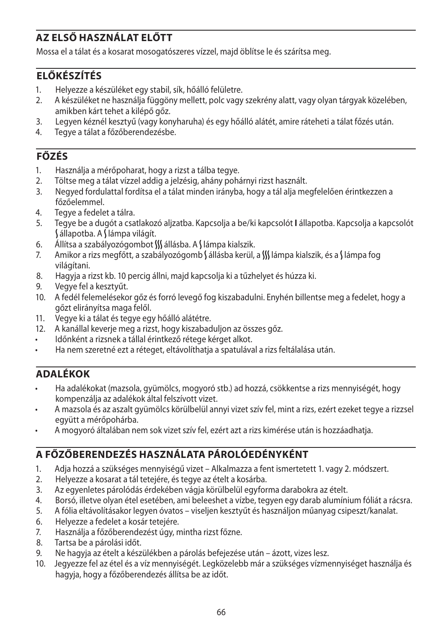## **AZ ELSŐ HASZNÁLAT ELŐTT**

Mossa el a tálat és a kosarat mosogatószeres vízzel, majd öblítse le és szárítsa meg.

### **ELŐKÉSZÍTÉS**

- 1. Helyezze a készüléket egy stabil, sík, hőálló felületre.
- 2. A készüléket ne használja függöny mellett, polc vagy szekrény alatt, vagy olyan tárgyak közelében, amikben kárt tehet a kilépő gőz.
- 3. Legyen kéznél kesztyű (vagy konyharuha) és egy hőálló alátét, amire ráteheti a tálat főzés után.
- 4. Tegye a tálat a főzőberendezésbe.

## **FŐZÉS**

- 1. Használja a mérőpoharat, hogy a rizst a tálba tegye.
- 2. Töltse meg a tálat vízzel addig a jelzésig, ahány pohárnyi rizst használt.
- 3. Negyed fordulattal fordítsa el a tálat minden irányba, hogy a tál alja megfelelően érintkezzen a főzőelemmel.
- 4. Tegye a fedelet a tálra.
- 5. Tegye be a dugót a csatlakozó aljzatba. Kapcsolja a be/ki kapcsolót **I** állapotba. Kapcsolja a kapcsolót  $\int$ állapotba. A  $\int$ lámpa világít.
- 6. Állítsa a szabályozógombot  $\mathcal{W}$  állásba. A Slámpa kialszik.
- 7. Amikor a rizs megfőtt, a szabályozógomb Sállásba kerül, a SS lámpa kialszik, és a S lámpa fog világítani.
- 8. Hagyja a rizst kb. 10 percig állni, majd kapcsolja ki a tűzhelyet és húzza ki.
- 9. Vegye fel a kesztyűt.
- 10. A fedél felemelésekor gőz és forró levegő fog kiszabadulni. Enyhén billentse meg a fedelet, hogy a gőzt elirányítsa maga felől.
- 11. Vegye ki a tálat és tegye egy hőálló alátétre.
- 12. A kanállal keverje meg a rizst, hogy kiszabaduljon az összes gőz.
- Időnként a rizsnek a tállal érintkező rétege kérget alkot.
- Ha nem szeretné ezt a réteget, eltávolíthatja a spatulával a rizs feltálalása után.

### **ADALÉKOK**

- Ha adalékokat (mazsola, gyümölcs, mogyoró stb.) ad hozzá, csökkentse a rizs mennyiségét, hogy kompenzálja az adalékok által felszívott vizet.
- A mazsola és az aszalt gyümölcs körülbelül annyi vizet szív fel, mint a rizs, ezért ezeket tegye a rizzsel együtt a mérőpohárba.
- A mogyoró általában nem sok vizet szív fel, ezért azt a rizs kimérése után is hozzáadhatja.

### **A FŐZŐBERENDEZÉS HASZNÁLATA PÁROLÓEDÉNYKÉNT**

- 1. Adja hozzá a szükséges mennyiségű vizet Alkalmazza a fent ismertetett 1. vagy 2. módszert.
- 2. Helyezze a kosarat a tál tetejére, és tegye az ételt a kosárba.
- 3. Az egyenletes párolódás érdekében vágja körülbelül egyforma darabokra az ételt.
- 4. Borsó, illetve olyan étel esetében, ami beleeshet a vízbe, tegyen egy darab alumínium fóliát a rácsra.
- 5. A fólia eltávolításakor legyen óvatos viseljen kesztyűt és használjon műanyag csipeszt/kanalat.
- 6. Helyezze a fedelet a kosár tetejére.
- 7. Használja a főzőberendezést úgy, mintha rizst főzne.
- 8. Tartsa be a párolási időt.
- 9. Ne hagyja az ételt a készülékben a párolás befejezése után ázott, vizes lesz.
- 10. Jegyezze fel az étel és a víz mennyiségét. Legközelebb már a szükséges vízmennyiséget használja és hagyja, hogy a főzőberendezés állítsa be az időt.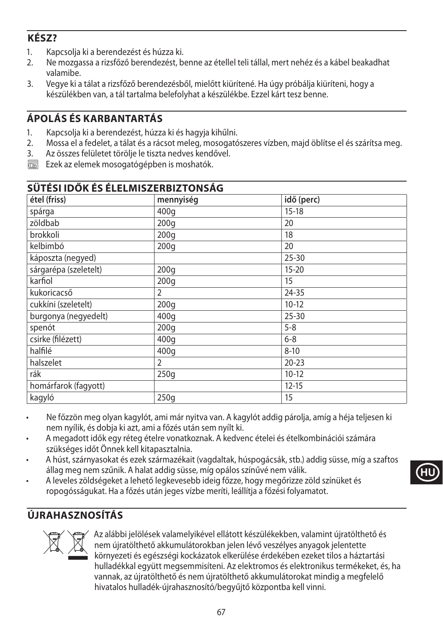## **KÉSZ?**

- 1. Kapcsolja ki a berendezést és húzza ki.
- 2. Ne mozgassa a rizsfőző berendezést, benne az étellel teli tállal, mert nehéz és a kábel beakadhat valamibe.
- 3. Vegye ki a tálat a rizsfőző berendezésből, mielőtt kiürítené. Ha úgy próbálja kiüríteni, hogy a készülékben van, a tál tartalma belefolyhat a készülékbe. Ezzel kárt tesz benne.

## **ÁPOLÁS ÉS KARBANTARTÁS**

- 1. Kapcsolja ki a berendezést, húzza ki és hagyja kihűlni.
- 2. Mossa el a fedelet, a tálat és a rácsot meleg, mosogatószeres vízben, majd öblítse el és szárítsa meg.
- 3. Az összes felületet törölje le tiszta nedves kendővel.
- $\overline{\text{max}}$  Ezek az elemek mosogatógépben is moshatók.

| SÜTÉSI IDŐK ÉS ÉLELMISZERBIZTONSÁG |                  |            |
|------------------------------------|------------------|------------|
| étel (friss)                       | mennyiség        | idő (perc) |
| spárga                             | 400 <sub>g</sub> | $15 - 18$  |
| zöldbab                            | 200q             | 20         |
| brokkoli                           | 200q             | 18         |
| kelbimbó                           | 200q             | 20         |
| káposzta (negyed)                  |                  | $25 - 30$  |
| sárgarépa (szeletelt)              | 200 <sub>g</sub> | $15 - 20$  |
| karfiol                            | 200q             | 15         |
| kukoricacső                        | 2                | $24 - 35$  |
| cukkíni (szeletelt)                | 200q             | $10-12$    |
| burgonya (negyedelt)               | 400q             | $25 - 30$  |
| spenót                             | 200q             | $5 - 8$    |
| csirke (filézett)                  | 400q             | $6 - 8$    |
| halfilé                            | 400g             | $8 - 10$   |
| halszelet                          | $\overline{2}$   | $20 - 23$  |
| rák                                | 250g             | $10-12$    |
| homárfarok (fagyott)               |                  | $12 - 15$  |
| kagyló                             | 250q             | 15         |

- Ne főzzön meg olyan kagylót, ami már nyitva van. A kagylót addig párolja, amíg a héja teljesen ki nem nyílik, és dobja ki azt, ami a főzés után sem nyílt ki.
- A megadott idők egy réteg ételre vonatkoznak. A kedvenc ételei és ételkombinációi számára szükséges időt Önnek kell kitapasztalnia.
- A húst, szárnyasokat és ezek származékait (vagdaltak, húspogácsák, stb.) addig süsse, míg a szaftos állag meg nem szűnik. A halat addig süsse, míg opálos színűvé nem válik.
- A leveles zöldségeket a lehető legkevesebb ideig főzze, hogy megőrizze zöld színüket és ropogósságukat. Ha a főzés után jeges vízbe meríti, leállítja a főzési folyamatot.

# **ÚJRAHASZNOSÍTÁS**



Az alábbi jelölések valamelyikével ellátott készülékekben, valamint újratölthető és<br>nem újratölthető akkumulátorokban jelen lévő veszélyes anyagok jelentette<br>környezeti és egészségi kockázatok elkerülése érdekében ezeket t nem újratölthető akkumulátorokban jelen lévő veszélyes anyagok jelentette környezeti és egészségi kockázatok elkerülése érdekében ezeket tilos a háztartási hulladékkal együtt megsemmisíteni. Az elektromos és elektronikus termékeket, és, ha vannak, az újratölthető és nem újratölthető akkumulátorokat mindig a megfelelő hivatalos hulladék-újrahasznosító/begyűjtő központba kell vinni.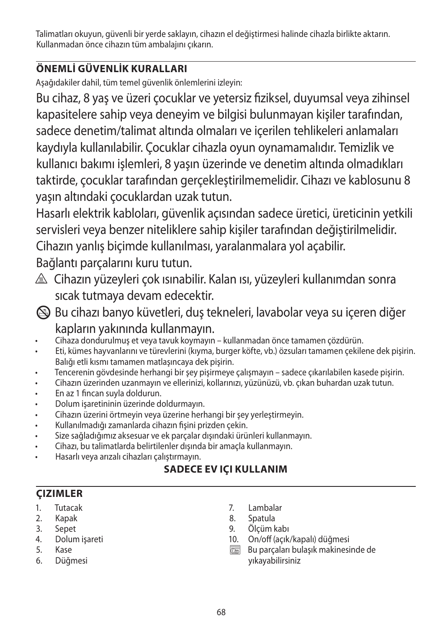Talimatları okuyun, güvenli bir yerde saklayın, cihazın el değiştirmesi halinde cihazla birlikte aktarın. Kullanmadan önce cihazın tüm ambalajını çıkarın.

# **ÖNEMLİ GÜVENLİK KURALLARI**

Aşağıdakiler dahil, tüm temel güvenlik önlemlerini izleyin:

Bu cihaz, 8 yaş ve üzeri çocuklar ve yetersiz fiziksel, duyumsal veya zihinsel kapasitelere sahip veya deneyim ve bilgisi bulunmayan kişiler tarafından, sadece denetim/talimat altında olmaları ve içerilen tehlikeleri anlamaları kaydıyla kullanılabilir. Çocuklar cihazla oyun oynamamalıdır. Temizlik ve kullanıcı bakımı işlemleri, 8 yaşın üzerinde ve denetim altında olmadıkları taktirde, çocuklar tarafından gerçekleştirilmemelidir. Cihazı ve kablosunu 8 yaşın altındaki çocuklardan uzak tutun.

Hasarlı elektrik kabloları, güvenlik açısından sadece üretici, üreticinin yetkili servisleri veya benzer niteliklere sahip kişiler tarafından değiştirilmelidir. Cihazın yanlış biçimde kullanılması, yaralanmalara yol açabilir.

Bağlantı parçalarını kuru tutun.

- </u> △ Cihazın yüzeyleri çok ısınabilir. Kalan ısı, yüzeyleri kullanımdan sonra sıcak tutmaya devam edecektir.
- L Bu cihazı banyo küvetleri, duş tekneleri, lavabolar veya su içeren diğer kapların yakınında kullanmayın.
- Cihaza dondurulmuş et veya tavuk koymayın kullanmadan önce tamamen çözdürün.
- Eti, kümes hayvanlarını ve türevlerini (kıyma, burger köfte, vb.) özsuları tamamen çekilene dek pişirin. Balığı etli kısmı tamamen matlaşıncaya dek pişirin.
- Tencerenin gövdesinde herhangi bir şey pişirmeye çalışmayın sadece çıkarılabilen kasede pişirin.
- Cihazın üzerinden uzanmayın ve ellerinizi, kollarınızı, yüzünüzü, vb. çıkan buhardan uzak tutun.
- En az 1 fincan suyla doldurun.
- Dolum işaretininin üzerinde doldurmayın.
- Cihazın üzerini örtmeyin veya üzerine herhangi bir şey yerleştirmeyin.
- Kullanılmadığı zamanlarda cihazın fişini prizden çekin.
- Size sağladığımız aksesuar ve ek parçalar dışındaki ürünleri kullanmayın.
- Cihazı, bu talimatlarda belirtilenler dışında bir amaçla kullanmayın.
- Hasarlı veya arızalı cihazları çalıştırmayın.

# **SADECE EV IÇI KULLANIM**

# **ÇIZIMLER**

- 1. Tutacak
- 2. Kapak
- 3. Sepet
- 4. Dolum işareti
- 5. Kase
- 6. Düğmesi
- 7. Lambalar
- 8. Spatula
- 9. Ölçüm kabı
- 10. On/off (açık/kapalı) düğmesi<br>
Film Bu parcaları bulasık makinesi
- ` Bu parçaları bulaşık makinesinde de yıkayabilirsiniz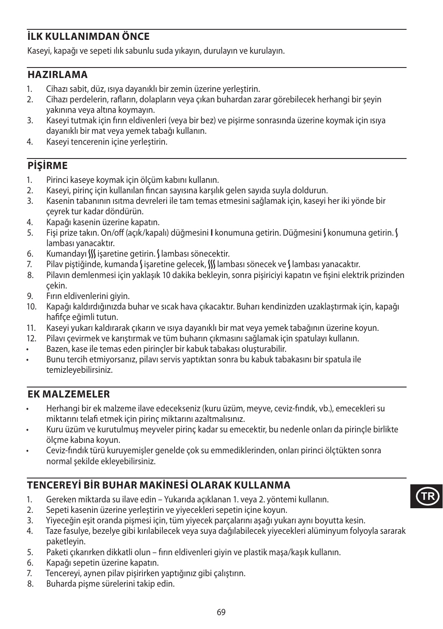## **İLK KULLANIMDAN ÖNCE**

Kaseyi, kapağı ve sepeti ılık sabunlu suda yıkayın, durulayın ve kurulayın.

#### **HAZIRLAMA**

- 1. Cihazı sabit, düz, ısıya dayanıklı bir zemin üzerine yerleştirin.
- 2. Cihazı perdelerin, rafların, dolapların veya çıkan buhardan zarar görebilecek herhangi bir şeyin yakınına veya altına koymayın.
- 3. Kaseyi tutmak için fırın eldivenleri (veya bir bez) ve pişirme sonrasında üzerine koymak için ısıya dayanıklı bir mat veya yemek tabağı kullanın.
- 4. Kaseyi tencerenin içine yerleştirin.

### **PİŞİRME**

- 1. Pirinci kaseye koymak için ölçüm kabını kullanın.
- 2. Kaseyi, pirinç için kullanılan fincan sayısına karşılık gelen sayıda suyla doldurun.
- 3. Kasenin tabanının ısıtma devreleri ile tam temas etmesini sağlamak için, kaseyi her iki yönde bir çeyrek tur kadar döndürün.
- 4. Kapağı kasenin üzerine kapatın.
- 5. Fişi prize takın. On/off (açık/kapalı) düğmesini **I** konumuna getirin. Düğmesini Ş konumuna getirin. Ş lambası yanacaktır.
- 6. Kumandayı W işaretine getirin. Slambası sönecektir.
- 7. Pilav piştiğinde, kumanda Sişaretine gelecek, SS lambası sönecek ve Slambası yanacaktır.
- 8. Pilavın demlenmesi için yaklaşık 10 dakika bekleyin, sonra pişiriciyi kapatın ve fişini elektrik prizinden çekin.
- 9. Fırın eldivenlerini giyin.
- 10. Kapağı kaldırdığınızda buhar ve sıcak hava çıkacaktır. Buharı kendinizden uzaklaştırmak için, kapağı hafifçe eğimli tutun.
- 11. Kaseyi yukarı kaldırarak çıkarın ve ısıya dayanıklı bir mat veya yemek tabağının üzerine koyun.
- 12. Pilavı çevirmek ve karıştırmak ve tüm buharın çıkmasını sağlamak için spatulayı kullanın.
- Bazen, kase ile temas eden pirinçler bir kabuk tabakası oluşturabilir.
- Bunu tercih etmiyorsanız, pilavı servis yaptıktan sonra bu kabuk tabakasını bir spatula ile temizleyebilirsiniz.

#### **EK MALZEMELER**

- Herhangi bir ek malzeme ilave edecekseniz (kuru üzüm, meyve, ceviz-fındık, vb.), emecekleri su miktarını telafi etmek için pirinç miktarını azaltmalısınız.
- Kuru üzüm ve kurutulmuş meyveler pirinç kadar su emecektir, bu nedenle onları da pirinçle birlikte ölçme kabına koyun.
- Ceviz-fındık türü kuruyemişler genelde çok su emmediklerinden, onları pirinci ölçtükten sonra normal şekilde ekleyebilirsiniz.

## **TENCEREYİ BİR BUHAR MAKİNESİ OLARAK KULLANMA**

- 1. Gereken miktarda su ilave edin Yukarıda açıklanan 1. veya 2. yöntemi kullanın.
- 2. Sepeti kasenin üzerine yerleştirin ve yiyecekleri sepetin içine koyun.
- 3. Yiyeceğin eşit oranda pişmesi için, tüm yiyecek parçalarını aşağı yukarı aynı boyutta kesin.
- 4. Taze fasulye, bezelye gibi kırılabilecek veya suya dağılabilecek yiyecekleri alüminyum folyoyla sararak paketleyin.
- 5. Paketi çıkarırken dikkatli olun fırın eldivenleri giyin ve plastik maşa/kaşık kullanın.
- 6. Kapağı sepetin üzerine kapatın.
- 7. Tencereyi, aynen pilav pişirirken yaptığınız gibi çalıştırın.
- 8. Buharda pişme sürelerini takip edin.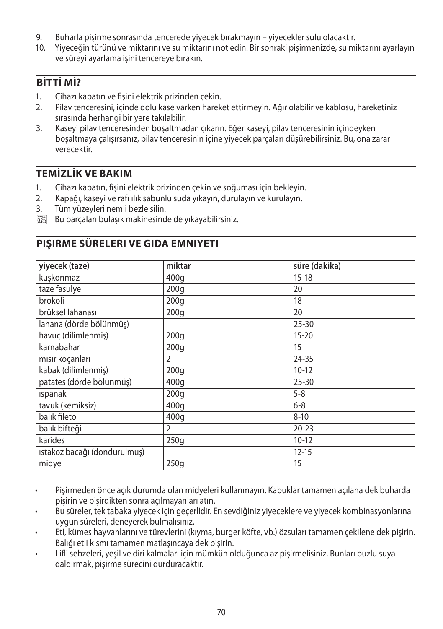- 9. Buharla pişirme sonrasında tencerede yiyecek bırakmayın yiyecekler sulu olacaktır.
- 10. Yiyeceğin türünü ve miktarını ve su miktarını not edin. Bir sonraki pişirmenizde, su miktarını ayarlayın ve süreyi ayarlama işini tencereye bırakın.

### **BİTTİ Mİ?**

- 1. Cihazı kapatın ve fişini elektrik prizinden çekin.
- 2. Pilav tenceresini, içinde dolu kase varken hareket ettirmeyin. Ağır olabilir ve kablosu, hareketiniz sırasında herhangi bir yere takılabilir.
- 3. Kaseyi pilav tenceresinden boşaltmadan çıkarın. Eğer kaseyi, pilav tenceresinin içindeyken boşaltmaya çalışırsanız, pilav tenceresinin içine yiyecek parçaları düşürebilirsiniz. Bu, ona zarar verecektir.

### **TEMİZLİK VE BAKIM**

- 1. Cihazı kapatın, fişini elektrik prizinden çekin ve soğuması için bekleyin.<br>2. Kapağı, kasevi ve rafı ilik sabunlu suda yıkayın, durulayın ve kurulayın.
- 2. Kapağı, kaseyi ve rafı ılık sabunlu suda yıkayın, durulayın ve kurulayın.
- 3. Tüm yüzeyleri nemli bezle silin.
- $\overline{\binom{m}{n}}$  Bu parçaları bulaşık makinesinde de yıkayabilirsiniz.

#### **PIŞIRME SÜRELERI VE GIDA EMNIYETI**

| yiyecek (taze)               | miktar           | süre (dakika) |
|------------------------------|------------------|---------------|
| kuşkonmaz                    | 400q             | $15-18$       |
| taze fasulye                 | 200q             | 20            |
| brokoli                      | 200q             | 18            |
| brüksel lahanası             | 200q             | 20            |
| lahana (dörde bölünmüş)      |                  | $25 - 30$     |
| havuc (dilimlenmis)          | 200 <sub>g</sub> | $15 - 20$     |
| karnabahar                   | 200q             | 15            |
| mısır koçanları              | 2                | $24 - 35$     |
| kabak (dilimlenmiş)          | 200q             | $10-12$       |
| patates (dörde bölünmüş)     | 400q             | $25 - 30$     |
| <b>Ispanak</b>               | 200q             | $5 - 8$       |
| tavuk (kemiksiz)             | 400q             | $6 - 8$       |
| balık fileto                 | 400q             | $8 - 10$      |
| balık bifteği                | $\overline{2}$   | $20 - 23$     |
| karides                      | 250q             | $10-12$       |
| ıstakoz bacağı (dondurulmuş) |                  | $12 - 15$     |
| midye                        | 250q             | 15            |

- Pişirmeden önce açık durumda olan midyeleri kullanmayın. Kabuklar tamamen açılana dek buharda pişirin ve pişirdikten sonra açılmayanları atın.
- Bu süreler, tek tabaka yiyecek için geçerlidir. En sevdiğiniz yiyeceklere ve yiyecek kombinasyonlarına uygun süreleri, deneyerek bulmalısınız.
- Eti, kümes hayvanlarını ve türevlerini (kıyma, burger köfte, vb.) özsuları tamamen çekilene dek pişirin. Balığı etli kısmı tamamen matlaşıncaya dek pişirin.
- Lifli sebzeleri, yeşil ve diri kalmaları için mümkün olduğunca az pişirmelisiniz. Bunları buzlu suya daldırmak, pişirme sürecini durduracaktır.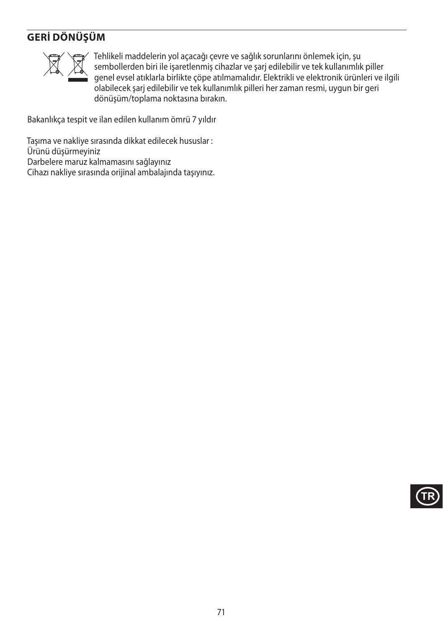## **GERİ DÖNÜŞÜM**



WTEhlikeli maddelerin yol açacağı çevre ve sağlık sorunlarını önlemek için, şu<br>sembollerden biri ile işaretlenmiş cihazlar ve şarj edilebilir ve tek kullanımlık<br>genel evsel atıklarla birlikte çöpe atılmamalıdır. Elektrikli sembollerden biri ile işaretlenmiş cihazlar ve şarj edilebilir ve tek kullanımlık piller genel evsel atıklarla birlikte çöpe atılmamalıdır. Elektrikli ve elektronik ürünleri ve ilgili olabilecek şarj edilebilir ve tek kullanımlık pilleri her zaman resmi, uygun bir geri dönüşüm/toplama noktasına bırakın.

Bakanlıkça tespit ve ilan edilen kullanım ömrü 7 yıldır

Taşıma ve nakliye sırasında dikkat edilecek hususlar : Ürünü düşürmeyiniz Darbelere maruz kalmamasını sağlayınız Cihazı nakliye sırasında orijinal ambalajında taşıyınız.

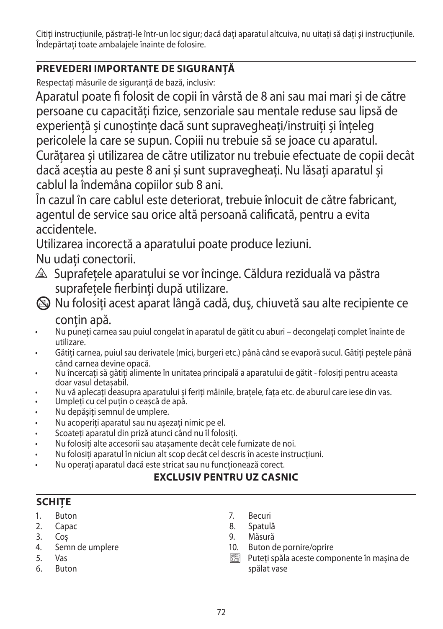Citiți instrucțiunile, păstrați-le într-un loc sigur; dacă dați aparatul altcuiva, nu uitați să dați și instrucțiunile. Îndepărtați toate ambalajele înainte de folosire.

## **PREVEDERI IMPORTANTE DE SIGURANŢĂ**

Respectați măsurile de siguranță de bază, inclusiv:

Aparatul poate fi folosit de copii în vârstă de 8 ani sau mai mari și de către persoane cu capacități fizice, senzoriale sau mentale reduse sau lipsă de experiență și cunoștințe dacă sunt supravegheați/instruiți și înțeleg pericolele la care se supun. Copiii nu trebuie să se joace cu aparatul.

Curățarea și utilizarea de către utilizator nu trebuie efectuate de copii decât dacă aceștia au peste 8 ani și sunt supravegheați. Nu lăsați aparatul și cablul la îndemâna copiilor sub 8 ani.

În cazul în care cablul este deteriorat, trebuie înlocuit de către fabricant, agentul de service sau orice altă persoană calificată, pentru a evita accidentele.

Utilizarea incorectă a aparatului poate produce leziuni.

Nu udati conectorii.

- $\triangle$  Suprafetele aparatului se vor încinge. Căldura reziduală va păstra suprafetele fierbinti după utilizare.
- L Nu folosiţi acest aparat lângă cadă, duş, chiuvetă sau alte recipiente ce contin apă.
- Nu puneți carnea sau puiul congelat în aparatul de gătit cu aburi decongelați complet înainte de utilizare.
- Gătiti carnea, puiul sau derivatele (mici, burgeri etc.) până când se evaporă sucul. Gătiti pestele până când carnea devine opacă.
- Nu încercați să gătiți alimente în unitatea principală a aparatului de gătit folosiți pentru aceasta doar vasul detașabil.
- Nu vă aplecați deasupra aparatului și feriți mâinile, brațele, fața etc. de aburul care iese din vas.
- Umpleți cu cel puțin o ceașcă de apă.
- Nu depășiți semnul de umplere.
- Nu acoperiti aparatul sau nu asezati nimic pe el.
- Scoateti aparatul din priză atunci când nu îl folositi.
- Nu folosiţi alte accesorii sau ataşamente decât cele furnizate de noi.
- Nu folositi aparatul în niciun alt scop decât cel descris în aceste instructiuni.
- Nu operaţi aparatul dacă este stricat sau nu funcţionează corect.

### **EXCLUSIV PENTRU UZ CASNIC**

## **SCHIŢE**

- 1. Buton
- 2. Capac
- 3. Coș
- 4. Semn de umplere
- 5. Vas
- 6. Buton
- 7. Becuri
- 8. Spatulă
- 9. Măsură
- 10. Buton de pornire/oprire<br>
Puteti spăla aceste comp
- ` Puteți spăla aceste componente în mașina de spălat vase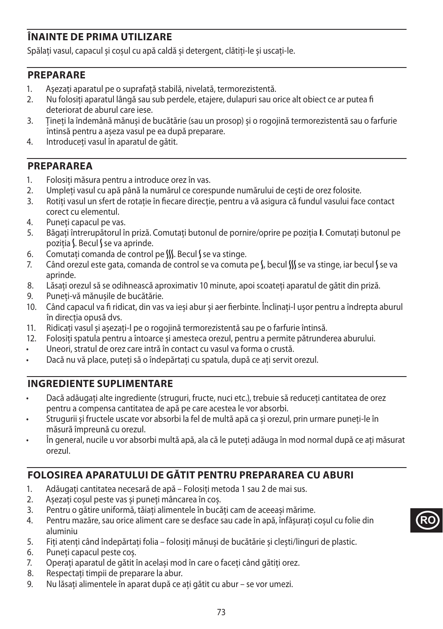# **ÎNAINTE DE PRIMA UTILIZARE**

Spălați vasul, capacul și coșul cu apă caldă și detergent, clătiți-le și uscați-le.

#### **PREPARARE**

- 1. Asezați aparatul pe o suprafață stabilă, nivelață, termorezistentă.
- 2. Nu folosiți aparatul lângă sau sub perdele, etajere, dulapuri sau orice alt obiect ce ar putea fi deteriorat de aburul care iese.
- 3. Țineți la îndemână mănuși de bucătărie (sau un prosop) și o rogojină termorezistentă sau o farfurie întinsă pentru a așeza vasul pe ea după preparare.
- 4. Introduceți vasul în aparatul de gătit.

#### **PREPARAREA**

- 1. Folosiți măsura pentru a introduce orez în vas.<br>2. LUmpleti vasul cu apă până la numărul ce cores
- Umpleti vasul cu apă până la numărul ce corespunde numărului de cești de orez folosite.
- 3. Rotiți vasul un sfert de rotație în fiecare direcție, pentru a vă asigura că fundul vasului face contact corect cu elementul.
- 4. Puneți capacul pe vas.
- 5. Băgați întrerupătorul în priză. Comutați butonul de pornire/oprire pe poziția **I**. Comutați butonul pe pozitia S. Becul S se va aprinde.
- 6. Comutați comanda de control pe  $\frac{1}{2}$ . Becul se va stinge.
- 7. Când orezul este gata, comanda de control se va comuta pe S, becul SS se va stinge, iar becul S se va aprinde.
- 8. Lăsaţi orezul să se odihnească aproximativ 10 minute, apoi scoateți aparatul de gătit din priză.
- 9. Puneți-vă mănușile de bucătărie.
- 10. Când capacul va fi ridicat, din vas va ieși abur și aer fierbinte. Înclinați-l ușor pentru a îndrepta aburul în direcția opusă dvs.
- 11. Ridicați vasul și așezați-l pe o rogojină termorezistentă sau pe o farfurie întinsă.
- 12. Folosiți spatula pentru a întoarce și amesteca orezul, pentru a permite pătrunderea aburului.
- Uneori, stratul de orez care intră în contact cu vasul va forma o crustă.
- Dacă nu vă place, puteți să o îndepărtați cu spatula, după ce ați servit orezul.

#### **INGREDIENTE SUPLIMENTARE**

- Dacă adăugați alte ingrediente (struguri, fructe, nuci etc.), trebuie să reduceți cantitatea de orez pentru a compensa cantitatea de apă pe care acestea le vor absorbi.
- Strugurii și fructele uscate vor absorbi la fel de multă apă ca și orezul, prin urmare puneți-le în măsură împreună cu orezul.
- În general, nucile u vor absorbi multă apă, ala că le puteți adăuga în mod normal după ce ați măsurat orezul.

# **FOLOSIREA APARATULUI DE GĂTIT PENTRU PREPARAREA CU ABURI**

- 1. Adăugați cantitatea necesară de apă Folosiți metoda 1 sau 2 de mai sus.
- 2. Așezați coșul peste vas și puneți mâncarea în coș.
- 3. Pentru o gătire uniformă, tăiați alimentele în bucăți cam de aceeași mărime.
- 4. Pentru mazăre, sau orice aliment care se desface sau cade în apă, înfășurați coșul cu folie din aluminiu
- 5. Fiți atenți când îndepărtați folia folosiți mănuși de bucătărie și clești/linguri de plastic.
- 6. Puneți capacul peste coș.
- 7. Operați aparatul de gătit în același mod în care o faceți când gătiți orez.
- 8. Respectați timpii de preparare la abur.
- 9. Nu lăsați alimentele în aparat după ce ați gătit cu abur se vor umezi.

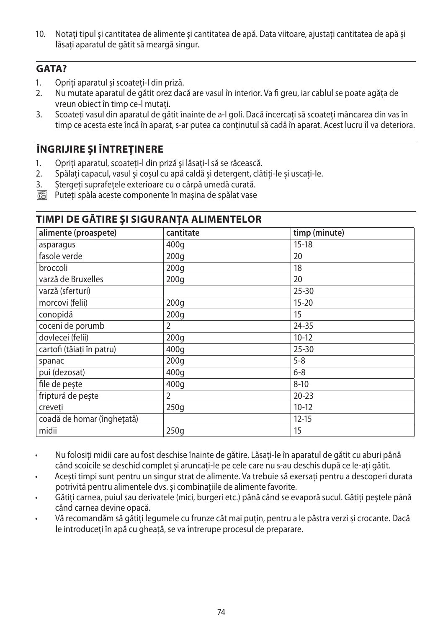10. Notați tipul și cantitatea de alimente și cantitatea de apă. Data viitoare, ajustați cantitatea de apă și lăsați aparatul de gătit să meargă singur.

#### **GATA?**

- 1. Opriti aparatul și scoateți-l din priză.
- 2. Nu mutate aparatul de gătit orez dacă are vasul în interior. Va fi greu, iar cablul se poate agăța de vreun obiect în timp ce-l mutați.
- 3. Scoateți vasul din aparatul de gătit înainte de a-l goli. Dacă încercați să scoateți mâncarea din vas în timp ce acesta este încă în aparat, s-ar putea ca conținutul să cadă în aparat. Acest lucru îl va deteriora.

# **ÎNGRIJIRE ŞI ÎNTREŢINERE**

- 1. Opriti aparatul, scoateti-l din priză și lăsati-l să se răcească.
- 2. Spălați capacul, vasul și coșul cu apă caldă și detergent, clătiți-le și uscați-le.
- 3. Ştergeţi suprafeţele exterioare cu o cârpă umedă curată.
- $\overline{\binom{m}{n}}$  Puteti spăla aceste componente în mașina de spălat vase

| alimente (proaspete)       | cantitate        | timp (minute) |  |  |
|----------------------------|------------------|---------------|--|--|
| asparagus                  | 400q             | $15 - 18$     |  |  |
| fasole verde               | 200q             | 20            |  |  |
| broccoli                   | 200q             | 18            |  |  |
| varză de Bruxelles         | 200q             | 20            |  |  |
| varză (sferturi)           |                  | $25 - 30$     |  |  |
| morcovi (felii)            | 200q             | $15 - 20$     |  |  |
| conopidă                   | 200q             | 15            |  |  |
| coceni de porumb           | 2                | 24-35         |  |  |
| dovlecei (felii)           | 200 <sub>g</sub> | $10-12$       |  |  |
| cartofi (tăiati în patru)  | 400q             | $25 - 30$     |  |  |
| spanac                     | 200 <sub>g</sub> | $5 - 8$       |  |  |
| pui (dezosat)              | 400q             | $6 - 8$       |  |  |
| file de pește              | 400q             | $8 - 10$      |  |  |
| friptură de pește          | $\overline{2}$   | $20 - 23$     |  |  |
| creveți                    | 250q             | $10-12$       |  |  |
| coadă de homar (înghețată) |                  | $12 - 15$     |  |  |
| midii                      | 250q             | 15            |  |  |

## **TIMPI DE GĂTIRE ŞI SIGURANŢA ALIMENTELOR**

- Nu folosiți midii care au fost deschise înainte de gătire. Lăsați-le în aparatul de gătit cu aburi până când scoicile se deschid complet și aruncați-le pe cele care nu s-au deschis după ce le-ați gătit.
- Acești timpi sunt pentru un singur strat de alimente. Va trebuie să exersați pentru a descoperi durata potrivită pentru alimentele dvs. și combinațiile de alimente favorite.
- Gătiţi carnea, puiul sau derivatele (mici, burgeri etc.) până când se evaporă sucul. Gătiţi peştele până când carnea devine opacă.
- Vă recomandăm să gătiți legumele cu frunze cât mai puțin, pentru a le păstra verzi și crocante. Dacă le introduceți în apă cu gheață, se va întrerupe procesul de preparare.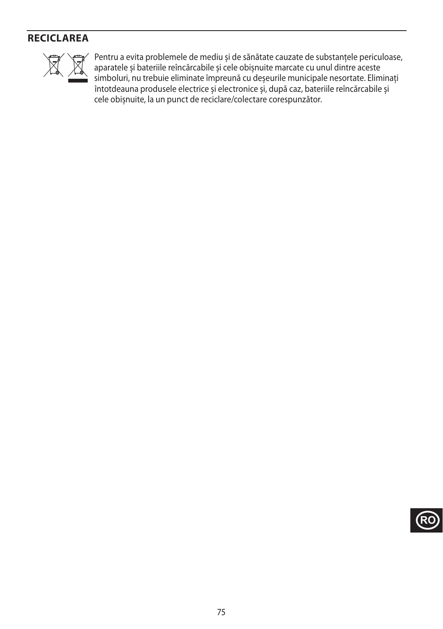# **RECICLAREA**



Pentru a evita problemele de mediu și de sănătate cauzate de substanțele periculoase,<br>aparatele și bateriile reîncărcabile și cele obișnuite marcate cu unul dintre aceste<br>simboluri, nu trebuie eliminate împreună cu deșeuri aparatele și bateriile reîncărcabile și cele obișnuite marcate cu unul dintre aceste simboluri, nu trebuie eliminate împreună cu deșeurile municipale nesortate. Eliminați întotdeauna produsele electrice și electronice și, după caz, bateriile reîncărcabile și cele obișnuite, la un punct de reciclare/colectare corespunzător.

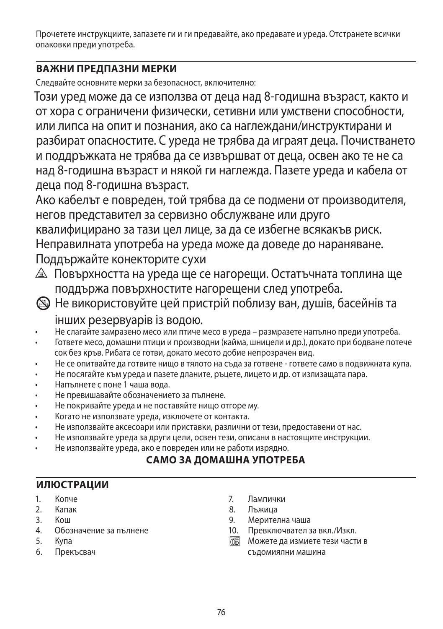Прочетете инструкциите, запазете ги и ги предавайте, ако предавате и уреда. Отстранете всички опаковки преди употреба.

# **ВАЖНИ ПРЕДПАЗНИ МЕРКИ**

Следвайте основните мерки за безопасност, включително:

Този уред може да се използва от деца над 8-годишна възраст, както и от хора с ограничени физически, сетивни или умствени способности, или липса на опит и познания, ако са наглеждани/инструктирани и разбират опасностите. С уреда не трябва да играят деца. Почистването и поддръжката не трябва да се извършват от деца, освен ако те не са над 8-годишна възраст и някой ги наглежда. Пазете уреда и кабела от деца под 8-годишна възраст.

Ако кабелът е повреден, той трябва да се подмени от производителя, негов представител за сервизно обслужване или друго квалифицирано за тази цел лице, за да се избегне всякакъв риск. Неправилната употреба на уреда може да доведе до нараняване. Поддържайте конекторите сухи

- ¬ Повърхността на уреда ще се нагорещи. Остатъчната топлина ще поддържа повърхностите нагорещени след употреба.
- L Не використовуйте цей пристрій поблизу ван, душів, басейнів та інших резервуарів із водою.
- Не слагайте замразено месо или птиче месо в уреда размразете напълно преди употреба.
- Гответе месо, домашни птици и производни (кайма, шницели и др.), докато при бодване потече сок без кръв. Рибата се готви, докато месото добие непрозрачен вид.
- Не се опитвайте да готвите нищо в тялото на съда за готвене гответе само в подвижната купа.
- Не посягайте към уреда и пазете дланите, ръцете, лицето и др. от излизащата пара.
- Напълнете с поне 1 чаша вода.
- Не превишавайте обозначението за пълнене.
- Не покривайте уреда и не поставяйте нищо отгоре му.
- Когато не използвате уреда, изключете от контакта.
- Не използвайте аксесоари или приставки, различни от тези, предоставени от нас.
- Не използвайте уреда за други цели, освен тези, описани в настоящите инструкции.
- Не използвайте уреда, ако е повреден или не работи изрядно.

# **САМО ЗА ДОМАШНА УПОТРЕБА**

## **ИЛЮСТРАЦИИ**

- 1. Копче
- 2. Капак
- 3. Кош
- 4. Обозначение за пълнене
- 5. Купа
- 6. Прекъсвач
- 7. Лампички
- 8. Лъжица
- 9. Мерителна чаша
- 10. Превключвател за вкл./Изкл.
- $\overline{\mathbb{C}\mathbb{C}\mathbb{C}\mathbb{C}}$  Можете да измиете тези части в съдомиялни машина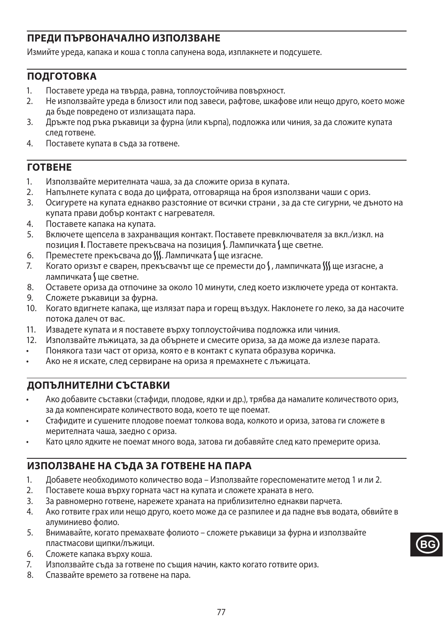# **ПРЕДИ ПЪРВОНАЧАЛНО ИЗПОЛЗВАНЕ**

Измийте уреда, капака и коша с топла сапунена вода, изплакнете и подсушете.

## **ПОДГОТОВКА**

- 1. Поставете уреда на твърда, равна, топлоустойчива повърхност.
- 2. Не използвайте уреда в близост или под завеси, рафтове, шкафове или нещо друго, което може да бъде повредено от излизащата пара.
- 3. Дръжте под ръка ръкавици за фурна (или кърпа), подложка или чиния, за да сложите купата след готвене.
- 4. Поставете купата в съда за готвене.

#### **ГОТВЕНЕ**

- 1. Използвайте мерителната чаша, за да сложите ориза в купата.
- Напълнете купата с вода до цифрата, отговаряща на броя използвани чаши с ориз.
- 3. Осигурете на купата еднакво разстояние от всички страни , за да сте сигурни, че дъното на купата прави добър контакт с нагревателя.
- 4. Поставете капака на купата.
- 5. Включете щепсела в захранващия контакт. Поставете превключвателя за вкл./изкл. на позиция **I**. Поставете прекъсвача на позиция S. Лампичката S ще светне.
- 6. Преместете прекъсвача до *SS*. Лампичката С ще изгасне.
- 7. Когато оризът е сварен, прекъсвачът ще се премести до  $\int$ , лампичката  $\int \int \mu$ е изгасне, а лампичката У ше светне.
- 8. Оставете ориза да отпочине за около 10 минути, след което изключете уреда от контакта.
- 9. Сложете ръкавици за фурна.
- 10. Когато вдигнете капака, ще излязат пара и горещ въздух. Наклонете го леко, за да насочите потока далеч от вас.
- 11. Извадете купата и я поставете върху топлоустойчива подложка или чиния.
- 12. Използвайте лъжицата, за да обърнете и смесите ориза, за да може да излезе парата.
- Понякога тази част от ориза, която е в контакт с купата образува коричка.
- Ако не я искате, след сервиране на ориза я премахнете с лъжицата.

## **ДОПЪЛНИТЕЛНИ СЪСТАВКИ**

- Ако добавите съставки (стафиди, плодове, ядки и др.), трябва да намалите количеството ориз, за да компенсирате количеството вода, което те ще поемат.
- Стафидите и сушените плодове поемат толкова вода, колкото и ориза, затова ги сложете в мерителната чаша, заедно с ориза.
- Като цяло ядките не поемат много вода, затова ги добавяйте след като премерите ориза.

## **ИЗПОЛЗВАНЕ НА СЪДА ЗА ГОТВЕНЕ НА ПАРА**

- 1. Добавете необходимото количество вода Използвайте гореспоменатите метод 1 и ли 2.
- 2. Поставете коша върху горната част на купата и сложете храната в него.
- 3. За равномерно готвене, нарежете храната на приблизително еднакви парчета.
- 4. Ако готвите грах или нещо друго, което може да се разпилее и да падне във водата, обвийте в алуминиево фолио.
- 5. Внимавайте, когато премахвате фолиото сложете ръкавици за фурна и използвайте пластмасови щипки/лъжици.
- 6. Сложете капака върху коша.
- 7. Използвайте съда за готвене по същия начин, както когато готвите ориз.
- 8. Спазвайте времето за готвене на пара.

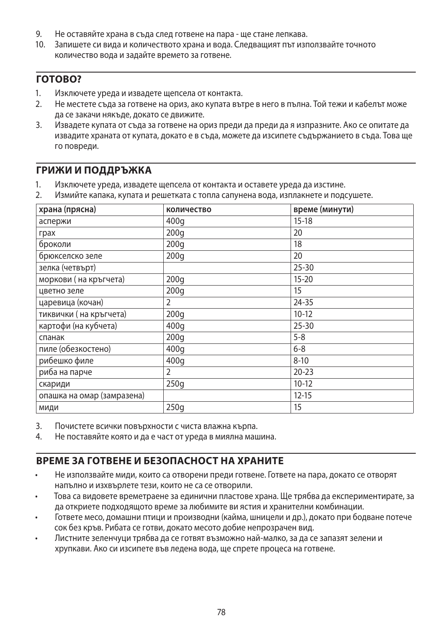- 9. Не оставяйте храна в съда след готвене на пара ще стане лепкава.
- 10. Запишете си вида и количеството храна и вода. Следващият път използвайте точното количество вода и задайте времето за готвене.

#### **ГОТОВО?**

- 1. Изключете уреда и извадете щепсела от контакта.
- 2. Не местете съда за готвене на ориз, ако купата вътре в него в пълна. Той тежи и кабелът може да се закачи някъде, докато се движите.
- 3. Извадете купата от съда за готвене на ориз преди да преди да я изпразните. Ако се опитате да извадите храната от купата, докато е в съда, можете да изсипете съдържанието в съда. Това ще го повреди.

#### **ГРИЖИ И ПОДДРЪЖКА**

- 1. Изключете уреда, извадете щепсела от контакта и оставете уреда да изстине.
- 2. Измийте капака, купата и решетката с топла сапунена вода, изплакнете и подсушете.

| храна (прясна)             | количество | време (минути) |
|----------------------------|------------|----------------|
| аспержи                    | 400q       | $15-18$        |
| грах                       | 200q       | 20             |
| броколи                    | 200q       | 18             |
| брюкселско зеле            | 200q       | 20             |
| зелка (четвърт)            |            | $25 - 30$      |
| моркови (на кръгчета)      | 200q       | $15 - 20$      |
| цветно зеле                | 200q       | 15             |
| царевица (кочан)           | 2          | 24-35          |
| тиквички (на кръгчета)     | 200q       | $10-12$        |
| картофи (на кубчета)       | 400q       | $25 - 30$      |
| спанак                     | 200q       | $5 - 8$        |
| пиле (обезкостено)         | 400q       | $6 - 8$        |
| рибешко филе               | 400q       | $8 - 10$       |
| риба на парче              | 2          | $20 - 23$      |
| скариди                    | 250g       | $10-12$        |
| опашка на омар (замразена) |            | $12 - 15$      |
| МИДИ                       | 250q       | 15             |

3. Почистете всички повърхности с чиста влажна кърпа.

4. Не поставяйте която и да е част от уреда в миялна машина.

## **ВРЕМЕ ЗА ГОТВЕНЕ И БЕЗОПАСНОСТ НА ХРАНИТЕ**

- Не използвайте миди, които са отворени преди готвене. Гответе на пара, докато се отворят напълно и изхвърлете тези, които не са се отворили.
- Това са видовете времетраене за единични пластове храна. Ще трябва да експериментирате, за да откриете подходящото време за любимите ви ястия и хранителни комбинации.
- Гответе месо, домашни птици и производни (кайма, шницели и др.), докато при бодване потече сок без кръв. Рибата се готви, докато месото добие непрозрачен вид.
- Листните зеленчуци трябва да се готвят възможно най-малко, за да се запазят зелени и хрупкави. Ако си изсипете във ледена вода, ще спрете процеса на готвене.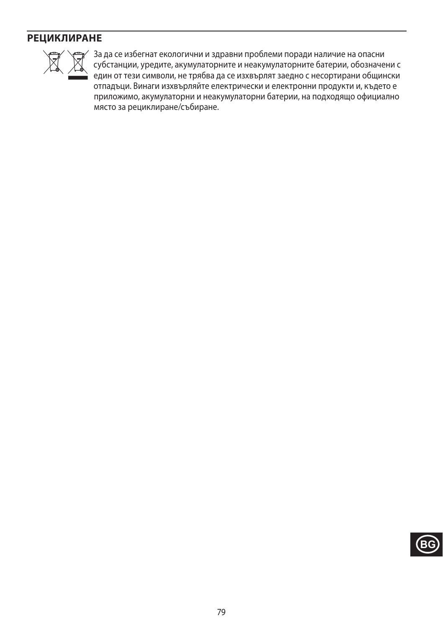## **РЕЦИКЛИРАНЕ**



WSA 3a да се избегнат екологични и здравни проблеми поради наличие на опасни<br>субстанции, уредите, акумулаторните и неакумулаторните батерии, обозначе<br>един от тези символи, не трябва да се изхвърлят заедно с несортирани об субстанции, уредите, акумулаторните и неакумулаторните батерии, обозначени с един от тези символи, не трябва да се изхвърлят заедно с несортирани общински отпадъци. Винаги изхвърляйте електрически и електронни продукти и, където е приложимо, акумулаторни и неакумулаторни батерии, на подходящо официално място за рециклиране/събиране.

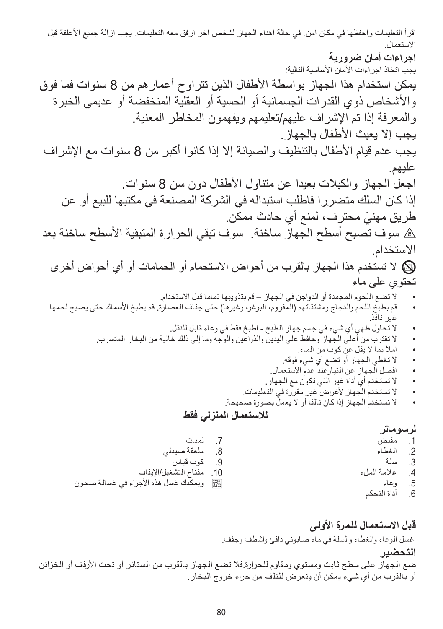اقرأ التعليمات واحفظها في مكان آمن. في حالة اهداء الجهاز لشخص آخر ارفق معه التعليمات. يجب ازالة جميع األغلفة قبل االستعمال. **اجراءات أمان ضرورية** يجب اتخاذ اجراءات األمان األساسية التالية: يمكن استخدام هذا الجهاز بواسطة األطفال الذين تتراوح أعمارهم من 8 سنوات فما فوق واألشخاص ذوي القدرات الجسمانية أو الحسية أو العقلية المنخفضة أو عديمي الخبرة والمعرفة إذا تم اإلشراف عليهم/تعليمهم ويفهمون المخاطر المعنية. يجب إلا يعبث الأطفال بالجهاز . يجب عدم قيام األطفال بالتنظيف والصيانة إال إذا كانوا أكبر من 8 سنوات مع اإلشراف عليهم. اجعل الجهاز والكبالت بعيدا عن متناول األطفال دون سن 8 سنوات. إذا كان السلك متضررا فاطلب استبداله في الشركة المصنعة في مكتبها للبيع أو عن ّ طريق مهني محترف، لمنع أي حادث ممكن. h سوف تصبح أسطح الجهاز ساخنة. سوف تبقي الحرارة المتبقية األسطح ساخنة بعد االستخدام. L ال تستخدم هذا الجهاز بالقرب من أحواض االستحمام أو الحمامات أو أي أحواض أخرى تحتوي على ماء ال تضع اللحوم المجمدة أو الدواجن في الجهاز – قم بتذويبها تماما قبل االستخدام. قم بطبخ اللحم والدجاج ومشتقاتهم )المفروم، البرغر، وغيرها( حتى جفاف العصارة. قم بطبخ األسماك حتى يصبح لحمها غير نافذ. ال تحاول طهي أي شيء في جسم جهاز الطبخ - اطبخ فقط في وعاء قابل للنقل. ال تقترب من أعلى الجهاز وحافظ على اليدين والذراعين والوجه وما إلى ذلك خالية من البخار المتسرب. امأل بما ال يقل عن كوب من الماء. ال تغطي الجهاز أو تضع أي شيء فوقه. افصل الجهاز عن التيارعند عدم االستعمال. ال تستخدم أي أداة غير التي تكون مع الجهاز. ال تستخدم الجهاز ألغراض غير مقررة في التعليمات. ال تستخدم الجهاز إذا كان تالفا أو ال يعمل بصورة صحيحة. **لالستعمال المنزلي فقط لرسوماتر**<br>1 مقبض مقبض 2. الغطاء<br>3. سلة سلة .7 لمبات .8 ملعقة صيدلي .9 كوب قياس 10. مفتاح التشغيل/الإيقاف

- 4. علامة الملء<br>5. وعاء .5 وعاء
- .6 أداة التحكم

**قبل االستعمال للمرة األولى**

اغسل الوعاء والغطاء والسلة في ماء صابوني دافئ واشطف وجفف.

**التحضير**

ضع الجهاز على سطح ثابت ومستوي ومقاوم للحرارة.فال تضع الجهاز بالقرب من الستائر أو تحت األرفف أو الخزائن أو بالقرب من أي شيء يمكن أن يتعرض للتلف من جراء خروج البخار.

` ويمكنك غسل هذه األجزاء في غسالة صحون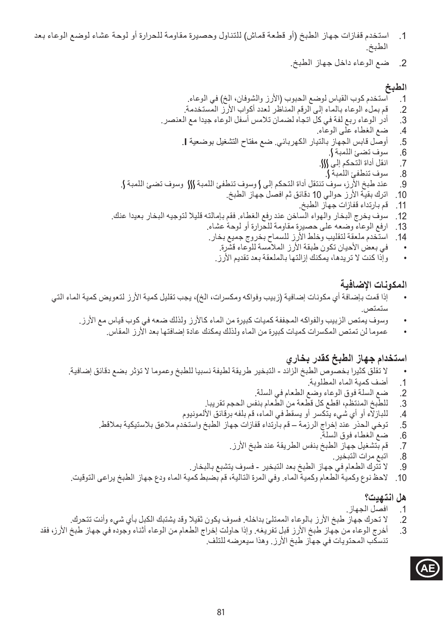- .1 استخدم قفازات جهاز الطبخ )أو قطعة قماش( للتناول وحصيرة مقاومة للحرارة أو لوحة عشاء لوضع الوعاء بعد الطبخ.
	- .2 ضع الوعاء داخل جهاز الطبخ.

# ا**لطبخ**<br>1. ا

استخدم كوب القياس لوضع الحبوب (الأرز والشوفان، الخ) في الوعاء. .2 قم بملء الوعاء بالماء إلى الرقم المناظر لعدد أكواب األرز المستخدمة. 3. أدر الوعاء ربع لفة في كل اتجاه لضمان تلامس أسفل الوعاء جيدا مع العنصر.<br>4. ضم الغطاء على الوعاء. .4 ضع الغطاء على الوعاء. .5 أوصل قابس الجهاز بالتيار الكهربائي. ضع مفتاح التشغيل بوضعية **I**. 6. سوف تضئ اللمبة **}**<br>7. انقل أداة التحكم إلى } .7 انقل أداة التحكم إلى P. 8. سوف تنطفئ اللمبة ك. .9 عند طبخ األرز، سوف تنتقل أداة التحكم إلى N وسوف تنطفئ اللمبة P وسوف تضئ اللمبة N. 10 ـ اترك بقية الأرز حوالي 10 دقائق ثم افصل جهاز الطبخ. 11. قم بارتداء قفازات جهاز الطبخ. 12. سوف يخرج البخار والهواء الساخن عند رفع الغطاء. فقم بإمالته قليلا لتوجيه البخار بعيدا عنك. 13. ارفع الوعاء وضعه على حصيرة مقاومة للحرارة أو لوحة عشاء. 14. استخدم ملعقة لتقليب وخلط الأرز للسماح بخروج جميع بخار. في بعض الأحيان تكون طبقة الأرز الملامسة للوعاء قشرة. وإذا كنت لا تر يدها، يمكنك إزالتها بالملعقة بعد تقديم الأرز .

#### **المكونات اإلضافية**

- إذا قمت بإضافة أي مكونات إضافية (زبيب وفواكه ومكسرات، الخ)، يجب تقليل كمية الأرز لتعويض كمية الماء التي ستمتص.
	- وسوف يمتص الزبيب والفواكه المجففة كميات كبيرة من الماء كالأرز ولذلك ضعه في كوب قياس مع الأرز .
		- عموما لن تمتص المكسرات كميات كبيرة من الماء ولذلك يمكنك عادة إضافتها بعد األرز المقاس.

#### **استخدام جهاز الطبخ كقدر بخاري**

- ال تقلق كثيرا بخصوص الطبخ الزائد التبخير طريقة لطيفة نسبيا للطبخ وعموما ال تؤثر بضع دقائق إضافية.
	- 1. أضف كمية الماء المطلوبة.<br>2. ضم السلة فوق الوعاء وضع
	- .2 ضع السلة فوق الوعاء وضع الطعام في السلة.
	- .3 للطبخ المنتظم، اقطع كل قطعة من الطعام بنفس الحجم تقريبا.
	- 4. للبازلآء أو أي شّيء يتكسر أو يسقط في الماء، قم بلفه برقائق الألمونيوم<br>5. توخي الحذر عند إخراج الرزمة قم بارتداء قفازات جهاز الطبخ واستخد
	- .5 توخي الحذر عند إخراج الرزمة قم بارتداء قفازات جهاز الطبخ واستخدم مالعق بالستيكية بمالقط.
		- .6 ضع الغطاء فوق السلة.
		- 7. قم بتشغيل جهاز الطبخ بنفس الطريقة عند طبخ الأرز .<br>8. اتدم مرات التدخدر .
			- اتبع مرات التبخير.
		- .9 ال تترك الطعام في جهاز الطبخ بعد التبخير فسوف يتشبع بالبخار.
- 10. لاحظ نوع وكمية الطعام وكمية الماء. وفي المرة التالية، قم بضبط كمية الماء ودع جهاز الطبخ يراعى التوقيت.

#### **هل انتهيت؟**

- .1 افصل الجهاز.
- .2 ال تحرك جهاز طبخ األرز بالوعاء الممتلئ بداخله. فسوف يكون ثقيال وقد يشتبك الكبل بأي شيء وأنت تتحرك.
- 3. أخرج الوعاء من جهاز طبخ الأرز قبل تفريغه. وإذا حاولت إخراج الطعام من الوعاء أثناء وجوده في جهاز طبخ الأرز، فقد تنسكب المحتويات في جهاز طبخ الأرز. وهذا سيعرضه للتلف.

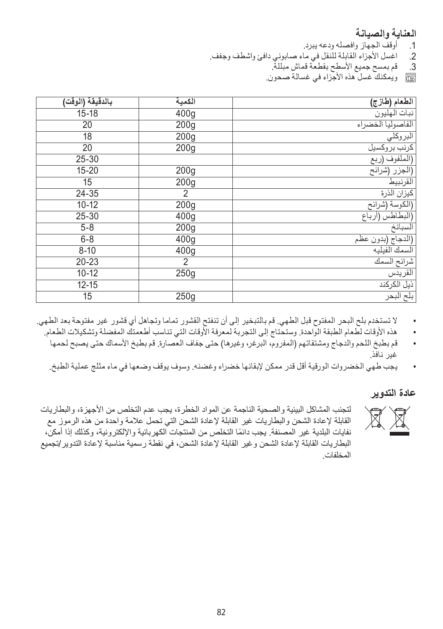# ا**لعناية والصيانة**<br>1. أوقف الجهاز وا

- 1. أوقف الجهاز وافصله ودعه يبرد.<br>2. اغسل الأجزاء القابلة للنقل في ما
- 2. اغسل الأجزاء القابلة للنقل في ماء صابوني دافئ واشطف وجفف.<br>3. قم بمسح جميع الأسطح بقطعة قماش مبللة.
	- .3 قم بمسح جميع األسطح بقطعة قماش مبللة.
	- ` ويمكنك غسل هذه األجزاء في غسالة صحون.

| بالدقيقة (الوقت) | الكمية           | الطعام (طارج)     |
|------------------|------------------|-------------------|
| $15 - 18$        | 400g             | نبات المليون      |
| 20               | 200 <sub>g</sub> | الفاصوليا الخضراء |
| 18               | 200 <sub>g</sub> | البروكلي          |
| 20               | 200 <sub>g</sub> | كرنب بروكسيل      |
| 25-30            |                  | (الملفوف (ربع     |
| $15 - 20$        | 200 <sub>g</sub> | (الجزر (شرائح     |
| 15               | 200 <sub>g</sub> | القرنبيط          |
| 24-35            | 2                | كيزان الذرة       |
| $10 - 12$        | 200 <sub>g</sub> | (الكوسة (شرائح    |
| 25-30            | 400 <sub>g</sub> | (البطاطس (أرباع   |
| $5 - 8$          | 200 <sub>g</sub> | السبانخ           |
| $6 - 8$          | 400 <sub>g</sub> | (الدجاج (بدون عظم |
| $8 - 10$         | 400g             | السمك الفيليه     |
| 20-23            | 2                | شرائح السمك       |
| $10 - 12$        | 250g             | القريدس           |
| $12 - 15$        |                  | ذيل الكركند       |
| 15               | 250g             | بلح البحر         |

- ال تستخدم بلح البحر المفتوح قبل الطهي. قم بالتبخير إلى أن تنفتح القشور تماما وتجاهل أي قشور غير مفتوحة بعد الطهي.
- هذه األوقات لطعام الطبقة الواحدة. وستحتاج إلى التجربة لمعرفة األوقات التي تناسب أطعمتك المفضلة وتشكيالت الطعام.
	- قم بطبخ اللحم والدجاج ومشتقاتهم )المفروم، البرغر، وغيرها( حتى جفاف العصارة. قم بطبخ األسماك حتى يصبح لحمها غير نافذ.
	- يجب طهي الخضروات الورقية أقل قدر ممكن إلبقائها خضراء وغضنه. وسوف يوقف وضعها في ماء مثلج عملية الطبخ.

#### **عادة التدوير**

لتجنب المشاكل البيئية والصحية الناجمة عن المواد الخطرة، يجب عدم التخلص من الاجهزة، والبطاريات<br>التجنب الفائلة لإعادة الشحن والبطاريات غير القابلة لإعادة الشحن التي تحمل علامة واحدة من هذه الرموز مع<br>العطل المسلم المسلم المس القابلة إلعادة الشحن والبطاريات غير القابلة إلعادة الشحن التي تحمل عالمة واحدة من هذه الرموز مع ً نفايات البلدية غير المصنفة. يجب دائما التخلص من المنتجات الكهربائية واإللكترونية، وكذلك إذا أمكن، البطاريات القابلة إلعادة الشحن وغير القابلة إلعادة الشحن، في نقطة رسمية مناسبة إلعادة التدوير/تجميع المخلفات.